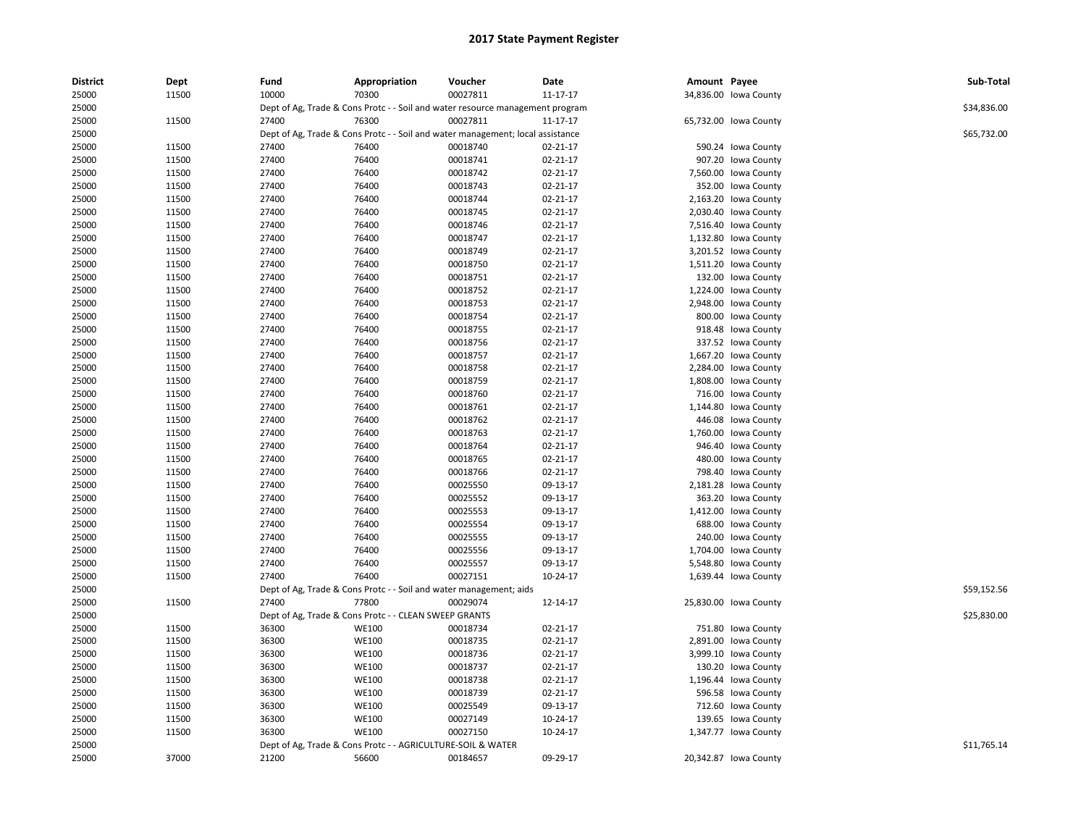| <b>District</b> | Dept  | Fund  | Appropriation                                                                  | Voucher  | Date           | Amount Payee |                       | Sub-Total   |
|-----------------|-------|-------|--------------------------------------------------------------------------------|----------|----------------|--------------|-----------------------|-------------|
| 25000           | 11500 | 10000 | 70300                                                                          | 00027811 | $11 - 17 - 17$ |              | 34,836.00 Iowa County |             |
| 25000           |       |       | Dept of Ag, Trade & Cons Protc - - Soil and water resource management program  |          |                |              |                       | \$34,836.00 |
| 25000           | 11500 | 27400 | 76300                                                                          | 00027811 | 11-17-17       |              | 65,732.00 Iowa County |             |
| 25000           |       |       | Dept of Ag, Trade & Cons Protc - - Soil and water management; local assistance |          |                |              |                       | \$65,732.00 |
| 25000           | 11500 | 27400 | 76400                                                                          | 00018740 | 02-21-17       |              | 590.24 Iowa County    |             |
| 25000           | 11500 | 27400 | 76400                                                                          | 00018741 | 02-21-17       |              | 907.20 Iowa County    |             |
| 25000           | 11500 | 27400 | 76400                                                                          | 00018742 | 02-21-17       |              | 7,560.00 lowa County  |             |
| 25000           | 11500 | 27400 | 76400                                                                          | 00018743 | $02 - 21 - 17$ |              | 352.00 Iowa County    |             |
| 25000           | 11500 | 27400 | 76400                                                                          | 00018744 | $02 - 21 - 17$ |              | 2,163.20 Iowa County  |             |
| 25000           | 11500 | 27400 | 76400                                                                          | 00018745 | 02-21-17       |              | 2,030.40 lowa County  |             |
| 25000           | 11500 | 27400 | 76400                                                                          | 00018746 | $02 - 21 - 17$ |              | 7,516.40 Iowa County  |             |
| 25000           | 11500 | 27400 | 76400                                                                          | 00018747 | $02 - 21 - 17$ |              | 1,132.80 Iowa County  |             |
| 25000           | 11500 | 27400 | 76400                                                                          | 00018749 | 02-21-17       |              | 3,201.52 lowa County  |             |
| 25000           | 11500 | 27400 | 76400                                                                          | 00018750 | $02 - 21 - 17$ |              | 1,511.20 Iowa County  |             |
| 25000           | 11500 | 27400 | 76400                                                                          | 00018751 | 02-21-17       |              | 132.00 Iowa County    |             |
| 25000           | 11500 | 27400 | 76400                                                                          | 00018752 | $02 - 21 - 17$ |              | 1,224.00 lowa County  |             |
| 25000           | 11500 | 27400 | 76400                                                                          | 00018753 | 02-21-17       |              | 2,948.00 Iowa County  |             |
| 25000           | 11500 | 27400 | 76400                                                                          | 00018754 | 02-21-17       |              | 800.00 Iowa County    |             |
| 25000           | 11500 | 27400 | 76400                                                                          | 00018755 | $02 - 21 - 17$ |              | 918.48 Iowa County    |             |
| 25000           | 11500 | 27400 | 76400                                                                          | 00018756 | $02 - 21 - 17$ |              | 337.52 Iowa County    |             |
| 25000           | 11500 | 27400 | 76400                                                                          | 00018757 | $02 - 21 - 17$ |              | 1,667.20 Iowa County  |             |
| 25000           | 11500 | 27400 | 76400                                                                          | 00018758 | 02-21-17       |              | 2,284.00 lowa County  |             |
| 25000           | 11500 | 27400 | 76400                                                                          | 00018759 | 02-21-17       |              | 1,808.00 Iowa County  |             |
| 25000           | 11500 | 27400 | 76400                                                                          | 00018760 | $02 - 21 - 17$ |              | 716.00 Iowa County    |             |
| 25000           | 11500 | 27400 | 76400                                                                          | 00018761 | $02 - 21 - 17$ |              | 1,144.80 lowa County  |             |
| 25000           | 11500 | 27400 | 76400                                                                          | 00018762 | $02 - 21 - 17$ |              | 446.08 Iowa County    |             |
| 25000           | 11500 | 27400 | 76400                                                                          | 00018763 | $02 - 21 - 17$ |              | 1,760.00 lowa County  |             |
| 25000           | 11500 | 27400 | 76400                                                                          | 00018764 | 02-21-17       |              | 946.40 Iowa County    |             |
| 25000           | 11500 | 27400 | 76400                                                                          | 00018765 | $02 - 21 - 17$ |              | 480.00 Iowa County    |             |
| 25000           | 11500 | 27400 | 76400                                                                          | 00018766 | $02 - 21 - 17$ |              | 798.40 Iowa County    |             |
| 25000           | 11500 | 27400 | 76400                                                                          | 00025550 | 09-13-17       |              | 2,181.28 lowa County  |             |
| 25000           | 11500 | 27400 | 76400                                                                          | 00025552 | 09-13-17       |              | 363.20 Iowa County    |             |
| 25000           | 11500 | 27400 | 76400                                                                          | 00025553 | 09-13-17       |              | 1,412.00 Iowa County  |             |
| 25000           | 11500 | 27400 | 76400                                                                          | 00025554 | 09-13-17       |              | 688.00 Iowa County    |             |
| 25000           | 11500 | 27400 | 76400                                                                          | 00025555 | 09-13-17       |              | 240.00 Iowa County    |             |
| 25000           | 11500 | 27400 | 76400                                                                          | 00025556 | 09-13-17       |              | 1,704.00 lowa County  |             |
| 25000           | 11500 | 27400 | 76400                                                                          | 00025557 | 09-13-17       |              | 5,548.80 lowa County  |             |
| 25000           | 11500 | 27400 | 76400                                                                          | 00027151 | 10-24-17       |              | 1,639.44 lowa County  |             |
| 25000           |       |       | Dept of Ag, Trade & Cons Protc - - Soil and water management; aids             |          |                |              |                       | \$59,152.56 |
| 25000           | 11500 | 27400 | 77800                                                                          | 00029074 | 12-14-17       |              | 25,830.00 Iowa County |             |
| 25000           |       |       | Dept of Ag, Trade & Cons Protc - - CLEAN SWEEP GRANTS                          |          |                |              |                       | \$25,830.00 |
| 25000           | 11500 | 36300 | <b>WE100</b>                                                                   | 00018734 | $02 - 21 - 17$ |              | 751.80 Iowa County    |             |
| 25000           | 11500 | 36300 | <b>WE100</b>                                                                   | 00018735 | 02-21-17       |              | 2,891.00 lowa County  |             |
| 25000           | 11500 | 36300 | <b>WE100</b>                                                                   | 00018736 | $02 - 21 - 17$ |              | 3,999.10 Iowa County  |             |
| 25000           | 11500 | 36300 | <b>WE100</b>                                                                   | 00018737 | 02-21-17       |              | 130.20 Iowa County    |             |
| 25000           | 11500 | 36300 | <b>WE100</b>                                                                   | 00018738 | 02-21-17       |              | 1,196.44 lowa County  |             |
| 25000           | 11500 | 36300 | WE100                                                                          | 00018739 | $02 - 21 - 17$ |              | 596.58 Iowa County    |             |
| 25000           | 11500 | 36300 | <b>WE100</b>                                                                   | 00025549 | 09-13-17       |              | 712.60 Iowa County    |             |
| 25000           | 11500 | 36300 | <b>WE100</b>                                                                   | 00027149 | 10-24-17       |              | 139.65 Iowa County    |             |
| 25000           | 11500 | 36300 | <b>WE100</b>                                                                   | 00027150 | 10-24-17       |              | 1,347.77 lowa County  |             |
| 25000           |       |       | Dept of Ag, Trade & Cons Protc - - AGRICULTURE-SOIL & WATER                    |          |                |              |                       | \$11,765.14 |
| 25000           | 37000 | 21200 | 56600                                                                          | 00184657 | 09-29-17       |              | 20,342.87 Iowa County |             |
|                 |       |       |                                                                                |          |                |              |                       |             |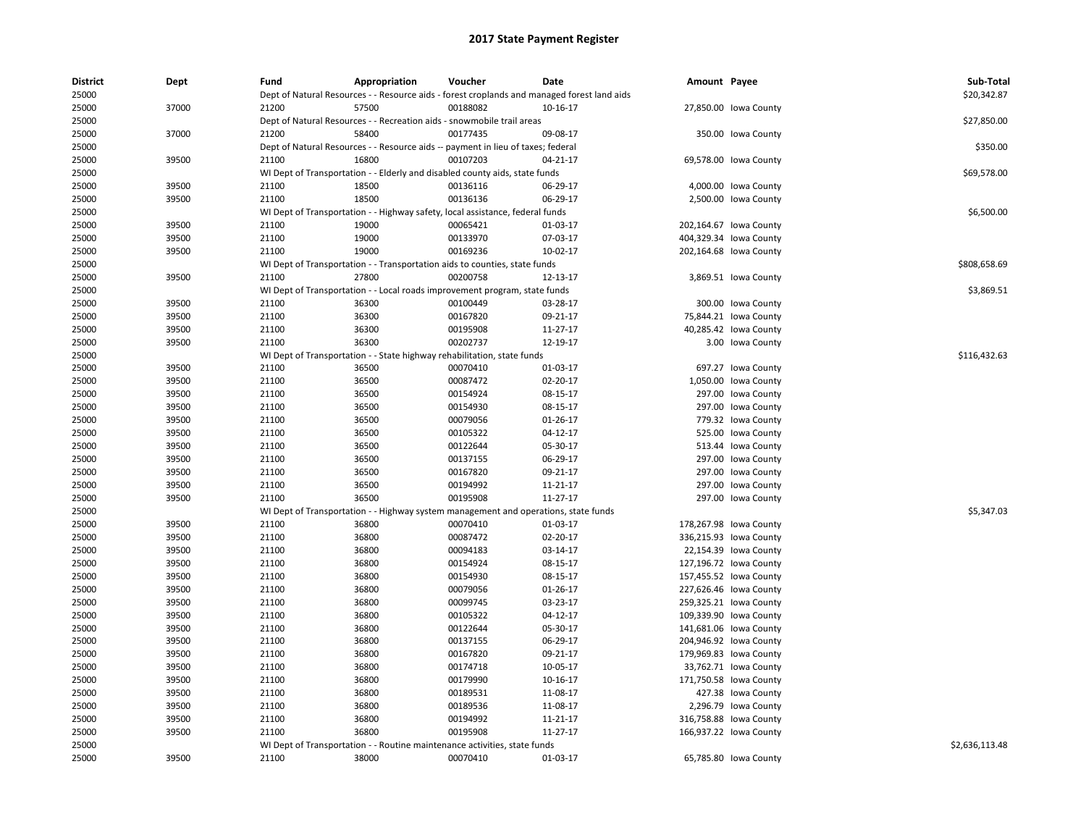| <b>District</b> | Dept  | Fund  | Appropriation                                                                               | Voucher  | Date       | Amount Payee |                        | Sub-Total      |
|-----------------|-------|-------|---------------------------------------------------------------------------------------------|----------|------------|--------------|------------------------|----------------|
| 25000           |       |       | Dept of Natural Resources - - Resource aids - forest croplands and managed forest land aids |          |            |              |                        | \$20,342.87    |
| 25000           | 37000 | 21200 | 57500                                                                                       | 00188082 | 10-16-17   |              | 27,850.00 Iowa County  |                |
| 25000           |       |       | Dept of Natural Resources - - Recreation aids - snowmobile trail areas                      |          |            |              |                        | \$27,850.00    |
| 25000           | 37000 | 21200 | 58400                                                                                       | 00177435 | 09-08-17   |              | 350.00 Iowa County     |                |
| 25000           |       |       | Dept of Natural Resources - - Resource aids -- payment in lieu of taxes; federal            |          |            |              |                        | \$350.00       |
| 25000           | 39500 | 21100 | 16800                                                                                       | 00107203 | 04-21-17   |              | 69,578.00 Iowa County  |                |
| 25000           |       |       | WI Dept of Transportation - - Elderly and disabled county aids, state funds                 |          |            |              |                        | \$69,578.00    |
| 25000           | 39500 | 21100 | 18500                                                                                       | 00136116 | 06-29-17   |              | 4,000.00 lowa County   |                |
| 25000           | 39500 | 21100 | 18500                                                                                       | 00136136 | 06-29-17   |              | 2,500.00 lowa County   |                |
| 25000           |       |       | WI Dept of Transportation - - Highway safety, local assistance, federal funds               |          |            |              |                        | \$6,500.00     |
| 25000           | 39500 | 21100 | 19000                                                                                       | 00065421 | 01-03-17   |              | 202,164.67 Iowa County |                |
| 25000           | 39500 | 21100 | 19000                                                                                       | 00133970 | 07-03-17   |              | 404,329.34 Iowa County |                |
| 25000           | 39500 | 21100 | 19000                                                                                       | 00169236 | 10-02-17   |              | 202,164.68 Iowa County |                |
| 25000           |       |       | WI Dept of Transportation - - Transportation aids to counties, state funds                  |          |            |              |                        | \$808,658.69   |
| 25000           | 39500 | 21100 | 27800                                                                                       | 00200758 | 12-13-17   |              | 3,869.51 Iowa County   |                |
| 25000           |       |       | WI Dept of Transportation - - Local roads improvement program, state funds                  |          |            |              |                        | \$3,869.51     |
| 25000           | 39500 | 21100 | 36300                                                                                       | 00100449 | 03-28-17   |              | 300.00 Iowa County     |                |
| 25000           | 39500 | 21100 | 36300                                                                                       | 00167820 | 09-21-17   |              | 75,844.21 Iowa County  |                |
| 25000           | 39500 | 21100 | 36300                                                                                       | 00195908 | 11-27-17   |              | 40,285.42 Iowa County  |                |
| 25000           | 39500 | 21100 | 36300                                                                                       | 00202737 | 12-19-17   |              | 3.00 Iowa County       |                |
| 25000           |       |       | WI Dept of Transportation - - State highway rehabilitation, state funds                     |          |            |              |                        | \$116,432.63   |
| 25000           | 39500 | 21100 | 36500                                                                                       | 00070410 | 01-03-17   |              | 697.27 Iowa County     |                |
| 25000           | 39500 | 21100 | 36500                                                                                       | 00087472 | 02-20-17   |              | 1,050.00 lowa County   |                |
| 25000           | 39500 | 21100 | 36500                                                                                       | 00154924 | 08-15-17   |              | 297.00 Iowa County     |                |
| 25000           | 39500 | 21100 | 36500                                                                                       | 00154930 | 08-15-17   |              | 297.00 Iowa County     |                |
| 25000           | 39500 | 21100 | 36500                                                                                       | 00079056 | 01-26-17   |              | 779.32 Iowa County     |                |
| 25000           | 39500 | 21100 | 36500                                                                                       | 00105322 | $04-12-17$ |              | 525.00 Iowa County     |                |
| 25000           | 39500 | 21100 | 36500                                                                                       | 00122644 | 05-30-17   |              | 513.44 Iowa County     |                |
| 25000           | 39500 | 21100 | 36500                                                                                       | 00137155 | 06-29-17   |              | 297.00 Iowa County     |                |
| 25000           | 39500 | 21100 | 36500                                                                                       | 00167820 | 09-21-17   |              | 297.00 Iowa County     |                |
| 25000           | 39500 | 21100 | 36500                                                                                       | 00194992 | 11-21-17   |              | 297.00 Iowa County     |                |
| 25000           | 39500 | 21100 | 36500                                                                                       | 00195908 | 11-27-17   |              | 297.00 Iowa County     |                |
| 25000           |       |       | WI Dept of Transportation - - Highway system management and operations, state funds         |          |            |              |                        | \$5,347.03     |
| 25000           | 39500 | 21100 | 36800                                                                                       | 00070410 | 01-03-17   |              | 178,267.98 Iowa County |                |
| 25000           | 39500 | 21100 | 36800                                                                                       | 00087472 | 02-20-17   |              | 336,215.93 Iowa County |                |
| 25000           | 39500 | 21100 | 36800                                                                                       | 00094183 | 03-14-17   |              | 22,154.39 Iowa County  |                |
| 25000           | 39500 | 21100 | 36800                                                                                       | 00154924 | 08-15-17   |              | 127,196.72 Iowa County |                |
| 25000           | 39500 | 21100 | 36800                                                                                       | 00154930 | 08-15-17   |              | 157,455.52 lowa County |                |
| 25000           | 39500 | 21100 | 36800                                                                                       | 00079056 | 01-26-17   |              | 227,626.46 Iowa County |                |
| 25000           | 39500 | 21100 | 36800                                                                                       | 00099745 | 03-23-17   |              | 259,325.21 Iowa County |                |
| 25000           | 39500 | 21100 | 36800                                                                                       | 00105322 | 04-12-17   |              | 109,339.90 Iowa County |                |
| 25000           | 39500 | 21100 | 36800                                                                                       | 00122644 | 05-30-17   |              | 141,681.06 Iowa County |                |
| 25000           | 39500 | 21100 | 36800                                                                                       | 00137155 | 06-29-17   |              | 204,946.92 Iowa County |                |
| 25000           | 39500 | 21100 | 36800                                                                                       | 00167820 | 09-21-17   |              | 179,969.83 Iowa County |                |
| 25000           | 39500 | 21100 | 36800                                                                                       | 00174718 | 10-05-17   |              | 33,762.71 Iowa County  |                |
| 25000           | 39500 | 21100 | 36800                                                                                       | 00179990 | 10-16-17   |              | 171,750.58 Iowa County |                |
| 25000           | 39500 | 21100 | 36800                                                                                       | 00189531 | 11-08-17   |              | 427.38 Iowa County     |                |
| 25000           | 39500 | 21100 | 36800                                                                                       | 00189536 | 11-08-17   |              | 2,296.79 Iowa County   |                |
| 25000           | 39500 | 21100 | 36800                                                                                       | 00194992 | 11-21-17   |              | 316,758.88 Iowa County |                |
| 25000           | 39500 | 21100 | 36800                                                                                       | 00195908 | 11-27-17   |              | 166,937.22 lowa County |                |
| 25000           |       |       | WI Dept of Transportation - - Routine maintenance activities, state funds                   |          |            |              |                        | \$2,636,113.48 |
| 25000           | 39500 | 21100 | 38000                                                                                       | 00070410 | 01-03-17   |              | 65,785.80 Iowa County  |                |
|                 |       |       |                                                                                             |          |            |              |                        |                |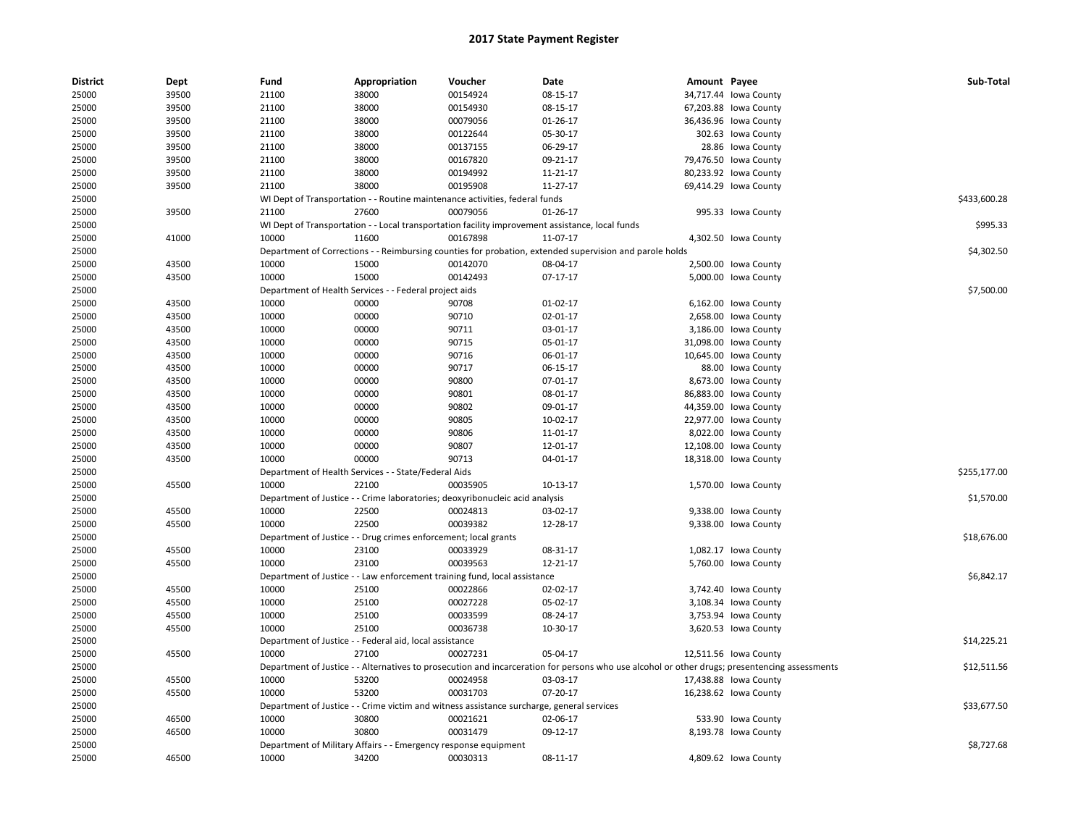| <b>District</b> | Dept  | Fund  | Appropriation                                                   | Voucher                                                                                   | Date                                                                                                                                          | Amount Payee |                       | Sub-Total    |
|-----------------|-------|-------|-----------------------------------------------------------------|-------------------------------------------------------------------------------------------|-----------------------------------------------------------------------------------------------------------------------------------------------|--------------|-----------------------|--------------|
| 25000           | 39500 | 21100 | 38000                                                           | 00154924                                                                                  | 08-15-17                                                                                                                                      |              | 34,717.44 lowa County |              |
| 25000           | 39500 | 21100 | 38000                                                           | 00154930                                                                                  | 08-15-17                                                                                                                                      |              | 67,203.88 Iowa County |              |
| 25000           | 39500 | 21100 | 38000                                                           | 00079056                                                                                  | 01-26-17                                                                                                                                      |              | 36,436.96 Iowa County |              |
| 25000           | 39500 | 21100 | 38000                                                           | 00122644                                                                                  | 05-30-17                                                                                                                                      |              | 302.63 Iowa County    |              |
| 25000           | 39500 | 21100 | 38000                                                           | 00137155                                                                                  | 06-29-17                                                                                                                                      |              | 28.86 Iowa County     |              |
| 25000           | 39500 | 21100 | 38000                                                           | 00167820                                                                                  | 09-21-17                                                                                                                                      |              | 79,476.50 Iowa County |              |
| 25000           | 39500 | 21100 | 38000                                                           | 00194992                                                                                  | 11-21-17                                                                                                                                      |              | 80,233.92 Iowa County |              |
| 25000           | 39500 | 21100 | 38000                                                           | 00195908                                                                                  | 11-27-17                                                                                                                                      |              | 69,414.29 Iowa County |              |
| 25000           |       |       |                                                                 | WI Dept of Transportation - - Routine maintenance activities, federal funds               |                                                                                                                                               |              |                       | \$433,600.28 |
| 25000           | 39500 | 21100 | 27600                                                           | 00079056                                                                                  | 01-26-17                                                                                                                                      |              | 995.33 Iowa County    |              |
| 25000           |       |       |                                                                 |                                                                                           | WI Dept of Transportation - - Local transportation facility improvement assistance, local funds                                               |              |                       | \$995.33     |
| 25000           | 41000 | 10000 | 11600                                                           | 00167898                                                                                  | 11-07-17                                                                                                                                      |              | 4,302.50 lowa County  |              |
| 25000           |       |       |                                                                 |                                                                                           | Department of Corrections - - Reimbursing counties for probation, extended supervision and parole holds                                       |              |                       | \$4,302.50   |
| 25000           | 43500 | 10000 | 15000                                                           | 00142070                                                                                  | 08-04-17                                                                                                                                      |              | 2,500.00 Iowa County  |              |
| 25000           | 43500 | 10000 | 15000                                                           | 00142493                                                                                  | $07-17-17$                                                                                                                                    |              | 5,000.00 lowa County  |              |
| 25000           |       |       | Department of Health Services - - Federal project aids          |                                                                                           |                                                                                                                                               |              |                       | \$7,500.00   |
| 25000           | 43500 | 10000 | 00000                                                           | 90708                                                                                     | 01-02-17                                                                                                                                      |              | 6,162.00 Iowa County  |              |
| 25000           | 43500 | 10000 | 00000                                                           | 90710                                                                                     | 02-01-17                                                                                                                                      |              | 2,658.00 Iowa County  |              |
| 25000           | 43500 | 10000 | 00000                                                           | 90711                                                                                     | 03-01-17                                                                                                                                      |              | 3,186.00 lowa County  |              |
| 25000           | 43500 | 10000 | 00000                                                           | 90715                                                                                     | 05-01-17                                                                                                                                      |              | 31,098.00 Iowa County |              |
| 25000           | 43500 | 10000 | 00000                                                           | 90716                                                                                     | 06-01-17                                                                                                                                      |              | 10,645.00 Iowa County |              |
| 25000           | 43500 | 10000 | 00000                                                           | 90717                                                                                     | 06-15-17                                                                                                                                      |              | 88.00 Iowa County     |              |
| 25000           | 43500 | 10000 | 00000                                                           | 90800                                                                                     | 07-01-17                                                                                                                                      |              | 8,673.00 Iowa County  |              |
| 25000           | 43500 | 10000 | 00000                                                           | 90801                                                                                     | 08-01-17                                                                                                                                      |              | 86,883.00 Iowa County |              |
| 25000           | 43500 | 10000 | 00000                                                           | 90802                                                                                     | 09-01-17                                                                                                                                      |              | 44,359.00 Iowa County |              |
| 25000           | 43500 | 10000 | 00000                                                           | 90805                                                                                     | 10-02-17                                                                                                                                      |              | 22,977.00 Iowa County |              |
| 25000           | 43500 | 10000 | 00000                                                           | 90806                                                                                     | 11-01-17                                                                                                                                      |              | 8,022.00 Iowa County  |              |
| 25000           | 43500 | 10000 | 00000                                                           | 90807                                                                                     | 12-01-17                                                                                                                                      |              | 12,108.00 Iowa County |              |
| 25000           | 43500 | 10000 | 00000                                                           | 90713                                                                                     | 04-01-17                                                                                                                                      |              | 18,318.00 lowa County |              |
| 25000           |       |       | Department of Health Services - - State/Federal Aids            |                                                                                           |                                                                                                                                               |              |                       | \$255,177.00 |
| 25000           | 45500 | 10000 | 22100                                                           | 00035905                                                                                  | 10-13-17                                                                                                                                      |              | 1,570.00 lowa County  |              |
| 25000           |       |       |                                                                 | Department of Justice - - Crime laboratories; deoxyribonucleic acid analysis              |                                                                                                                                               |              |                       | \$1,570.00   |
| 25000           | 45500 | 10000 | 22500                                                           | 00024813                                                                                  | 03-02-17                                                                                                                                      |              | 9,338.00 Iowa County  |              |
| 25000           | 45500 | 10000 | 22500                                                           | 00039382                                                                                  | 12-28-17                                                                                                                                      |              | 9,338.00 lowa County  |              |
| 25000           |       |       | Department of Justice - - Drug crimes enforcement; local grants |                                                                                           |                                                                                                                                               |              |                       | \$18,676.00  |
| 25000           | 45500 | 10000 | 23100                                                           | 00033929                                                                                  | 08-31-17                                                                                                                                      |              | 1,082.17 Iowa County  |              |
| 25000           | 45500 | 10000 | 23100                                                           | 00039563                                                                                  | 12-21-17                                                                                                                                      |              | 5,760.00 lowa County  |              |
|                 |       |       |                                                                 |                                                                                           |                                                                                                                                               |              |                       |              |
| 25000<br>25000  | 45500 | 10000 | 25100                                                           | Department of Justice - - Law enforcement training fund, local assistance<br>00022866     | 02-02-17                                                                                                                                      |              |                       | \$6,842.17   |
|                 |       |       |                                                                 |                                                                                           |                                                                                                                                               |              | 3,742.40 Iowa County  |              |
| 25000           | 45500 | 10000 | 25100                                                           | 00027228                                                                                  | 05-02-17                                                                                                                                      |              | 3,108.34 lowa County  |              |
| 25000           | 45500 | 10000 | 25100                                                           | 00033599                                                                                  | 08-24-17                                                                                                                                      |              | 3,753.94 lowa County  |              |
| 25000           | 45500 | 10000 | 25100                                                           | 00036738                                                                                  | 10-30-17                                                                                                                                      |              | 3,620.53 lowa County  |              |
| 25000           |       |       | Department of Justice - - Federal aid, local assistance         |                                                                                           |                                                                                                                                               |              |                       | \$14,225.21  |
| 25000           | 45500 | 10000 | 27100                                                           | 00027231                                                                                  | 05-04-17                                                                                                                                      |              | 12,511.56 Iowa County |              |
| 25000           |       |       |                                                                 |                                                                                           | Department of Justice - - Alternatives to prosecution and incarceration for persons who use alcohol or other drugs; presentencing assessments |              |                       | \$12,511.56  |
| 25000           | 45500 | 10000 | 53200                                                           | 00024958                                                                                  | 03-03-17                                                                                                                                      |              | 17,438.88 Iowa County |              |
| 25000           | 45500 | 10000 | 53200                                                           | 00031703                                                                                  | 07-20-17                                                                                                                                      |              | 16,238.62 Iowa County |              |
| 25000           |       |       |                                                                 | Department of Justice - - Crime victim and witness assistance surcharge, general services |                                                                                                                                               |              |                       | \$33,677.50  |
| 25000           | 46500 | 10000 | 30800                                                           | 00021621                                                                                  | 02-06-17                                                                                                                                      |              | 533.90 Iowa County    |              |
| 25000           | 46500 | 10000 | 30800                                                           | 00031479                                                                                  | 09-12-17                                                                                                                                      |              | 8,193.78 lowa County  |              |
| 25000           |       |       | Department of Military Affairs - - Emergency response equipment |                                                                                           |                                                                                                                                               |              |                       | \$8,727.68   |
| 25000           | 46500 | 10000 | 34200                                                           | 00030313                                                                                  | 08-11-17                                                                                                                                      |              | 4,809.62 lowa County  |              |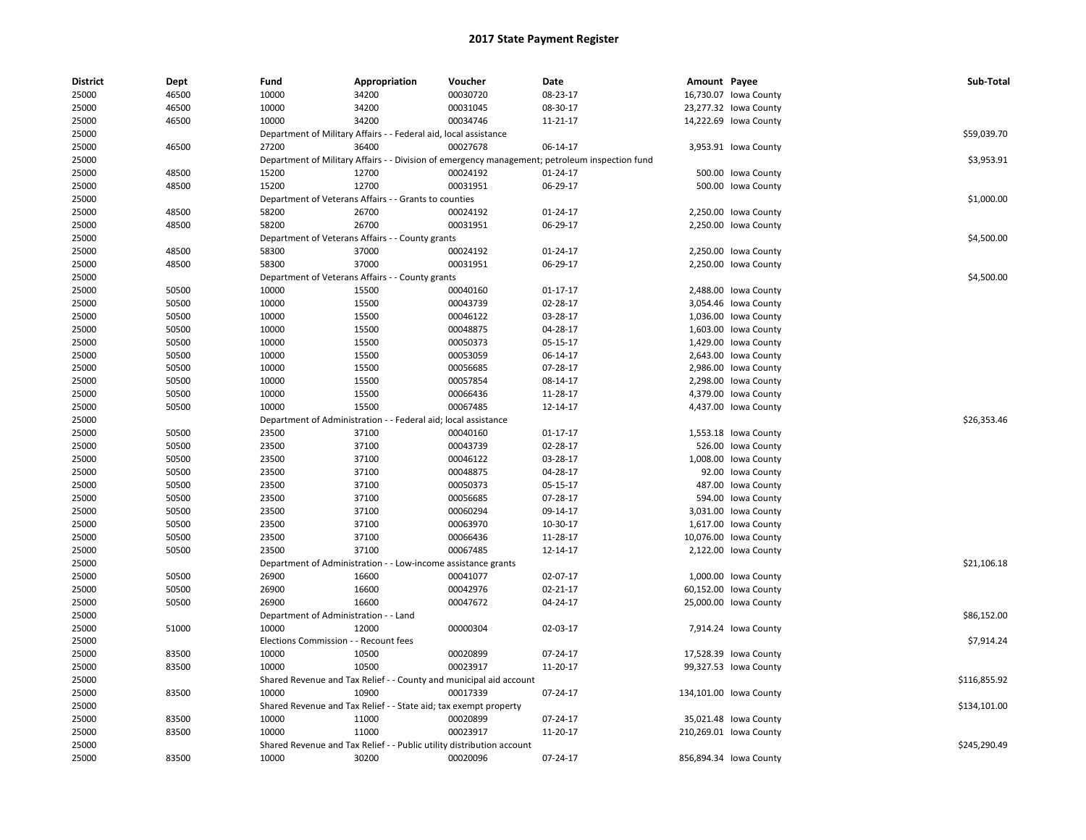| <b>District</b> | Dept           | Fund                                  | Appropriation                                                         | Voucher                                                            | Date                                                                                           | Amount Payee |                        | Sub-Total    |
|-----------------|----------------|---------------------------------------|-----------------------------------------------------------------------|--------------------------------------------------------------------|------------------------------------------------------------------------------------------------|--------------|------------------------|--------------|
| 25000           | 46500          | 10000                                 | 34200                                                                 | 00030720                                                           | 08-23-17                                                                                       |              | 16,730.07 Iowa County  |              |
| 25000           | 46500          | 10000                                 | 34200                                                                 | 00031045                                                           | 08-30-17                                                                                       |              | 23,277.32 lowa County  |              |
| 25000           | 46500          | 10000                                 | 34200                                                                 | 00034746                                                           | 11-21-17                                                                                       |              | 14,222.69 Iowa County  |              |
| 25000           |                |                                       | Department of Military Affairs - - Federal aid, local assistance      |                                                                    |                                                                                                |              |                        | \$59,039.70  |
| 25000           | 46500          | 27200                                 | 36400                                                                 | 00027678                                                           | 06-14-17                                                                                       |              | 3,953.91 Iowa County   |              |
| 25000           |                |                                       |                                                                       |                                                                    | Department of Military Affairs - - Division of emergency management; petroleum inspection fund |              |                        | \$3,953.91   |
| 25000           | 48500          | 15200                                 | 12700                                                                 | 00024192                                                           | 01-24-17                                                                                       |              | 500.00 Iowa County     |              |
| 25000           | 48500          | 15200                                 | 12700                                                                 | 00031951                                                           | 06-29-17                                                                                       |              | 500.00 Iowa County     |              |
| 25000           |                |                                       | Department of Veterans Affairs - - Grants to counties                 |                                                                    |                                                                                                |              |                        | \$1,000.00   |
| 25000           | 48500          | 58200                                 | 26700                                                                 | 00024192                                                           | $01 - 24 - 17$                                                                                 |              | 2,250.00 lowa County   |              |
| 25000           | 48500          | 58200                                 | 26700                                                                 | 00031951                                                           | 06-29-17                                                                                       |              | 2,250.00 lowa County   |              |
| 25000           |                |                                       | Department of Veterans Affairs - - County grants                      |                                                                    |                                                                                                |              |                        | \$4,500.00   |
| 25000           | 48500          | 58300                                 | 37000                                                                 | 00024192                                                           | 01-24-17                                                                                       |              | 2,250.00 lowa County   |              |
| 25000           | 48500          | 58300                                 | 37000                                                                 | 00031951                                                           | 06-29-17                                                                                       |              | 2,250.00 lowa County   |              |
| 25000           |                |                                       | Department of Veterans Affairs - - County grants                      |                                                                    |                                                                                                |              |                        | \$4,500.00   |
| 25000           | 50500          | 10000                                 | 15500                                                                 | 00040160                                                           | $01 - 17 - 17$                                                                                 |              | 2,488.00 lowa County   |              |
| 25000           | 50500          | 10000                                 | 15500                                                                 | 00043739                                                           | 02-28-17                                                                                       |              | 3,054.46 lowa County   |              |
| 25000           | 50500          | 10000                                 | 15500                                                                 | 00046122                                                           | 03-28-17                                                                                       |              | 1,036.00 Iowa County   |              |
| 25000           | 50500          | 10000                                 | 15500                                                                 | 00048875                                                           | 04-28-17                                                                                       |              | 1,603.00 Iowa County   |              |
| 25000           | 50500          | 10000                                 | 15500                                                                 | 00050373                                                           | 05-15-17                                                                                       |              | 1,429.00 lowa County   |              |
| 25000           | 50500          | 10000                                 | 15500                                                                 | 00053059                                                           | 06-14-17                                                                                       |              | 2,643.00 lowa County   |              |
| 25000           | 50500          | 10000                                 | 15500                                                                 | 00056685                                                           | 07-28-17                                                                                       |              | 2,986.00 lowa County   |              |
| 25000           | 50500          | 10000                                 | 15500                                                                 | 00057854                                                           | 08-14-17                                                                                       |              | 2,298.00 Iowa County   |              |
| 25000           | 50500          | 10000                                 | 15500                                                                 | 00066436                                                           | 11-28-17                                                                                       |              | 4,379.00 lowa County   |              |
| 25000           | 50500          | 10000                                 | 15500                                                                 | 00067485                                                           | 12-14-17                                                                                       |              | 4,437.00 lowa County   |              |
| 25000           |                |                                       | Department of Administration - - Federal aid; local assistance        |                                                                    |                                                                                                |              |                        | \$26,353.46  |
| 25000           | 50500          | 23500                                 | 37100                                                                 | 00040160                                                           | $01 - 17 - 17$                                                                                 |              | 1,553.18 lowa County   |              |
| 25000           | 50500          | 23500                                 | 37100                                                                 | 00043739                                                           | 02-28-17                                                                                       |              | 526.00 Iowa County     |              |
| 25000           | 50500          | 23500                                 | 37100                                                                 | 00046122                                                           | 03-28-17                                                                                       |              | 1,008.00 lowa County   |              |
| 25000           | 50500          | 23500                                 | 37100                                                                 | 00048875                                                           | 04-28-17                                                                                       |              | 92.00 Iowa County      |              |
|                 |                |                                       |                                                                       |                                                                    |                                                                                                |              |                        |              |
| 25000           | 50500<br>50500 | 23500<br>23500                        | 37100<br>37100                                                        | 00050373<br>00056685                                               | 05-15-17<br>07-28-17                                                                           |              | 487.00 Iowa County     |              |
| 25000           | 50500          |                                       | 37100                                                                 | 00060294                                                           |                                                                                                |              | 594.00 Iowa County     |              |
| 25000           |                | 23500                                 |                                                                       |                                                                    | 09-14-17                                                                                       |              | 3,031.00 lowa County   |              |
| 25000           | 50500          | 23500                                 | 37100                                                                 | 00063970                                                           | 10-30-17                                                                                       |              | 1,617.00 lowa County   |              |
| 25000           | 50500          | 23500                                 | 37100                                                                 | 00066436                                                           | 11-28-17                                                                                       |              | 10,076.00 Iowa County  |              |
| 25000           | 50500          | 23500                                 | 37100                                                                 | 00067485                                                           | 12-14-17                                                                                       |              | 2,122.00 lowa County   |              |
| 25000           |                |                                       | Department of Administration - - Low-income assistance grants         |                                                                    |                                                                                                |              |                        | \$21,106.18  |
| 25000           | 50500          | 26900                                 | 16600                                                                 | 00041077                                                           | 02-07-17                                                                                       |              | 1,000.00 lowa County   |              |
| 25000           | 50500          | 26900                                 | 16600                                                                 | 00042976                                                           | $02 - 21 - 17$                                                                                 |              | 60,152.00 Iowa County  |              |
| 25000           | 50500          | 26900                                 | 16600                                                                 | 00047672                                                           | 04-24-17                                                                                       |              | 25,000.00 Iowa County  |              |
| 25000           |                | Department of Administration - - Land |                                                                       |                                                                    |                                                                                                |              |                        | \$86,152.00  |
| 25000           | 51000          | 10000                                 | 12000                                                                 | 00000304                                                           | 02-03-17                                                                                       |              | 7,914.24 lowa County   |              |
| 25000           |                | Elections Commission - - Recount fees |                                                                       |                                                                    |                                                                                                |              |                        | \$7,914.24   |
| 25000           | 83500          | 10000                                 | 10500                                                                 | 00020899                                                           | 07-24-17                                                                                       |              | 17,528.39 Iowa County  |              |
| 25000           | 83500          | 10000                                 | 10500                                                                 | 00023917                                                           | 11-20-17                                                                                       |              | 99,327.53 Iowa County  |              |
| 25000           |                |                                       |                                                                       | Shared Revenue and Tax Relief - - County and municipal aid account |                                                                                                |              |                        | \$116,855.92 |
| 25000           | 83500          | 10000                                 | 10900                                                                 | 00017339                                                           | 07-24-17                                                                                       |              | 134,101.00 lowa County |              |
| 25000           |                |                                       | Shared Revenue and Tax Relief - - State aid; tax exempt property      |                                                                    |                                                                                                |              |                        | \$134,101.00 |
| 25000           | 83500          | 10000                                 | 11000                                                                 | 00020899                                                           | 07-24-17                                                                                       |              | 35,021.48 Iowa County  |              |
| 25000           | 83500          | 10000                                 | 11000                                                                 | 00023917                                                           | 11-20-17                                                                                       |              | 210,269.01 lowa County |              |
| 25000           |                |                                       | Shared Revenue and Tax Relief - - Public utility distribution account |                                                                    |                                                                                                |              |                        | \$245,290.49 |
| 25000           | 83500          | 10000                                 | 30200                                                                 | 00020096                                                           | 07-24-17                                                                                       |              | 856,894.34 Iowa County |              |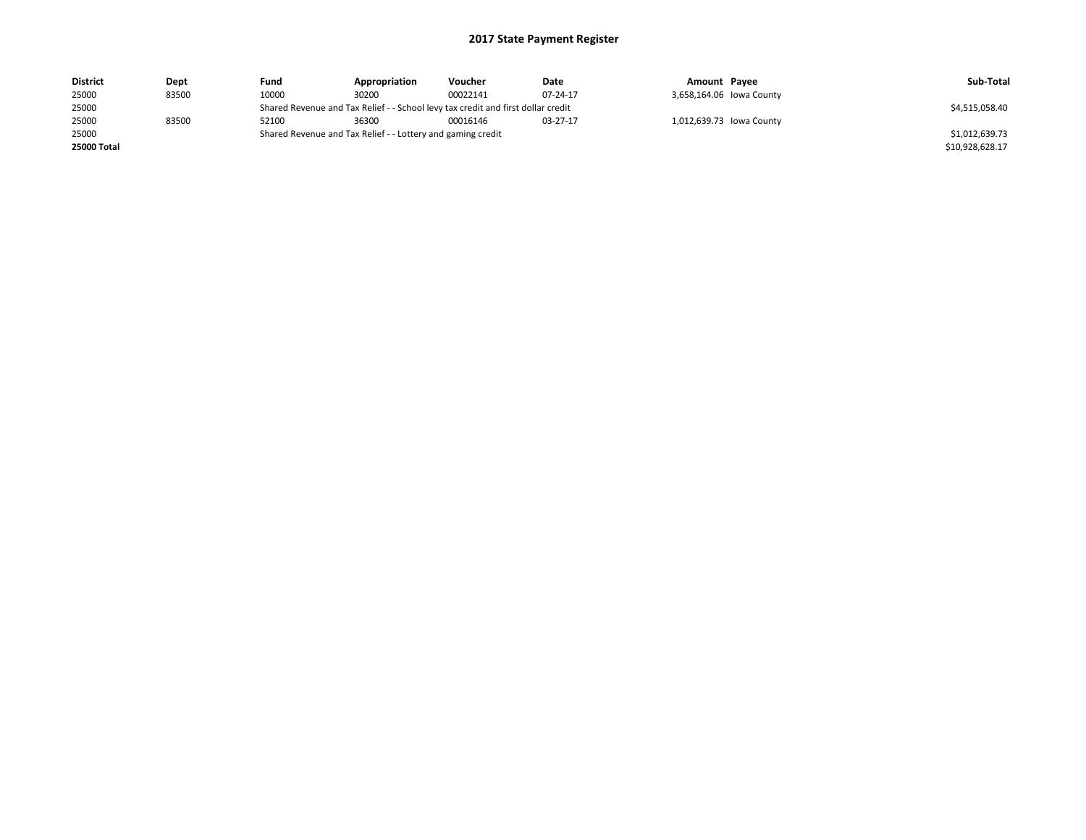| <b>District</b>    | Dept  | Fund  | Appropriation                                                                    | Voucher  | Date     | Amount Payee |                          | Sub-Total       |
|--------------------|-------|-------|----------------------------------------------------------------------------------|----------|----------|--------------|--------------------------|-----------------|
| 25000              | 83500 | 10000 | 30200                                                                            | 00022141 | 07-24-17 |              | 3,658,164.06 lowa County |                 |
| 25000              |       |       | Shared Revenue and Tax Relief - - School levy tax credit and first dollar credit |          |          |              |                          | \$4,515,058.40  |
| 25000              | 83500 | 52100 | 36300                                                                            | 00016146 | 03-27-17 |              | 1,012,639.73 Iowa County |                 |
| 25000              |       |       | Shared Revenue and Tax Relief - - Lottery and gaming credit                      |          |          |              |                          | \$1,012,639.73  |
| <b>25000 Total</b> |       |       |                                                                                  |          |          |              |                          | \$10,928,628.17 |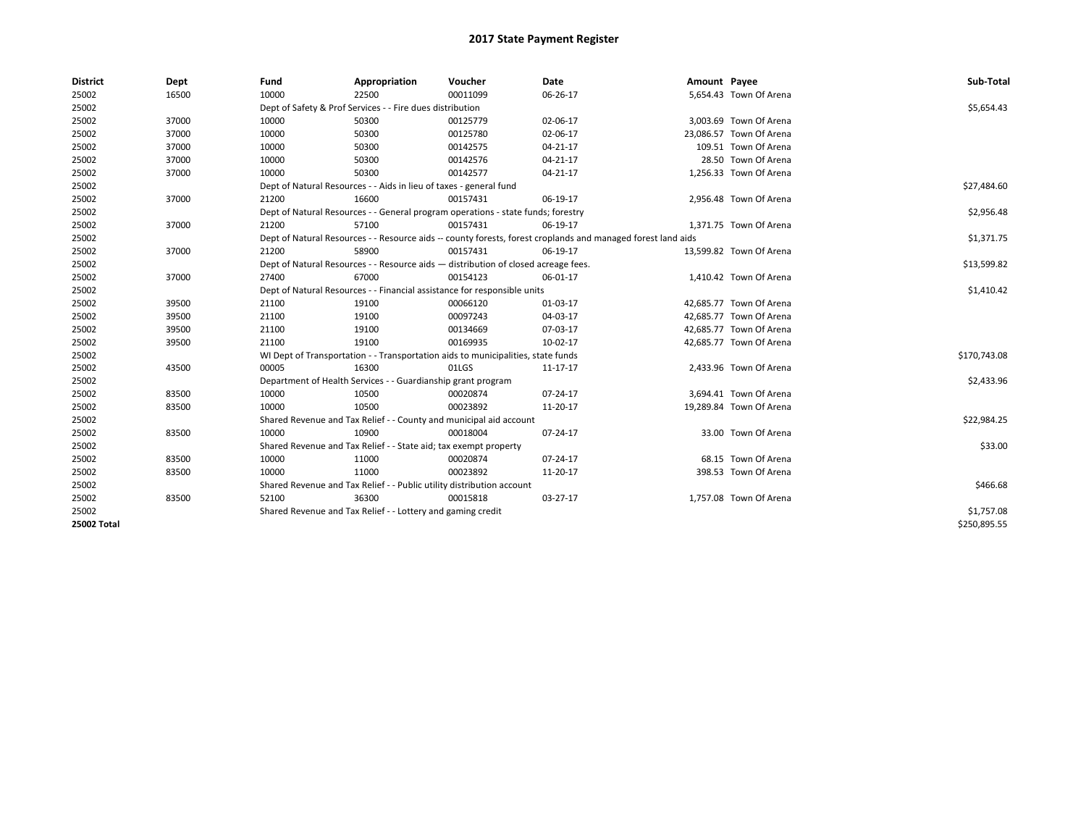| <b>District</b>    | Dept  | Fund  | Appropriation                                                                                                | Voucher  | Date           | Amount Payee |                         | Sub-Total    |
|--------------------|-------|-------|--------------------------------------------------------------------------------------------------------------|----------|----------------|--------------|-------------------------|--------------|
| 25002              | 16500 | 10000 | 22500                                                                                                        | 00011099 | 06-26-17       |              | 5,654.43 Town Of Arena  |              |
| 25002              |       |       | Dept of Safety & Prof Services - - Fire dues distribution                                                    |          |                |              |                         | \$5,654.43   |
| 25002              | 37000 | 10000 | 50300                                                                                                        | 00125779 | 02-06-17       |              | 3,003.69 Town Of Arena  |              |
| 25002              | 37000 | 10000 | 50300                                                                                                        | 00125780 | 02-06-17       |              | 23,086.57 Town Of Arena |              |
| 25002              | 37000 | 10000 | 50300                                                                                                        | 00142575 | $04 - 21 - 17$ |              | 109.51 Town Of Arena    |              |
| 25002              | 37000 | 10000 | 50300                                                                                                        | 00142576 | 04-21-17       |              | 28.50 Town Of Arena     |              |
| 25002              | 37000 | 10000 | 50300                                                                                                        | 00142577 | 04-21-17       |              | 1,256.33 Town Of Arena  |              |
| 25002              |       |       | Dept of Natural Resources - - Aids in lieu of taxes - general fund                                           |          |                |              |                         | \$27,484.60  |
| 25002              | 37000 | 21200 | 16600                                                                                                        | 00157431 | 06-19-17       |              | 2,956.48 Town Of Arena  |              |
| 25002              |       |       | Dept of Natural Resources - - General program operations - state funds; forestry                             |          |                |              |                         | \$2,956.48   |
| 25002              | 37000 | 21200 | 57100                                                                                                        | 00157431 | 06-19-17       |              | 1,371.75 Town Of Arena  |              |
| 25002              |       |       | Dept of Natural Resources - - Resource aids -- county forests, forest croplands and managed forest land aids |          |                |              |                         | \$1,371.75   |
| 25002              | 37000 | 21200 | 58900                                                                                                        | 00157431 | 06-19-17       |              | 13,599.82 Town Of Arena |              |
| 25002              |       |       | Dept of Natural Resources - - Resource aids - distribution of closed acreage fees.                           |          |                |              |                         | \$13,599.82  |
| 25002              | 37000 | 27400 | 67000                                                                                                        | 00154123 | 06-01-17       |              | 1,410.42 Town Of Arena  |              |
| 25002              |       |       | Dept of Natural Resources - - Financial assistance for responsible units                                     |          | \$1,410.42     |              |                         |              |
| 25002              | 39500 | 21100 | 19100                                                                                                        | 00066120 | 01-03-17       |              | 42,685.77 Town Of Arena |              |
| 25002              | 39500 | 21100 | 19100                                                                                                        | 00097243 | 04-03-17       |              | 42,685.77 Town Of Arena |              |
| 25002              | 39500 | 21100 | 19100                                                                                                        | 00134669 | 07-03-17       |              | 42,685.77 Town Of Arena |              |
| 25002              | 39500 | 21100 | 19100                                                                                                        | 00169935 | 10-02-17       |              | 42,685.77 Town Of Arena |              |
| 25002              |       |       | WI Dept of Transportation - - Transportation aids to municipalities, state funds                             |          |                |              |                         | \$170,743.08 |
| 25002              | 43500 | 00005 | 16300                                                                                                        | 01LGS    | 11-17-17       |              | 2,433.96 Town Of Arena  |              |
| 25002              |       |       | Department of Health Services - - Guardianship grant program                                                 |          |                |              |                         | \$2,433.96   |
| 25002              | 83500 | 10000 | 10500                                                                                                        | 00020874 | 07-24-17       |              | 3,694.41 Town Of Arena  |              |
| 25002              | 83500 | 10000 | 10500                                                                                                        | 00023892 | 11-20-17       |              | 19,289.84 Town Of Arena |              |
| 25002              |       |       | Shared Revenue and Tax Relief - - County and municipal aid account                                           |          |                |              |                         | \$22,984.25  |
| 25002              | 83500 | 10000 | 10900                                                                                                        | 00018004 | 07-24-17       |              | 33.00 Town Of Arena     |              |
| 25002              |       |       | Shared Revenue and Tax Relief - - State aid; tax exempt property                                             |          |                |              |                         | \$33.00      |
| 25002              | 83500 | 10000 | 11000                                                                                                        | 00020874 | 07-24-17       |              | 68.15 Town Of Arena     |              |
| 25002              | 83500 | 10000 | 11000                                                                                                        | 00023892 | 11-20-17       |              | 398.53 Town Of Arena    |              |
| 25002              |       |       | Shared Revenue and Tax Relief - - Public utility distribution account                                        |          |                |              |                         | \$466.68     |
| 25002              | 83500 | 52100 | 36300                                                                                                        | 00015818 | 03-27-17       |              | 1,757.08 Town Of Arena  |              |
| 25002              |       |       | Shared Revenue and Tax Relief - - Lottery and gaming credit                                                  |          |                |              |                         | \$1,757.08   |
| <b>25002 Total</b> |       |       |                                                                                                              |          |                |              |                         | \$250,895.55 |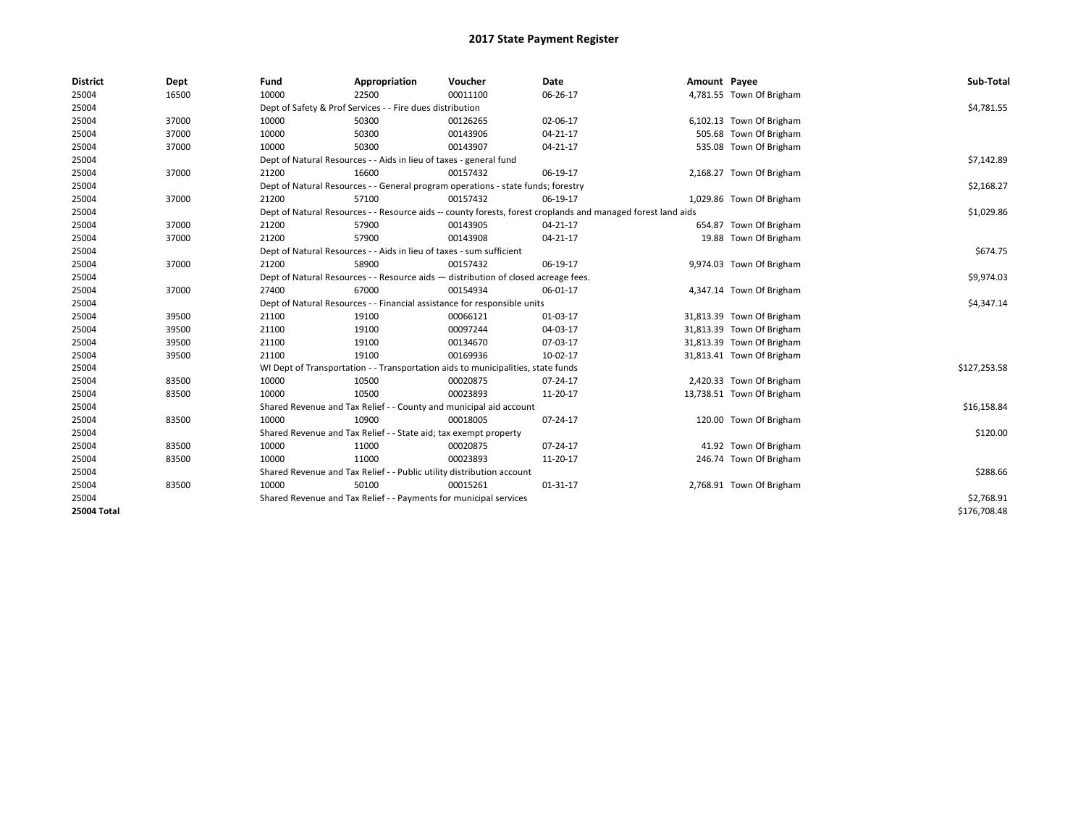| <b>District</b> | Dept  | Fund  | Appropriation                                                         | Voucher                                                                            | <b>Date</b>                                                                                                  | Amount Payee |                           | Sub-Total    |
|-----------------|-------|-------|-----------------------------------------------------------------------|------------------------------------------------------------------------------------|--------------------------------------------------------------------------------------------------------------|--------------|---------------------------|--------------|
| 25004           | 16500 | 10000 | 22500                                                                 | 00011100                                                                           | 06-26-17                                                                                                     |              | 4,781.55 Town Of Brigham  |              |
| 25004           |       |       | Dept of Safety & Prof Services - - Fire dues distribution             |                                                                                    |                                                                                                              |              |                           | \$4,781.55   |
| 25004           | 37000 | 10000 | 50300                                                                 | 00126265                                                                           | 02-06-17                                                                                                     |              | 6,102.13 Town Of Brigham  |              |
| 25004           | 37000 | 10000 | 50300                                                                 | 00143906                                                                           | 04-21-17                                                                                                     |              | 505.68 Town Of Brigham    |              |
| 25004           | 37000 | 10000 | 50300                                                                 | 00143907                                                                           | 04-21-17                                                                                                     |              | 535.08 Town Of Brigham    |              |
| 25004           |       |       | Dept of Natural Resources - - Aids in lieu of taxes - general fund    |                                                                                    |                                                                                                              |              |                           | \$7,142.89   |
| 25004           | 37000 | 21200 | 16600                                                                 | 00157432                                                                           | 06-19-17                                                                                                     |              | 2,168.27 Town Of Brigham  |              |
| 25004           |       |       |                                                                       | Dept of Natural Resources - - General program operations - state funds; forestry   |                                                                                                              |              |                           | \$2,168.27   |
| 25004           | 37000 | 21200 | 57100                                                                 | 00157432                                                                           | 06-19-17                                                                                                     |              | 1,029.86 Town Of Brigham  |              |
| 25004           |       |       |                                                                       |                                                                                    | Dept of Natural Resources - - Resource aids -- county forests, forest croplands and managed forest land aids |              |                           | \$1,029.86   |
| 25004           | 37000 | 21200 | 57900                                                                 | 00143905                                                                           | 04-21-17                                                                                                     |              | 654.87 Town Of Brigham    |              |
| 25004           | 37000 | 21200 | 57900                                                                 | 00143908                                                                           | 04-21-17                                                                                                     |              | 19.88 Town Of Brigham     |              |
| 25004           |       |       | Dept of Natural Resources - - Aids in lieu of taxes - sum sufficient  |                                                                                    |                                                                                                              |              |                           | \$674.75     |
| 25004           | 37000 | 21200 | 58900                                                                 | 00157432                                                                           | 06-19-17                                                                                                     |              | 9,974.03 Town Of Brigham  |              |
| 25004           |       |       |                                                                       | Dept of Natural Resources - - Resource aids - distribution of closed acreage fees. |                                                                                                              |              |                           | \$9,974.03   |
| 25004           | 37000 | 27400 | 67000                                                                 | 00154934                                                                           | 06-01-17                                                                                                     |              | 4,347.14 Town Of Brigham  |              |
| 25004           |       |       |                                                                       | Dept of Natural Resources - - Financial assistance for responsible units           |                                                                                                              |              |                           | \$4,347.14   |
| 25004           | 39500 | 21100 | 19100                                                                 | 00066121                                                                           | 01-03-17                                                                                                     |              | 31,813.39 Town Of Brigham |              |
| 25004           | 39500 | 21100 | 19100                                                                 | 00097244                                                                           | 04-03-17                                                                                                     |              | 31,813.39 Town Of Brigham |              |
| 25004           | 39500 | 21100 | 19100                                                                 | 00134670                                                                           | 07-03-17                                                                                                     |              | 31,813.39 Town Of Brigham |              |
| 25004           | 39500 | 21100 | 19100                                                                 | 00169936                                                                           | 10-02-17                                                                                                     |              | 31,813.41 Town Of Brigham |              |
| 25004           |       |       |                                                                       | WI Dept of Transportation - - Transportation aids to municipalities, state funds   |                                                                                                              |              |                           | \$127,253.58 |
| 25004           | 83500 | 10000 | 10500                                                                 | 00020875                                                                           | 07-24-17                                                                                                     |              | 2,420.33 Town Of Brigham  |              |
| 25004           | 83500 | 10000 | 10500                                                                 | 00023893                                                                           | 11-20-17                                                                                                     |              | 13,738.51 Town Of Brigham |              |
| 25004           |       |       |                                                                       | Shared Revenue and Tax Relief - - County and municipal aid account                 |                                                                                                              |              |                           | \$16,158.84  |
| 25004           | 83500 | 10000 | 10900                                                                 | 00018005                                                                           | 07-24-17                                                                                                     |              | 120.00 Town Of Brigham    |              |
| 25004           |       |       | Shared Revenue and Tax Relief - - State aid; tax exempt property      |                                                                                    |                                                                                                              |              |                           | \$120.00     |
| 25004           | 83500 | 10000 | 11000                                                                 | 00020875                                                                           | 07-24-17                                                                                                     |              | 41.92 Town Of Brigham     |              |
| 25004           | 83500 | 10000 | 11000                                                                 | 00023893                                                                           | 11-20-17                                                                                                     |              | 246.74 Town Of Brigham    |              |
| 25004           |       |       | Shared Revenue and Tax Relief - - Public utility distribution account |                                                                                    |                                                                                                              |              |                           | \$288.66     |
| 25004           | 83500 | 10000 | 50100                                                                 | 00015261                                                                           | 01-31-17                                                                                                     |              | 2,768.91 Town Of Brigham  |              |
| 25004           |       |       | Shared Revenue and Tax Relief - - Payments for municipal services     |                                                                                    |                                                                                                              |              |                           | \$2,768.91   |
| 25004 Total     |       |       |                                                                       |                                                                                    |                                                                                                              |              |                           | \$176,708.48 |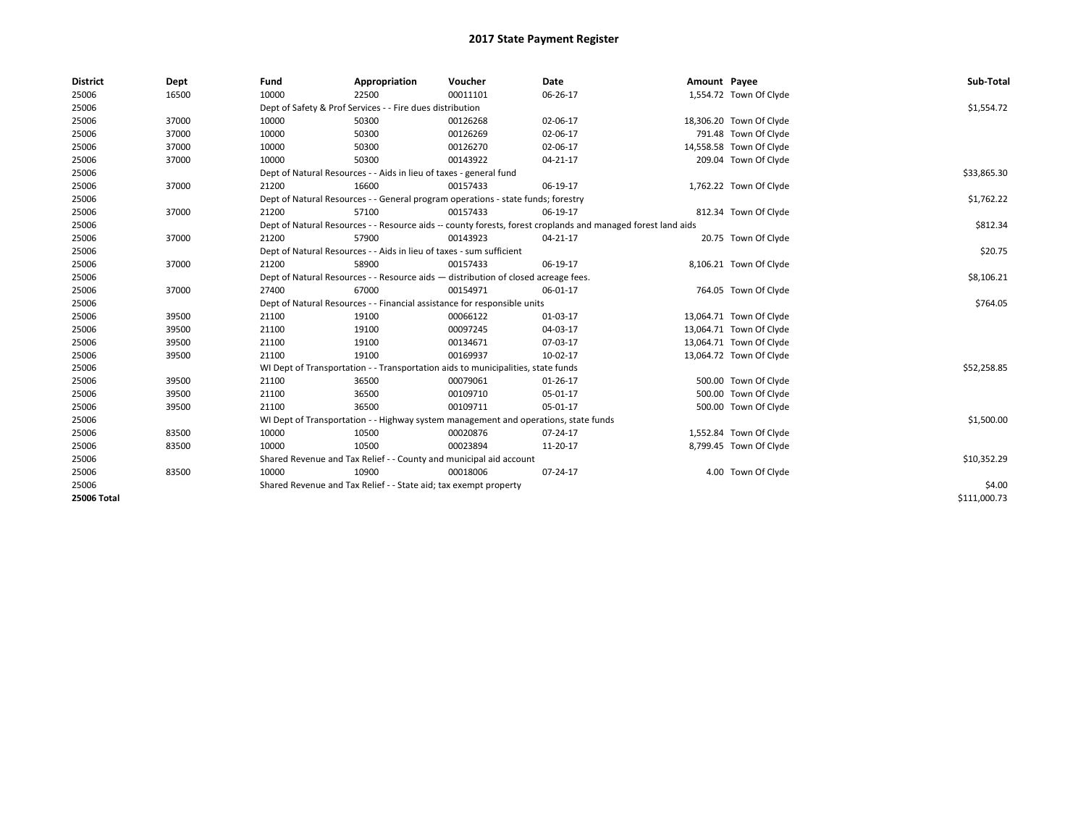| <b>District</b> | Dept  | Fund  | Appropriation                                                                                                | Voucher  | Date       | Amount Payee |                         | Sub-Total    |
|-----------------|-------|-------|--------------------------------------------------------------------------------------------------------------|----------|------------|--------------|-------------------------|--------------|
| 25006           | 16500 | 10000 | 22500                                                                                                        | 00011101 | 06-26-17   |              | 1,554.72 Town Of Clyde  |              |
| 25006           |       |       | Dept of Safety & Prof Services - - Fire dues distribution                                                    |          |            |              |                         | \$1,554.72   |
| 25006           | 37000 | 10000 | 50300                                                                                                        | 00126268 | 02-06-17   |              | 18,306.20 Town Of Clyde |              |
| 25006           | 37000 | 10000 | 50300                                                                                                        | 00126269 | 02-06-17   |              | 791.48 Town Of Clyde    |              |
| 25006           | 37000 | 10000 | 50300                                                                                                        | 00126270 | 02-06-17   |              | 14,558.58 Town Of Clyde |              |
| 25006           | 37000 | 10000 | 50300                                                                                                        | 00143922 | 04-21-17   |              | 209.04 Town Of Clyde    |              |
| 25006           |       |       | Dept of Natural Resources - - Aids in lieu of taxes - general fund                                           |          |            |              |                         | \$33,865.30  |
| 25006           | 37000 | 21200 | 16600                                                                                                        | 00157433 | 06-19-17   |              | 1,762.22 Town Of Clyde  |              |
| 25006           |       |       | Dept of Natural Resources - - General program operations - state funds; forestry                             |          | \$1,762.22 |              |                         |              |
| 25006           | 37000 | 21200 | 57100                                                                                                        | 00157433 | 06-19-17   |              | 812.34 Town Of Clyde    |              |
| 25006           |       |       | Dept of Natural Resources - - Resource aids -- county forests, forest croplands and managed forest land aids |          |            |              |                         | \$812.34     |
| 25006           | 37000 | 21200 | 57900                                                                                                        | 00143923 | 04-21-17   |              | 20.75 Town Of Clyde     |              |
| 25006           |       |       | Dept of Natural Resources - - Aids in lieu of taxes - sum sufficient                                         |          |            |              |                         | \$20.75      |
| 25006           | 37000 | 21200 | 58900                                                                                                        | 00157433 | 06-19-17   |              | 8,106.21 Town Of Clyde  |              |
| 25006           |       |       | Dept of Natural Resources - - Resource aids - distribution of closed acreage fees.                           |          | \$8,106.21 |              |                         |              |
| 25006           | 37000 | 27400 | 67000                                                                                                        | 00154971 | 06-01-17   |              | 764.05 Town Of Clyde    |              |
| 25006           |       |       | Dept of Natural Resources - - Financial assistance for responsible units                                     |          |            |              |                         | \$764.05     |
| 25006           | 39500 | 21100 | 19100                                                                                                        | 00066122 | 01-03-17   |              | 13,064.71 Town Of Clyde |              |
| 25006           | 39500 | 21100 | 19100                                                                                                        | 00097245 | 04-03-17   |              | 13,064.71 Town Of Clyde |              |
| 25006           | 39500 | 21100 | 19100                                                                                                        | 00134671 | 07-03-17   |              | 13,064.71 Town Of Clyde |              |
| 25006           | 39500 | 21100 | 19100                                                                                                        | 00169937 | 10-02-17   |              | 13,064.72 Town Of Clyde |              |
| 25006           |       |       | WI Dept of Transportation - - Transportation aids to municipalities, state funds                             |          |            |              |                         | \$52,258.85  |
| 25006           | 39500 | 21100 | 36500                                                                                                        | 00079061 | 01-26-17   |              | 500.00 Town Of Clyde    |              |
| 25006           | 39500 | 21100 | 36500                                                                                                        | 00109710 | 05-01-17   |              | 500.00 Town Of Clyde    |              |
| 25006           | 39500 | 21100 | 36500                                                                                                        | 00109711 | 05-01-17   |              | 500.00 Town Of Clyde    |              |
| 25006           |       |       | WI Dept of Transportation - - Highway system management and operations, state funds                          |          |            |              |                         | \$1,500.00   |
| 25006           | 83500 | 10000 | 10500                                                                                                        | 00020876 | 07-24-17   |              | 1,552.84 Town Of Clyde  |              |
| 25006           | 83500 | 10000 | 10500                                                                                                        | 00023894 | 11-20-17   |              | 8,799.45 Town Of Clyde  |              |
| 25006           |       |       | Shared Revenue and Tax Relief - - County and municipal aid account                                           |          |            |              |                         | \$10,352.29  |
| 25006           | 83500 | 10000 | 10900                                                                                                        | 00018006 | 07-24-17   |              | 4.00 Town Of Clyde      |              |
| 25006           |       |       | Shared Revenue and Tax Relief - - State aid; tax exempt property                                             |          |            |              |                         | \$4.00       |
| 25006 Total     |       |       |                                                                                                              |          |            |              |                         | \$111,000.73 |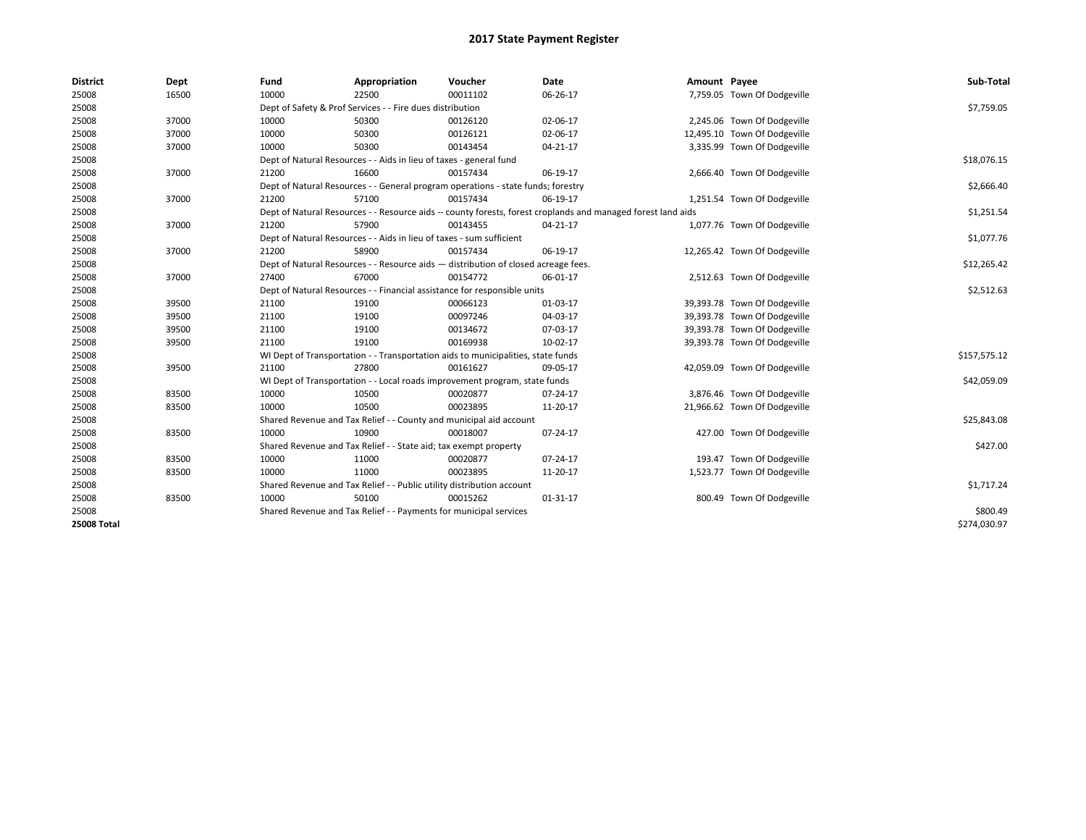| <b>District</b>    | Dept  | Fund  | Appropriation                                                                      | Voucher  | Date                                                                                                         | Amount Payee |                              | Sub-Total    |
|--------------------|-------|-------|------------------------------------------------------------------------------------|----------|--------------------------------------------------------------------------------------------------------------|--------------|------------------------------|--------------|
| 25008              | 16500 | 10000 | 22500                                                                              | 00011102 | 06-26-17                                                                                                     |              | 7,759.05 Town Of Dodgeville  |              |
| 25008              |       |       | Dept of Safety & Prof Services - - Fire dues distribution                          |          |                                                                                                              |              |                              | \$7,759.05   |
| 25008              | 37000 | 10000 | 50300                                                                              | 00126120 | 02-06-17                                                                                                     |              | 2,245.06 Town Of Dodgeville  |              |
| 25008              | 37000 | 10000 | 50300                                                                              | 00126121 | 02-06-17                                                                                                     |              | 12,495.10 Town Of Dodgeville |              |
| 25008              | 37000 | 10000 | 50300                                                                              | 00143454 | 04-21-17                                                                                                     |              | 3,335.99 Town Of Dodgeville  |              |
| 25008              |       |       | Dept of Natural Resources - - Aids in lieu of taxes - general fund                 |          |                                                                                                              |              |                              | \$18,076.15  |
| 25008              | 37000 | 21200 | 16600                                                                              | 00157434 | 06-19-17                                                                                                     |              | 2,666.40 Town Of Dodgeville  |              |
| 25008              |       |       | Dept of Natural Resources - - General program operations - state funds; forestry   |          |                                                                                                              |              |                              | \$2,666.40   |
| 25008              | 37000 | 21200 | 57100                                                                              | 00157434 | 06-19-17                                                                                                     |              | 1,251.54 Town Of Dodgeville  |              |
| 25008              |       |       |                                                                                    |          | Dept of Natural Resources - - Resource aids -- county forests, forest croplands and managed forest land aids |              |                              | \$1,251.54   |
| 25008              | 37000 | 21200 | 57900                                                                              | 00143455 | 04-21-17                                                                                                     |              | 1,077.76 Town Of Dodgeville  |              |
| 25008              |       |       | Dept of Natural Resources - - Aids in lieu of taxes - sum sufficient               |          |                                                                                                              |              |                              | \$1,077.76   |
| 25008              | 37000 | 21200 | 58900                                                                              | 00157434 | 06-19-17                                                                                                     |              | 12,265.42 Town Of Dodgeville |              |
| 25008              |       |       | Dept of Natural Resources - - Resource aids - distribution of closed acreage fees. |          |                                                                                                              |              |                              | \$12,265.42  |
| 25008              | 37000 | 27400 | 67000                                                                              | 00154772 | 06-01-17                                                                                                     |              | 2,512.63 Town Of Dodgeville  |              |
| 25008              |       |       | Dept of Natural Resources - - Financial assistance for responsible units           |          | \$2,512.63                                                                                                   |              |                              |              |
| 25008              | 39500 | 21100 | 19100                                                                              | 00066123 | 01-03-17                                                                                                     |              | 39,393.78 Town Of Dodgeville |              |
| 25008              | 39500 | 21100 | 19100                                                                              | 00097246 | 04-03-17                                                                                                     |              | 39,393.78 Town Of Dodgeville |              |
| 25008              | 39500 | 21100 | 19100                                                                              | 00134672 | 07-03-17                                                                                                     |              | 39,393.78 Town Of Dodgeville |              |
| 25008              | 39500 | 21100 | 19100                                                                              | 00169938 | 10-02-17                                                                                                     |              | 39,393.78 Town Of Dodgeville |              |
| 25008              |       |       | WI Dept of Transportation - - Transportation aids to municipalities, state funds   |          |                                                                                                              |              |                              | \$157,575.12 |
| 25008              | 39500 | 21100 | 27800                                                                              | 00161627 | 09-05-17                                                                                                     |              | 42,059.09 Town Of Dodgeville |              |
| 25008              |       |       | WI Dept of Transportation - - Local roads improvement program, state funds         |          |                                                                                                              |              |                              | \$42,059.09  |
| 25008              | 83500 | 10000 | 10500                                                                              | 00020877 | 07-24-17                                                                                                     |              | 3,876.46 Town Of Dodgeville  |              |
| 25008              | 83500 | 10000 | 10500                                                                              | 00023895 | 11-20-17                                                                                                     |              | 21,966.62 Town Of Dodgeville |              |
| 25008              |       |       | Shared Revenue and Tax Relief - - County and municipal aid account                 |          |                                                                                                              |              |                              | \$25,843.08  |
| 25008              | 83500 | 10000 | 10900                                                                              | 00018007 | 07-24-17                                                                                                     |              | 427.00 Town Of Dodgeville    |              |
| 25008              |       |       | Shared Revenue and Tax Relief - - State aid; tax exempt property                   |          |                                                                                                              |              |                              | \$427.00     |
| 25008              | 83500 | 10000 | 11000                                                                              | 00020877 | 07-24-17                                                                                                     |              | 193.47 Town Of Dodgeville    |              |
| 25008              | 83500 | 10000 | 11000                                                                              | 00023895 | 11-20-17                                                                                                     |              | 1,523.77 Town Of Dodgeville  |              |
| 25008              |       |       | Shared Revenue and Tax Relief - - Public utility distribution account              |          |                                                                                                              |              |                              | \$1,717.24   |
| 25008              | 83500 | 10000 | 50100                                                                              | 00015262 | 01-31-17                                                                                                     |              | 800.49 Town Of Dodgeville    |              |
| 25008              |       |       | Shared Revenue and Tax Relief - - Payments for municipal services                  |          |                                                                                                              |              |                              | \$800.49     |
| <b>25008 Total</b> |       |       |                                                                                    |          |                                                                                                              |              |                              | \$274,030.97 |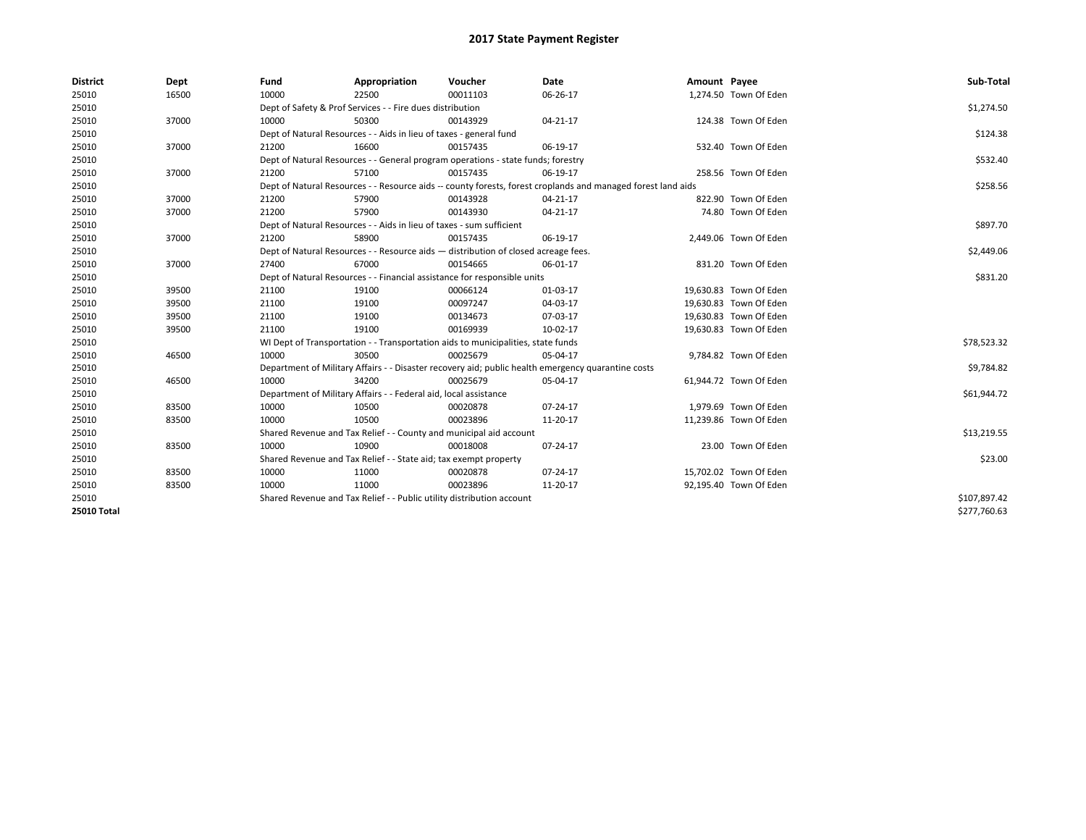| <b>District</b>    | Dept  | Fund  | Appropriation                                                         | Voucher                                                                            | Date                                                                                                         | Amount Payee |                        | Sub-Total    |
|--------------------|-------|-------|-----------------------------------------------------------------------|------------------------------------------------------------------------------------|--------------------------------------------------------------------------------------------------------------|--------------|------------------------|--------------|
| 25010              | 16500 | 10000 | 22500                                                                 | 00011103                                                                           | 06-26-17                                                                                                     |              | 1,274.50 Town Of Eden  |              |
| 25010              |       |       | Dept of Safety & Prof Services - - Fire dues distribution             |                                                                                    |                                                                                                              |              |                        | \$1,274.50   |
| 25010              | 37000 | 10000 | 50300                                                                 | 00143929                                                                           | 04-21-17                                                                                                     |              | 124.38 Town Of Eden    |              |
| 25010              |       |       | Dept of Natural Resources - - Aids in lieu of taxes - general fund    |                                                                                    |                                                                                                              |              |                        | \$124.38     |
| 25010              | 37000 | 21200 | 16600                                                                 | 00157435                                                                           | 06-19-17                                                                                                     |              | 532.40 Town Of Eden    |              |
| 25010              |       |       |                                                                       | Dept of Natural Resources - - General program operations - state funds; forestry   |                                                                                                              |              |                        | \$532.40     |
| 25010              | 37000 | 21200 | 57100                                                                 | 00157435                                                                           | 06-19-17                                                                                                     |              | 258.56 Town Of Eden    |              |
| 25010              |       |       |                                                                       |                                                                                    | Dept of Natural Resources - - Resource aids -- county forests, forest croplands and managed forest land aids |              |                        | \$258.56     |
| 25010              | 37000 | 21200 | 57900                                                                 | 00143928                                                                           | 04-21-17                                                                                                     |              | 822.90 Town Of Eden    |              |
| 25010              | 37000 | 21200 | 57900                                                                 | 00143930                                                                           | 04-21-17                                                                                                     |              | 74.80 Town Of Eden     |              |
| 25010              |       |       | Dept of Natural Resources - - Aids in lieu of taxes - sum sufficient  |                                                                                    |                                                                                                              |              |                        | \$897.70     |
| 25010              | 37000 | 21200 | 58900                                                                 | 00157435                                                                           | 06-19-17                                                                                                     |              | 2,449.06 Town Of Eden  |              |
| 25010              |       |       |                                                                       | Dept of Natural Resources - - Resource aids - distribution of closed acreage fees. |                                                                                                              |              |                        | \$2,449.06   |
| 25010              | 37000 | 27400 | 67000                                                                 | 00154665                                                                           | 06-01-17                                                                                                     |              | 831.20 Town Of Eden    |              |
| 25010              |       |       |                                                                       | Dept of Natural Resources - - Financial assistance for responsible units           |                                                                                                              |              |                        | \$831.20     |
| 25010              | 39500 | 21100 | 19100                                                                 | 00066124                                                                           | 01-03-17                                                                                                     |              | 19,630.83 Town Of Eden |              |
| 25010              | 39500 | 21100 | 19100                                                                 | 00097247                                                                           | 04-03-17                                                                                                     |              | 19,630.83 Town Of Eden |              |
| 25010              | 39500 | 21100 | 19100                                                                 | 00134673                                                                           | 07-03-17                                                                                                     |              | 19,630.83 Town Of Eden |              |
| 25010              | 39500 | 21100 | 19100                                                                 | 00169939                                                                           | 10-02-17                                                                                                     |              | 19,630.83 Town Of Eden |              |
| 25010              |       |       |                                                                       | WI Dept of Transportation - - Transportation aids to municipalities, state funds   |                                                                                                              |              |                        | \$78,523.32  |
| 25010              | 46500 | 10000 | 30500                                                                 | 00025679                                                                           | 05-04-17                                                                                                     |              | 9,784.82 Town Of Eden  |              |
| 25010              |       |       |                                                                       |                                                                                    | Department of Military Affairs - - Disaster recovery aid; public health emergency quarantine costs           |              |                        | \$9,784.82   |
| 25010              | 46500 | 10000 | 34200                                                                 | 00025679                                                                           | 05-04-17                                                                                                     |              | 61,944.72 Town Of Eden |              |
| 25010              |       |       | Department of Military Affairs - - Federal aid, local assistance      |                                                                                    |                                                                                                              |              |                        | \$61,944.72  |
| 25010              | 83500 | 10000 | 10500                                                                 | 00020878                                                                           | 07-24-17                                                                                                     |              | 1,979.69 Town Of Eden  |              |
| 25010              | 83500 | 10000 | 10500                                                                 | 00023896                                                                           | 11-20-17                                                                                                     |              | 11,239.86 Town Of Eden |              |
| 25010              |       |       |                                                                       | Shared Revenue and Tax Relief - - County and municipal aid account                 |                                                                                                              |              |                        | \$13,219.55  |
| 25010              | 83500 | 10000 | 10900                                                                 | 00018008                                                                           | 07-24-17                                                                                                     |              | 23.00 Town Of Eden     |              |
| 25010              |       |       | Shared Revenue and Tax Relief - - State aid; tax exempt property      |                                                                                    |                                                                                                              |              |                        | \$23.00      |
| 25010              | 83500 | 10000 | 11000                                                                 | 00020878                                                                           | 07-24-17                                                                                                     |              | 15,702.02 Town Of Eden |              |
| 25010              | 83500 | 10000 | 11000                                                                 | 00023896                                                                           | 11-20-17                                                                                                     |              | 92,195.40 Town Of Eden |              |
| 25010              |       |       | Shared Revenue and Tax Relief - - Public utility distribution account |                                                                                    |                                                                                                              |              |                        | \$107,897.42 |
| <b>25010 Total</b> |       |       |                                                                       |                                                                                    |                                                                                                              |              |                        | \$277,760.63 |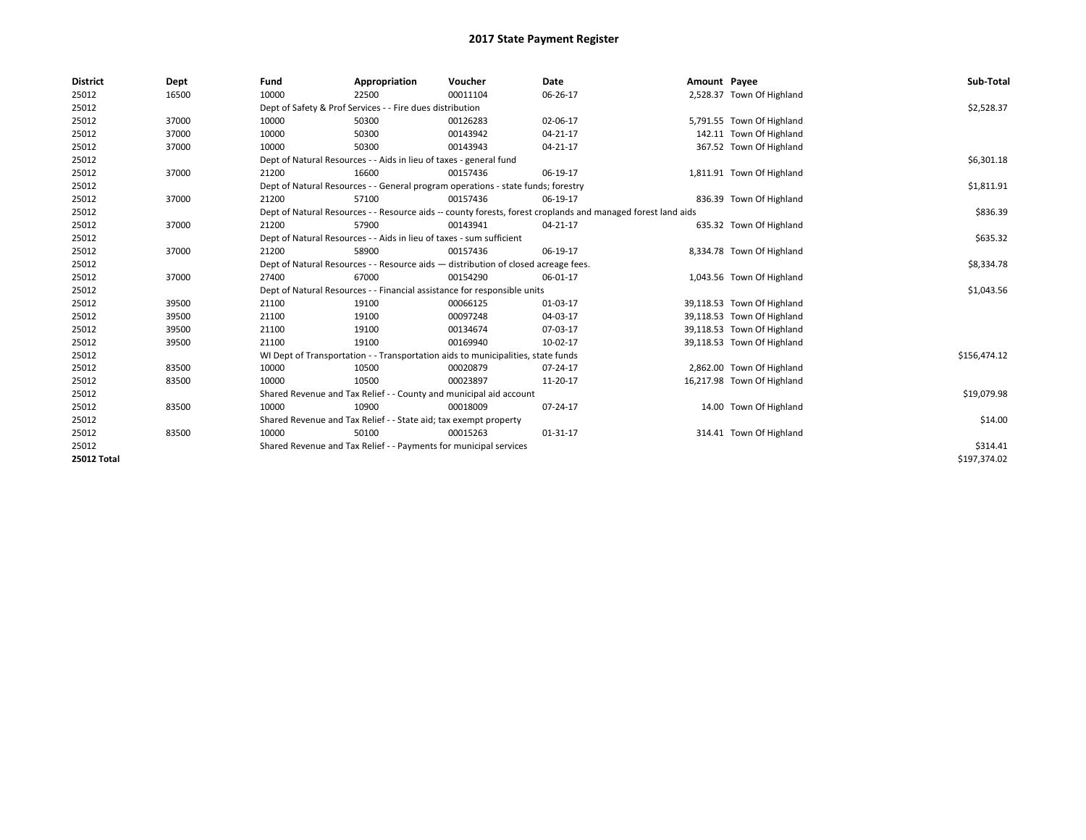| <b>District</b>    | Dept  | Fund  | Appropriation                                                                      | Voucher  | Date                                                                                                         | Amount Payee |                            | Sub-Total    |
|--------------------|-------|-------|------------------------------------------------------------------------------------|----------|--------------------------------------------------------------------------------------------------------------|--------------|----------------------------|--------------|
| 25012              | 16500 | 10000 | 22500                                                                              | 00011104 | 06-26-17                                                                                                     |              | 2,528.37 Town Of Highland  |              |
| 25012              |       |       | Dept of Safety & Prof Services - - Fire dues distribution                          |          |                                                                                                              |              |                            | \$2,528.37   |
| 25012              | 37000 | 10000 | 50300                                                                              | 00126283 | 02-06-17                                                                                                     |              | 5,791.55 Town Of Highland  |              |
| 25012              | 37000 | 10000 | 50300                                                                              | 00143942 | $04 - 21 - 17$                                                                                               |              | 142.11 Town Of Highland    |              |
| 25012              | 37000 | 10000 | 50300                                                                              | 00143943 | 04-21-17                                                                                                     |              | 367.52 Town Of Highland    |              |
| 25012              |       |       | Dept of Natural Resources - - Aids in lieu of taxes - general fund                 |          |                                                                                                              |              |                            | \$6,301.18   |
| 25012              | 37000 | 21200 | 16600                                                                              | 00157436 | 06-19-17                                                                                                     |              | 1,811.91 Town Of Highland  |              |
| 25012              |       |       | Dept of Natural Resources - - General program operations - state funds; forestry   |          |                                                                                                              |              |                            | \$1,811.91   |
| 25012              | 37000 | 21200 | 57100                                                                              | 00157436 | 06-19-17                                                                                                     |              | 836.39 Town Of Highland    |              |
| 25012              |       |       |                                                                                    |          | Dept of Natural Resources - - Resource aids -- county forests, forest croplands and managed forest land aids |              |                            | \$836.39     |
| 25012              | 37000 | 21200 | 57900                                                                              | 00143941 | 04-21-17                                                                                                     |              | 635.32 Town Of Highland    |              |
| 25012              |       |       | Dept of Natural Resources - - Aids in lieu of taxes - sum sufficient               |          |                                                                                                              |              |                            | \$635.32     |
| 25012              | 37000 | 21200 | 58900                                                                              | 00157436 | 06-19-17                                                                                                     |              | 8,334.78 Town Of Highland  |              |
| 25012              |       |       | Dept of Natural Resources - - Resource aids - distribution of closed acreage fees. |          |                                                                                                              |              |                            | \$8,334.78   |
| 25012              | 37000 | 27400 | 67000                                                                              | 00154290 | 06-01-17                                                                                                     |              | 1,043.56 Town Of Highland  |              |
| 25012              |       |       | Dept of Natural Resources - - Financial assistance for responsible units           |          |                                                                                                              |              |                            | \$1,043.56   |
| 25012              | 39500 | 21100 | 19100                                                                              | 00066125 | 01-03-17                                                                                                     |              | 39,118.53 Town Of Highland |              |
| 25012              | 39500 | 21100 | 19100                                                                              | 00097248 | 04-03-17                                                                                                     |              | 39,118.53 Town Of Highland |              |
| 25012              | 39500 | 21100 | 19100                                                                              | 00134674 | 07-03-17                                                                                                     |              | 39,118.53 Town Of Highland |              |
| 25012              | 39500 | 21100 | 19100                                                                              | 00169940 | 10-02-17                                                                                                     |              | 39,118.53 Town Of Highland |              |
| 25012              |       |       | WI Dept of Transportation - - Transportation aids to municipalities, state funds   |          |                                                                                                              |              |                            | \$156,474.12 |
| 25012              | 83500 | 10000 | 10500                                                                              | 00020879 | 07-24-17                                                                                                     |              | 2,862.00 Town Of Highland  |              |
| 25012              | 83500 | 10000 | 10500                                                                              | 00023897 | 11-20-17                                                                                                     |              | 16,217.98 Town Of Highland |              |
| 25012              |       |       | Shared Revenue and Tax Relief - - County and municipal aid account                 |          |                                                                                                              |              |                            | \$19,079.98  |
| 25012              | 83500 | 10000 | 10900                                                                              | 00018009 | $07 - 24 - 17$                                                                                               |              | 14.00 Town Of Highland     |              |
| 25012              |       |       | Shared Revenue and Tax Relief - - State aid; tax exempt property                   |          |                                                                                                              |              |                            | \$14.00      |
| 25012              | 83500 | 10000 | 50100                                                                              | 00015263 | 01-31-17                                                                                                     |              | 314.41 Town Of Highland    |              |
| 25012              |       |       | Shared Revenue and Tax Relief - - Payments for municipal services                  |          |                                                                                                              |              |                            | \$314.41     |
| <b>25012 Total</b> |       |       |                                                                                    |          |                                                                                                              |              |                            | \$197,374.02 |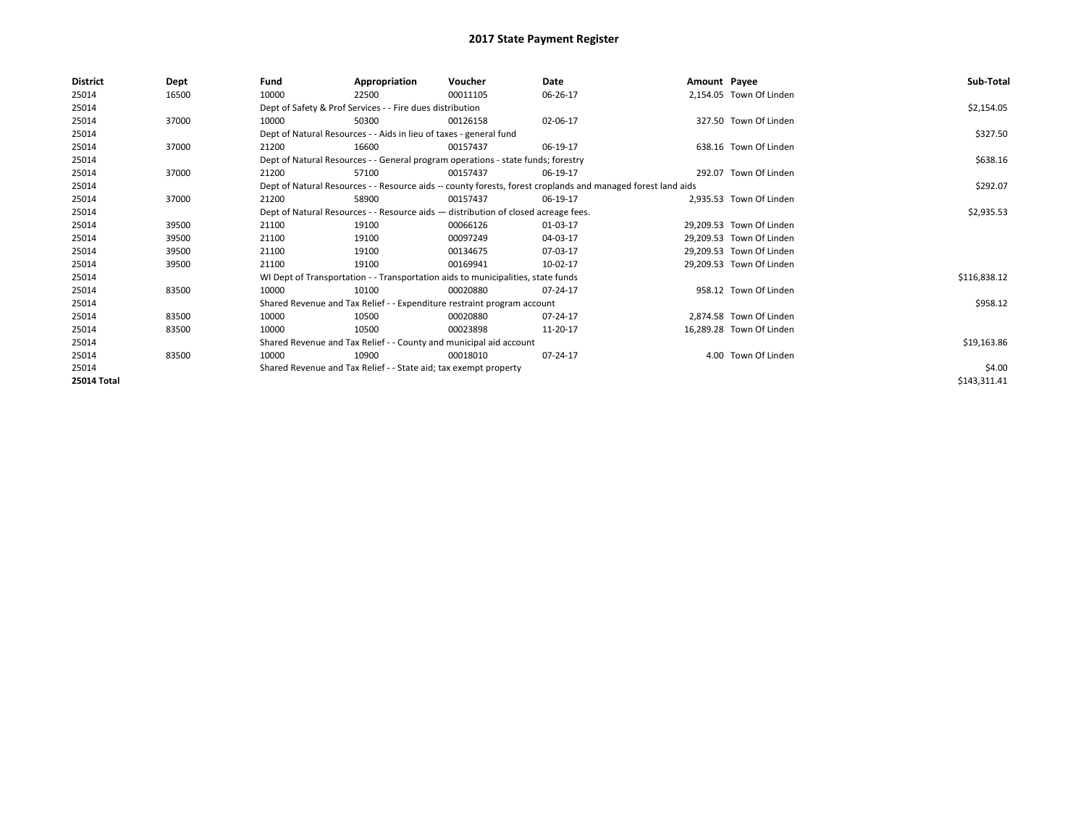| <b>District</b>    | Dept  | Fund  | Appropriation                                                                      | Voucher  | Date                                                                                                         | Amount Payee |                          | Sub-Total    |
|--------------------|-------|-------|------------------------------------------------------------------------------------|----------|--------------------------------------------------------------------------------------------------------------|--------------|--------------------------|--------------|
| 25014              | 16500 | 10000 | 22500                                                                              | 00011105 | 06-26-17                                                                                                     |              | 2,154.05 Town Of Linden  |              |
| 25014              |       |       | Dept of Safety & Prof Services - - Fire dues distribution                          |          |                                                                                                              |              |                          | \$2,154.05   |
| 25014              | 37000 | 10000 | 50300                                                                              | 00126158 | 02-06-17                                                                                                     |              | 327.50 Town Of Linden    |              |
| 25014              |       |       | Dept of Natural Resources - - Aids in lieu of taxes - general fund                 |          |                                                                                                              |              |                          | \$327.50     |
| 25014              | 37000 | 21200 | 16600                                                                              | 00157437 | 06-19-17                                                                                                     |              | 638.16 Town Of Linden    |              |
| 25014              |       |       | Dept of Natural Resources - - General program operations - state funds; forestry   |          |                                                                                                              |              |                          | \$638.16     |
| 25014              | 37000 | 21200 | 57100                                                                              | 00157437 | 06-19-17                                                                                                     |              | 292.07 Town Of Linden    |              |
| 25014              |       |       |                                                                                    |          | Dept of Natural Resources - - Resource aids -- county forests, forest croplands and managed forest land aids |              |                          | \$292.07     |
| 25014              | 37000 | 21200 | 58900                                                                              | 00157437 | 06-19-17                                                                                                     |              | 2.935.53 Town Of Linden  |              |
| 25014              |       |       | Dept of Natural Resources - - Resource aids - distribution of closed acreage fees. |          |                                                                                                              |              |                          | \$2,935.53   |
| 25014              | 39500 | 21100 | 19100                                                                              | 00066126 | 01-03-17                                                                                                     |              | 29.209.53 Town Of Linden |              |
| 25014              | 39500 | 21100 | 19100                                                                              | 00097249 | 04-03-17                                                                                                     |              | 29,209.53 Town Of Linden |              |
| 25014              | 39500 | 21100 | 19100                                                                              | 00134675 | 07-03-17                                                                                                     |              | 29,209.53 Town Of Linden |              |
| 25014              | 39500 | 21100 | 19100                                                                              | 00169941 | 10-02-17                                                                                                     |              | 29,209.53 Town Of Linden |              |
| 25014              |       |       | WI Dept of Transportation - - Transportation aids to municipalities, state funds   |          |                                                                                                              |              |                          | \$116,838.12 |
| 25014              | 83500 | 10000 | 10100                                                                              | 00020880 | 07-24-17                                                                                                     |              | 958.12 Town Of Linden    |              |
| 25014              |       |       | Shared Revenue and Tax Relief - - Expenditure restraint program account            |          |                                                                                                              |              |                          | \$958.12     |
| 25014              | 83500 | 10000 | 10500                                                                              | 00020880 | 07-24-17                                                                                                     |              | 2.874.58 Town Of Linden  |              |
| 25014              | 83500 | 10000 | 10500                                                                              | 00023898 | 11-20-17                                                                                                     |              | 16.289.28 Town Of Linden |              |
| 25014              |       |       | Shared Revenue and Tax Relief - - County and municipal aid account                 |          |                                                                                                              |              |                          | \$19,163.86  |
| 25014              | 83500 | 10000 | 10900                                                                              | 00018010 | 07-24-17                                                                                                     |              | 4.00 Town Of Linden      |              |
| 25014              |       |       | Shared Revenue and Tax Relief - - State aid; tax exempt property                   |          |                                                                                                              |              |                          | \$4.00       |
| <b>25014 Total</b> |       |       |                                                                                    |          |                                                                                                              |              |                          | \$143,311.41 |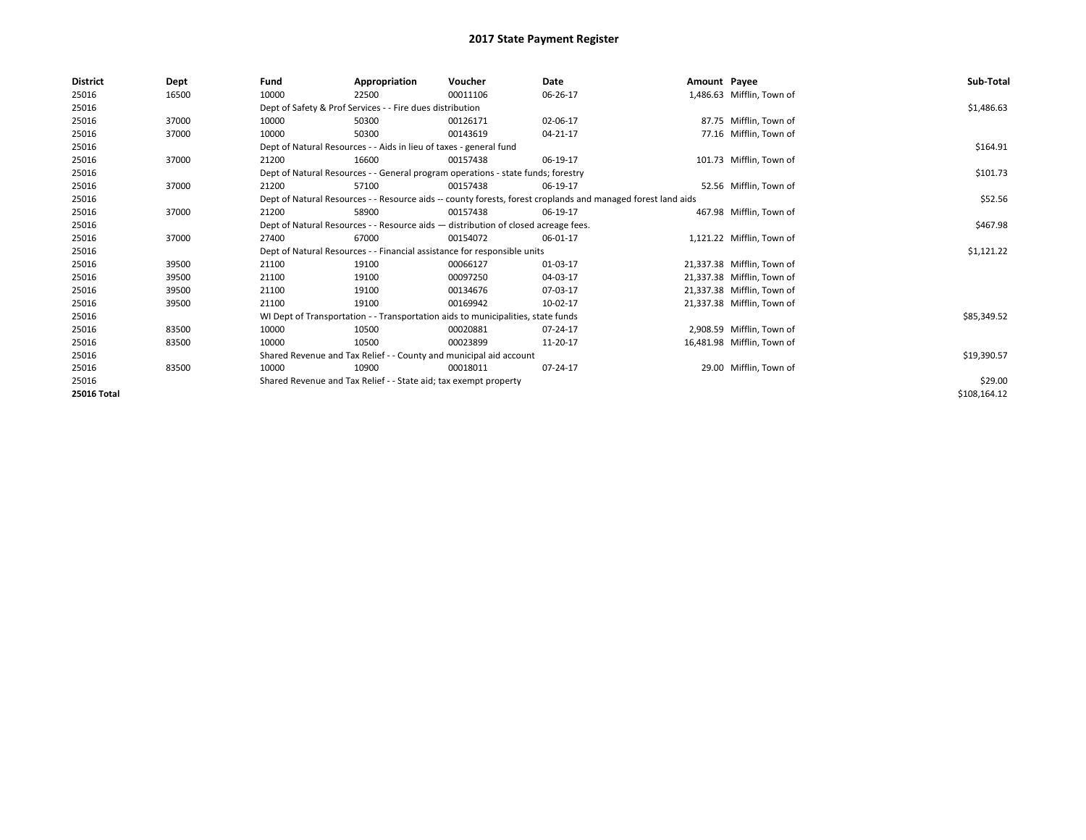| <b>District</b> | Dept  | Fund  | Appropriation                                                                      | Voucher  | Date                                                                                                         | Amount Payee |                            | Sub-Total    |
|-----------------|-------|-------|------------------------------------------------------------------------------------|----------|--------------------------------------------------------------------------------------------------------------|--------------|----------------------------|--------------|
| 25016           | 16500 | 10000 | 22500                                                                              | 00011106 | 06-26-17                                                                                                     |              | 1,486.63 Mifflin, Town of  |              |
| 25016           |       |       | Dept of Safety & Prof Services - - Fire dues distribution                          |          |                                                                                                              |              |                            | \$1,486.63   |
| 25016           | 37000 | 10000 | 50300                                                                              | 00126171 | 02-06-17                                                                                                     |              | 87.75 Mifflin, Town of     |              |
| 25016           | 37000 | 10000 | 50300                                                                              | 00143619 | 04-21-17                                                                                                     |              | 77.16 Mifflin, Town of     |              |
| 25016           |       |       | Dept of Natural Resources - - Aids in lieu of taxes - general fund                 |          |                                                                                                              |              |                            | \$164.91     |
| 25016           | 37000 | 21200 | 16600                                                                              | 00157438 | 06-19-17                                                                                                     |              | 101.73 Mifflin, Town of    |              |
| 25016           |       |       | Dept of Natural Resources - - General program operations - state funds; forestry   |          |                                                                                                              |              |                            | \$101.73     |
| 25016           | 37000 | 21200 | 57100                                                                              | 00157438 | 06-19-17                                                                                                     |              | 52.56 Mifflin. Town of     |              |
| 25016           |       |       |                                                                                    |          | Dept of Natural Resources - - Resource aids -- county forests, forest croplands and managed forest land aids |              |                            | \$52.56      |
| 25016           | 37000 | 21200 | 58900                                                                              | 00157438 | 06-19-17                                                                                                     |              | 467.98 Mifflin, Town of    |              |
| 25016           |       |       | Dept of Natural Resources - - Resource aids - distribution of closed acreage fees. |          |                                                                                                              |              |                            | \$467.98     |
| 25016           | 37000 | 27400 | 67000                                                                              | 00154072 | 06-01-17                                                                                                     |              | 1,121.22 Mifflin, Town of  |              |
| 25016           |       |       | Dept of Natural Resources - - Financial assistance for responsible units           |          |                                                                                                              |              |                            | \$1,121.22   |
| 25016           | 39500 | 21100 | 19100                                                                              | 00066127 | 01-03-17                                                                                                     |              | 21,337.38 Mifflin, Town of |              |
| 25016           | 39500 | 21100 | 19100                                                                              | 00097250 | 04-03-17                                                                                                     |              | 21,337.38 Mifflin, Town of |              |
| 25016           | 39500 | 21100 | 19100                                                                              | 00134676 | 07-03-17                                                                                                     |              | 21,337.38 Mifflin, Town of |              |
| 25016           | 39500 | 21100 | 19100                                                                              | 00169942 | 10-02-17                                                                                                     |              | 21,337.38 Mifflin, Town of |              |
| 25016           |       |       | WI Dept of Transportation - - Transportation aids to municipalities, state funds   |          |                                                                                                              |              |                            | \$85,349.52  |
| 25016           | 83500 | 10000 | 10500                                                                              | 00020881 | 07-24-17                                                                                                     |              | 2,908.59 Mifflin, Town of  |              |
| 25016           | 83500 | 10000 | 10500                                                                              | 00023899 | 11-20-17                                                                                                     |              | 16,481.98 Mifflin, Town of |              |
| 25016           |       |       | Shared Revenue and Tax Relief - - County and municipal aid account                 |          |                                                                                                              |              |                            | \$19,390.57  |
| 25016           | 83500 | 10000 | 10900                                                                              | 00018011 | 07-24-17                                                                                                     |              | 29.00 Mifflin, Town of     |              |
| 25016           |       |       | Shared Revenue and Tax Relief - - State aid; tax exempt property                   |          |                                                                                                              |              |                            | \$29.00      |
| 25016 Total     |       |       |                                                                                    |          |                                                                                                              |              |                            | \$108,164.12 |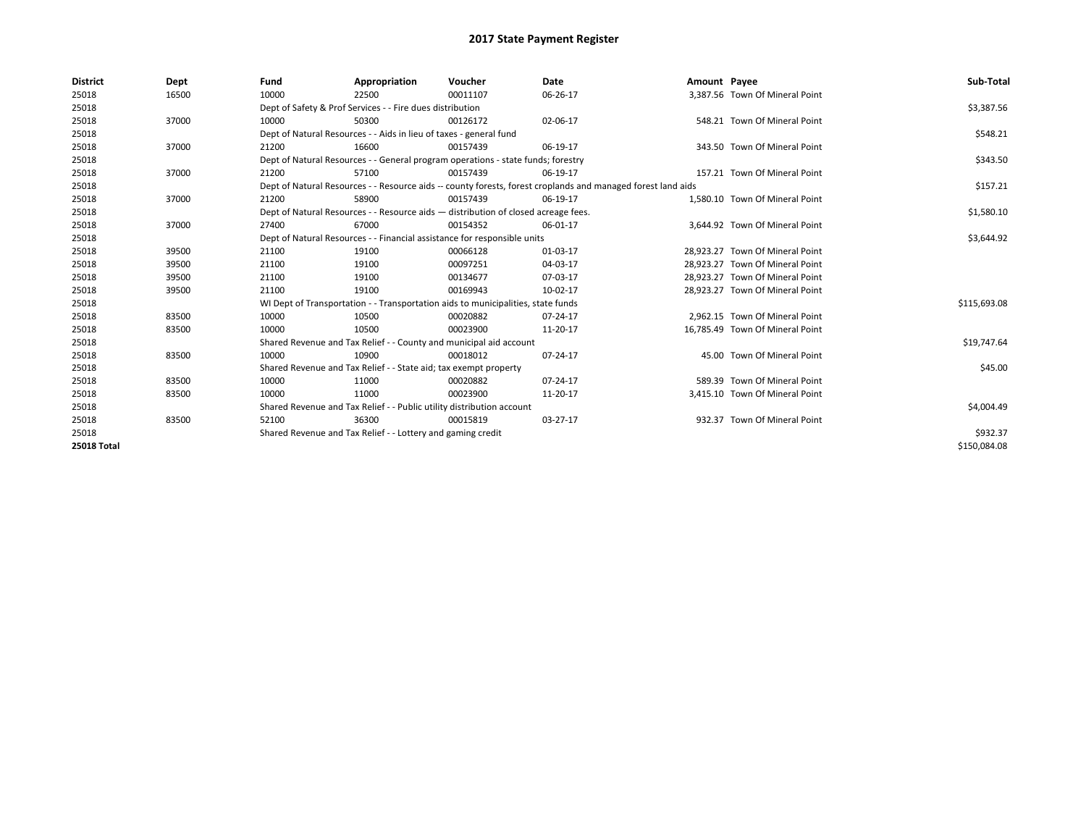| <b>District</b>    | Dept  | Fund  | Appropriation                                                                      | Voucher  | Date                                                                                                         | Amount Payee |                                 | Sub-Total    |
|--------------------|-------|-------|------------------------------------------------------------------------------------|----------|--------------------------------------------------------------------------------------------------------------|--------------|---------------------------------|--------------|
| 25018              | 16500 | 10000 | 22500                                                                              | 00011107 | 06-26-17                                                                                                     |              | 3,387.56 Town Of Mineral Point  |              |
| 25018              |       |       | Dept of Safety & Prof Services - - Fire dues distribution                          |          |                                                                                                              |              |                                 | \$3,387.56   |
| 25018              | 37000 | 10000 | 50300                                                                              | 00126172 | 02-06-17                                                                                                     |              | 548.21 Town Of Mineral Point    |              |
| 25018              |       |       | Dept of Natural Resources - - Aids in lieu of taxes - general fund                 |          |                                                                                                              |              |                                 | \$548.21     |
| 25018              | 37000 | 21200 | 16600                                                                              | 00157439 | 06-19-17                                                                                                     |              | 343.50 Town Of Mineral Point    |              |
| 25018              |       |       | Dept of Natural Resources - - General program operations - state funds; forestry   |          |                                                                                                              |              |                                 | \$343.50     |
| 25018              | 37000 | 21200 | 57100                                                                              | 00157439 | 06-19-17                                                                                                     |              | 157.21 Town Of Mineral Point    |              |
| 25018              |       |       |                                                                                    |          | Dept of Natural Resources - - Resource aids -- county forests, forest croplands and managed forest land aids |              |                                 | \$157.21     |
| 25018              | 37000 | 21200 | 58900                                                                              | 00157439 | 06-19-17                                                                                                     |              | 1,580.10 Town Of Mineral Point  |              |
| 25018              |       |       | Dept of Natural Resources - - Resource aids - distribution of closed acreage fees. |          |                                                                                                              |              |                                 | \$1,580.10   |
| 25018              | 37000 | 27400 | 67000                                                                              | 00154352 | 06-01-17                                                                                                     |              | 3.644.92 Town Of Mineral Point  |              |
| 25018              |       |       | Dept of Natural Resources - - Financial assistance for responsible units           |          |                                                                                                              |              |                                 | \$3,644.92   |
| 25018              | 39500 | 21100 | 19100                                                                              | 00066128 | 01-03-17                                                                                                     |              | 28,923.27 Town Of Mineral Point |              |
| 25018              | 39500 | 21100 | 19100                                                                              | 00097251 | 04-03-17                                                                                                     |              | 28.923.27 Town Of Mineral Point |              |
| 25018              | 39500 | 21100 | 19100                                                                              | 00134677 | 07-03-17                                                                                                     |              | 28,923.27 Town Of Mineral Point |              |
| 25018              | 39500 | 21100 | 19100                                                                              | 00169943 | 10-02-17                                                                                                     |              | 28,923.27 Town Of Mineral Point |              |
| 25018              |       |       | WI Dept of Transportation - - Transportation aids to municipalities, state funds   |          |                                                                                                              |              |                                 | \$115,693.08 |
| 25018              | 83500 | 10000 | 10500                                                                              | 00020882 | 07-24-17                                                                                                     |              | 2,962.15 Town Of Mineral Point  |              |
| 25018              | 83500 | 10000 | 10500                                                                              | 00023900 | 11-20-17                                                                                                     |              | 16,785.49 Town Of Mineral Point |              |
| 25018              |       |       | Shared Revenue and Tax Relief - - County and municipal aid account                 |          |                                                                                                              |              |                                 | \$19,747.64  |
| 25018              | 83500 | 10000 | 10900                                                                              | 00018012 | 07-24-17                                                                                                     |              | 45.00 Town Of Mineral Point     |              |
| 25018              |       |       | Shared Revenue and Tax Relief - - State aid; tax exempt property                   |          |                                                                                                              |              |                                 | \$45.00      |
| 25018              | 83500 | 10000 | 11000                                                                              | 00020882 | 07-24-17                                                                                                     |              | 589.39 Town Of Mineral Point    |              |
| 25018              | 83500 | 10000 | 11000                                                                              | 00023900 | 11-20-17                                                                                                     |              | 3,415.10 Town Of Mineral Point  |              |
| 25018              |       |       | Shared Revenue and Tax Relief - - Public utility distribution account              |          |                                                                                                              |              |                                 | \$4,004.49   |
| 25018              | 83500 | 52100 | 36300                                                                              | 00015819 | 03-27-17                                                                                                     |              | 932.37 Town Of Mineral Point    |              |
| 25018              |       |       | Shared Revenue and Tax Relief - - Lottery and gaming credit                        |          |                                                                                                              |              |                                 | \$932.37     |
| <b>25018 Total</b> |       |       |                                                                                    |          |                                                                                                              |              |                                 | \$150,084.08 |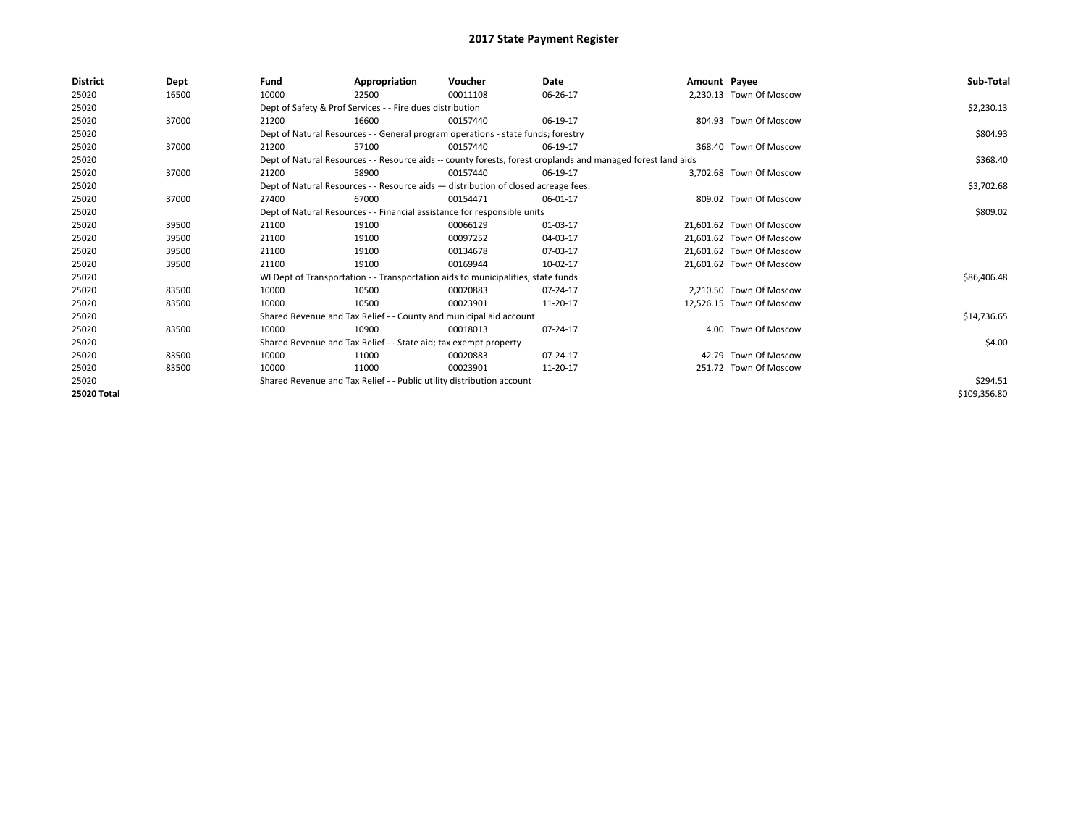| <b>District</b> | Dept  | Fund  | Appropriation                                                                      | Voucher  | Date                                                                                                         | Amount Payee |                          | Sub-Total    |
|-----------------|-------|-------|------------------------------------------------------------------------------------|----------|--------------------------------------------------------------------------------------------------------------|--------------|--------------------------|--------------|
| 25020           | 16500 | 10000 | 22500                                                                              | 00011108 | 06-26-17                                                                                                     |              | 2,230.13 Town Of Moscow  |              |
| 25020           |       |       | Dept of Safety & Prof Services - - Fire dues distribution                          |          |                                                                                                              |              |                          | \$2,230.13   |
| 25020           | 37000 | 21200 | 16600                                                                              | 00157440 | 06-19-17                                                                                                     |              | 804.93 Town Of Moscow    |              |
| 25020           |       |       | Dept of Natural Resources - - General program operations - state funds; forestry   |          |                                                                                                              |              |                          | \$804.93     |
| 25020           | 37000 | 21200 | 57100                                                                              | 00157440 | 06-19-17                                                                                                     |              | 368.40 Town Of Moscow    |              |
| 25020           |       |       |                                                                                    |          | Dept of Natural Resources - - Resource aids -- county forests, forest croplands and managed forest land aids |              |                          | \$368.40     |
| 25020           | 37000 | 21200 | 58900                                                                              | 00157440 | 06-19-17                                                                                                     |              | 3.702.68 Town Of Moscow  |              |
| 25020           |       |       | Dept of Natural Resources - - Resource aids - distribution of closed acreage fees. |          |                                                                                                              |              |                          | \$3,702.68   |
| 25020           | 37000 | 27400 | 67000                                                                              | 00154471 | 06-01-17                                                                                                     |              | 809.02 Town Of Moscow    |              |
| 25020           |       |       | Dept of Natural Resources - - Financial assistance for responsible units           |          |                                                                                                              |              |                          | \$809.02     |
| 25020           | 39500 | 21100 | 19100                                                                              | 00066129 | 01-03-17                                                                                                     |              | 21.601.62 Town Of Moscow |              |
| 25020           | 39500 | 21100 | 19100                                                                              | 00097252 | 04-03-17                                                                                                     |              | 21,601.62 Town Of Moscow |              |
| 25020           | 39500 | 21100 | 19100                                                                              | 00134678 | 07-03-17                                                                                                     |              | 21.601.62 Town Of Moscow |              |
| 25020           | 39500 | 21100 | 19100                                                                              | 00169944 | 10-02-17                                                                                                     |              | 21,601.62 Town Of Moscow |              |
| 25020           |       |       | WI Dept of Transportation - - Transportation aids to municipalities, state funds   |          |                                                                                                              |              |                          | \$86,406.48  |
| 25020           | 83500 | 10000 | 10500                                                                              | 00020883 | 07-24-17                                                                                                     |              | 2.210.50 Town Of Moscow  |              |
| 25020           | 83500 | 10000 | 10500                                                                              | 00023901 | 11-20-17                                                                                                     |              | 12,526.15 Town Of Moscow |              |
| 25020           |       |       | Shared Revenue and Tax Relief - - County and municipal aid account                 |          |                                                                                                              |              |                          | \$14,736.65  |
| 25020           | 83500 | 10000 | 10900                                                                              | 00018013 | 07-24-17                                                                                                     |              | 4.00 Town Of Moscow      |              |
| 25020           |       |       | Shared Revenue and Tax Relief - - State aid; tax exempt property                   |          |                                                                                                              |              |                          | \$4.00       |
| 25020           | 83500 | 10000 | 11000                                                                              | 00020883 | 07-24-17                                                                                                     |              | 42.79 Town Of Moscow     |              |
| 25020           | 83500 | 10000 | 11000                                                                              | 00023901 | 11-20-17                                                                                                     |              | 251.72 Town Of Moscow    |              |
| 25020           |       |       | Shared Revenue and Tax Relief - - Public utility distribution account              |          |                                                                                                              |              |                          | \$294.51     |
| 25020 Total     |       |       |                                                                                    |          |                                                                                                              |              |                          | \$109,356.80 |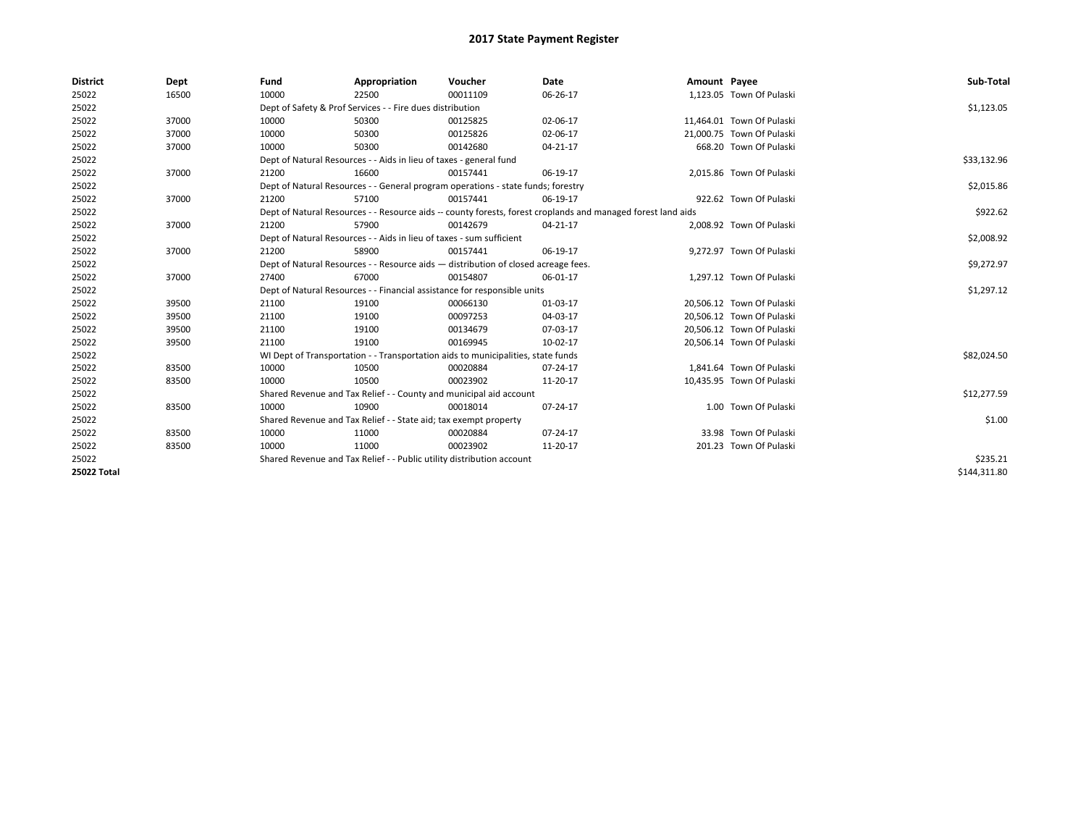| <b>District</b> | Dept  | Fund  | Appropriation                                                                      | Voucher  | Date                                                                                                         | Amount Payee |                           | Sub-Total    |
|-----------------|-------|-------|------------------------------------------------------------------------------------|----------|--------------------------------------------------------------------------------------------------------------|--------------|---------------------------|--------------|
| 25022           | 16500 | 10000 | 22500                                                                              | 00011109 | 06-26-17                                                                                                     |              | 1,123.05 Town Of Pulaski  |              |
| 25022           |       |       | Dept of Safety & Prof Services - - Fire dues distribution                          |          |                                                                                                              |              |                           | \$1,123.05   |
| 25022           | 37000 | 10000 | 50300                                                                              | 00125825 | 02-06-17                                                                                                     |              | 11,464.01 Town Of Pulaski |              |
| 25022           | 37000 | 10000 | 50300                                                                              | 00125826 | 02-06-17                                                                                                     |              | 21,000.75 Town Of Pulaski |              |
| 25022           | 37000 | 10000 | 50300                                                                              | 00142680 | $04 - 21 - 17$                                                                                               |              | 668.20 Town Of Pulaski    |              |
| 25022           |       |       | Dept of Natural Resources - - Aids in lieu of taxes - general fund                 |          |                                                                                                              |              |                           | \$33,132.96  |
| 25022           | 37000 | 21200 | 16600                                                                              | 00157441 | 06-19-17                                                                                                     |              | 2,015.86 Town Of Pulaski  |              |
| 25022           |       |       | Dept of Natural Resources - - General program operations - state funds; forestry   |          |                                                                                                              |              |                           | \$2,015.86   |
| 25022           | 37000 | 21200 | 57100                                                                              | 00157441 | 06-19-17                                                                                                     |              | 922.62 Town Of Pulaski    |              |
| 25022           |       |       |                                                                                    |          | Dept of Natural Resources - - Resource aids -- county forests, forest croplands and managed forest land aids |              |                           | \$922.62     |
| 25022           | 37000 | 21200 | 57900                                                                              | 00142679 | 04-21-17                                                                                                     |              | 2,008.92 Town Of Pulaski  |              |
| 25022           |       |       | Dept of Natural Resources - - Aids in lieu of taxes - sum sufficient               |          |                                                                                                              |              |                           | \$2,008.92   |
| 25022           | 37000 | 21200 | 58900                                                                              | 00157441 | 06-19-17                                                                                                     |              | 9,272.97 Town Of Pulaski  |              |
| 25022           |       |       | Dept of Natural Resources - - Resource aids - distribution of closed acreage fees. |          | \$9,272.97                                                                                                   |              |                           |              |
| 25022           | 37000 | 27400 | 67000                                                                              | 00154807 | 06-01-17                                                                                                     |              | 1.297.12 Town Of Pulaski  |              |
| 25022           |       |       | Dept of Natural Resources - - Financial assistance for responsible units           |          |                                                                                                              |              |                           | \$1,297.12   |
| 25022           | 39500 | 21100 | 19100                                                                              | 00066130 | 01-03-17                                                                                                     |              | 20,506.12 Town Of Pulaski |              |
| 25022           | 39500 | 21100 | 19100                                                                              | 00097253 | 04-03-17                                                                                                     |              | 20,506.12 Town Of Pulaski |              |
| 25022           | 39500 | 21100 | 19100                                                                              | 00134679 | 07-03-17                                                                                                     |              | 20,506.12 Town Of Pulaski |              |
| 25022           | 39500 | 21100 | 19100                                                                              | 00169945 | 10-02-17                                                                                                     |              | 20,506.14 Town Of Pulaski |              |
| 25022           |       |       | WI Dept of Transportation - - Transportation aids to municipalities, state funds   |          |                                                                                                              |              |                           | \$82,024.50  |
| 25022           | 83500 | 10000 | 10500                                                                              | 00020884 | 07-24-17                                                                                                     |              | 1,841.64 Town Of Pulaski  |              |
| 25022           | 83500 | 10000 | 10500                                                                              | 00023902 | 11-20-17                                                                                                     |              | 10,435.95 Town Of Pulaski |              |
| 25022           |       |       | Shared Revenue and Tax Relief - - County and municipal aid account                 |          |                                                                                                              |              |                           | \$12,277.59  |
| 25022           | 83500 | 10000 | 10900                                                                              | 00018014 | 07-24-17                                                                                                     |              | 1.00 Town Of Pulaski      |              |
| 25022           |       |       | Shared Revenue and Tax Relief - - State aid; tax exempt property                   |          |                                                                                                              |              |                           | \$1.00       |
| 25022           | 83500 | 10000 | 11000                                                                              | 00020884 | $07 - 24 - 17$                                                                                               |              | 33.98 Town Of Pulaski     |              |
| 25022           | 83500 | 10000 | 11000                                                                              | 00023902 | 11-20-17                                                                                                     |              | 201.23 Town Of Pulaski    |              |
| 25022           |       |       | Shared Revenue and Tax Relief - - Public utility distribution account              |          | \$235.21                                                                                                     |              |                           |              |
| 25022 Total     |       |       |                                                                                    |          |                                                                                                              |              |                           | \$144,311.80 |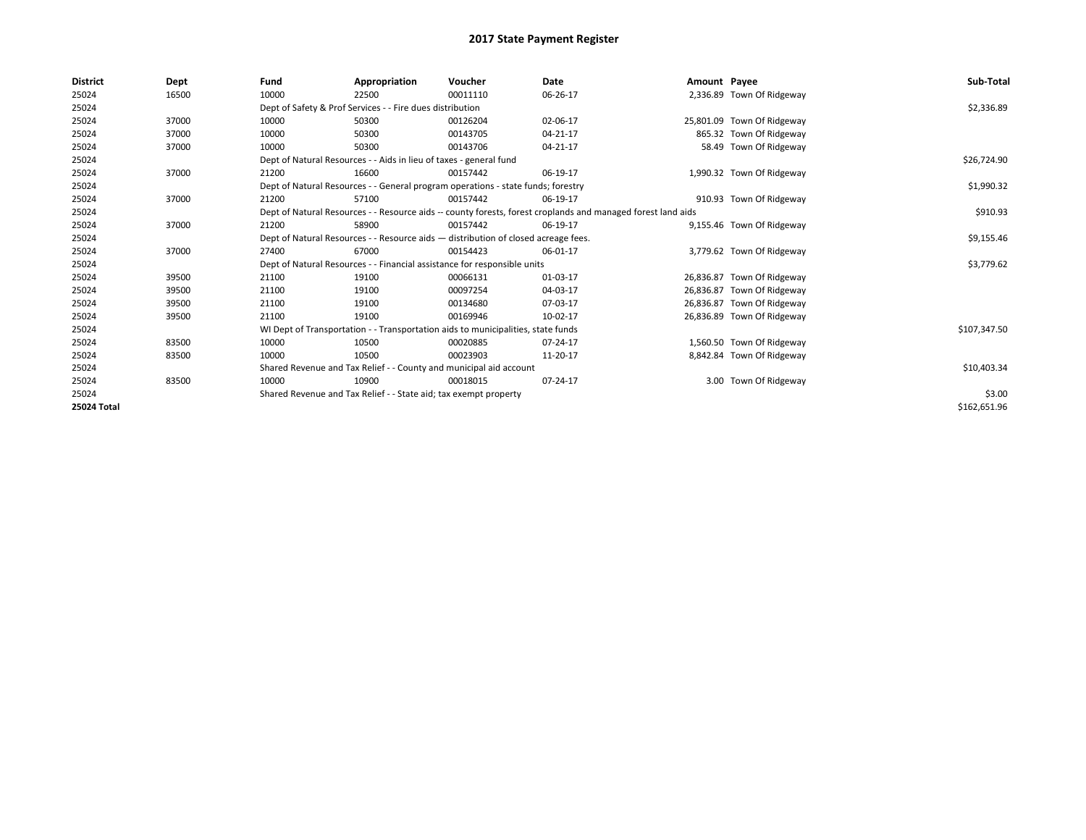| <b>District</b> | Dept  | Fund                                                                               | Appropriation                                                                                                | Voucher    | Date           | Amount Payee |                            | Sub-Total    |
|-----------------|-------|------------------------------------------------------------------------------------|--------------------------------------------------------------------------------------------------------------|------------|----------------|--------------|----------------------------|--------------|
| 25024           | 16500 | 10000                                                                              | 22500                                                                                                        | 00011110   | 06-26-17       |              | 2,336.89 Town Of Ridgeway  |              |
| 25024           |       |                                                                                    | Dept of Safety & Prof Services - - Fire dues distribution                                                    |            |                |              |                            | \$2,336.89   |
| 25024           | 37000 | 10000                                                                              | 50300                                                                                                        | 00126204   | 02-06-17       |              | 25,801.09 Town Of Ridgeway |              |
| 25024           | 37000 | 10000                                                                              | 50300                                                                                                        | 00143705   | $04 - 21 - 17$ |              | 865.32 Town Of Ridgeway    |              |
| 25024           | 37000 | 10000                                                                              | 50300                                                                                                        | 00143706   | 04-21-17       |              | 58.49 Town Of Ridgeway     |              |
| 25024           |       |                                                                                    | Dept of Natural Resources - - Aids in lieu of taxes - general fund                                           |            |                |              |                            | \$26,724.90  |
| 25024           | 37000 | 21200                                                                              | 16600                                                                                                        | 00157442   | 06-19-17       |              | 1,990.32 Town Of Ridgeway  |              |
| 25024           |       | Dept of Natural Resources - - General program operations - state funds; forestry   |                                                                                                              | \$1,990.32 |                |              |                            |              |
| 25024           | 37000 | 21200                                                                              | 57100                                                                                                        | 00157442   | 06-19-17       |              | 910.93 Town Of Ridgeway    |              |
| 25024           |       |                                                                                    | Dept of Natural Resources - - Resource aids -- county forests, forest croplands and managed forest land aids |            | \$910.93       |              |                            |              |
| 25024           | 37000 | 21200                                                                              | 58900                                                                                                        | 00157442   | 06-19-17       |              | 9,155.46 Town Of Ridgeway  |              |
| 25024           |       | Dept of Natural Resources - - Resource aids - distribution of closed acreage fees. |                                                                                                              | \$9,155.46 |                |              |                            |              |
| 25024           | 37000 | 27400                                                                              | 67000                                                                                                        | 00154423   | 06-01-17       |              | 3,779.62 Town Of Ridgeway  |              |
| 25024           |       |                                                                                    | Dept of Natural Resources - - Financial assistance for responsible units                                     |            |                |              |                            | \$3,779.62   |
| 25024           | 39500 | 21100                                                                              | 19100                                                                                                        | 00066131   | 01-03-17       |              | 26,836.87 Town Of Ridgeway |              |
| 25024           | 39500 | 21100                                                                              | 19100                                                                                                        | 00097254   | 04-03-17       |              | 26,836.87 Town Of Ridgeway |              |
| 25024           | 39500 | 21100                                                                              | 19100                                                                                                        | 00134680   | 07-03-17       |              | 26,836.87 Town Of Ridgeway |              |
| 25024           | 39500 | 21100                                                                              | 19100                                                                                                        | 00169946   | 10-02-17       |              | 26,836.89 Town Of Ridgeway |              |
| 25024           |       |                                                                                    | WI Dept of Transportation - - Transportation aids to municipalities, state funds                             |            |                |              |                            | \$107,347.50 |
| 25024           | 83500 | 10000                                                                              | 10500                                                                                                        | 00020885   | 07-24-17       |              | 1,560.50 Town Of Ridgeway  |              |
| 25024           | 83500 | 10000                                                                              | 10500                                                                                                        | 00023903   | 11-20-17       |              | 8,842.84 Town Of Ridgeway  |              |
| 25024           |       |                                                                                    | Shared Revenue and Tax Relief - - County and municipal aid account                                           |            |                |              |                            | \$10,403.34  |
| 25024           | 83500 | 10000                                                                              | 10900                                                                                                        | 00018015   | 07-24-17       |              | 3.00 Town Of Ridgeway      |              |
| 25024           |       |                                                                                    | Shared Revenue and Tax Relief - - State aid; tax exempt property                                             |            |                |              |                            | \$3.00       |
| 25024 Total     |       |                                                                                    |                                                                                                              |            |                |              |                            | \$162,651.96 |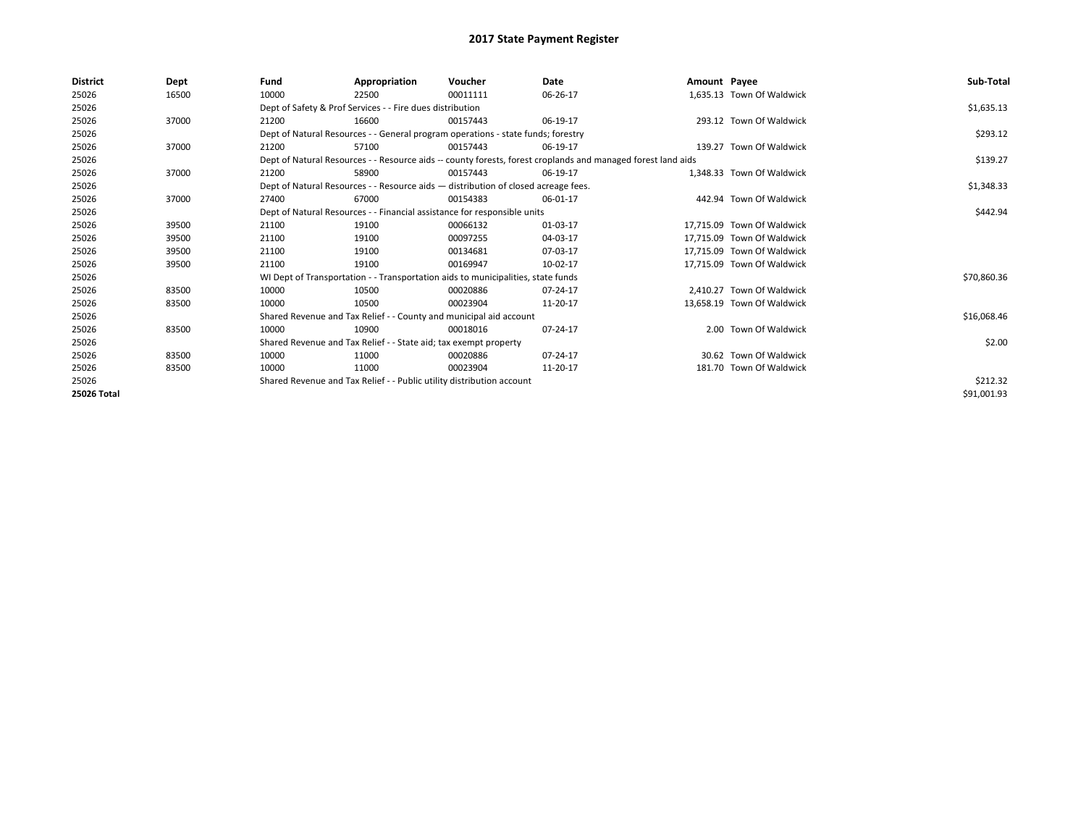| District    | Dept  | Fund  | Appropriation                                                                      | Voucher  | Date                                                                                                         | Amount Payee |                            | Sub-Total   |
|-------------|-------|-------|------------------------------------------------------------------------------------|----------|--------------------------------------------------------------------------------------------------------------|--------------|----------------------------|-------------|
| 25026       | 16500 | 10000 | 22500                                                                              | 00011111 | 06-26-17                                                                                                     |              | 1,635.13 Town Of Waldwick  |             |
| 25026       |       |       | Dept of Safety & Prof Services - - Fire dues distribution                          |          |                                                                                                              |              |                            | \$1,635.13  |
| 25026       | 37000 | 21200 | 16600                                                                              | 00157443 | 06-19-17                                                                                                     |              | 293.12 Town Of Waldwick    |             |
| 25026       |       |       | Dept of Natural Resources - - General program operations - state funds; forestry   |          |                                                                                                              |              |                            | \$293.12    |
| 25026       | 37000 | 21200 | 57100                                                                              | 00157443 | 06-19-17                                                                                                     |              | 139.27 Town Of Waldwick    |             |
| 25026       |       |       |                                                                                    |          | Dept of Natural Resources - - Resource aids -- county forests, forest croplands and managed forest land aids |              |                            | \$139.27    |
| 25026       | 37000 | 21200 | 58900                                                                              | 00157443 | 06-19-17                                                                                                     |              | 1.348.33 Town Of Waldwick  |             |
| 25026       |       |       | Dept of Natural Resources - - Resource aids - distribution of closed acreage fees. |          | \$1,348.33                                                                                                   |              |                            |             |
| 25026       | 37000 | 27400 | 67000                                                                              | 00154383 | 06-01-17                                                                                                     |              | 442.94 Town Of Waldwick    |             |
| 25026       |       |       | Dept of Natural Resources - - Financial assistance for responsible units           |          |                                                                                                              |              |                            | \$442.94    |
| 25026       | 39500 | 21100 | 19100                                                                              | 00066132 | 01-03-17                                                                                                     |              | 17.715.09 Town Of Waldwick |             |
| 25026       | 39500 | 21100 | 19100                                                                              | 00097255 | 04-03-17                                                                                                     |              | 17,715.09 Town Of Waldwick |             |
| 25026       | 39500 | 21100 | 19100                                                                              | 00134681 | 07-03-17                                                                                                     |              | 17.715.09 Town Of Waldwick |             |
| 25026       | 39500 | 21100 | 19100                                                                              | 00169947 | 10-02-17                                                                                                     |              | 17,715.09 Town Of Waldwick |             |
| 25026       |       |       | WI Dept of Transportation - - Transportation aids to municipalities, state funds   |          |                                                                                                              |              |                            | \$70,860.36 |
| 25026       | 83500 | 10000 | 10500                                                                              | 00020886 | 07-24-17                                                                                                     |              | 2.410.27 Town Of Waldwick  |             |
| 25026       | 83500 | 10000 | 10500                                                                              | 00023904 | 11-20-17                                                                                                     |              | 13,658.19 Town Of Waldwick |             |
| 25026       |       |       | Shared Revenue and Tax Relief - - County and municipal aid account                 |          |                                                                                                              |              |                            | \$16,068.46 |
| 25026       | 83500 | 10000 | 10900                                                                              | 00018016 | 07-24-17                                                                                                     |              | 2.00 Town Of Waldwick      |             |
| 25026       |       |       | Shared Revenue and Tax Relief - - State aid; tax exempt property                   |          |                                                                                                              |              |                            | \$2.00      |
| 25026       | 83500 | 10000 | 11000                                                                              | 00020886 | 07-24-17                                                                                                     |              | 30.62 Town Of Waldwick     |             |
| 25026       | 83500 | 10000 | 11000                                                                              | 00023904 | 11-20-17                                                                                                     |              | 181.70 Town Of Waldwick    |             |
| 25026       |       |       | Shared Revenue and Tax Relief - - Public utility distribution account              |          |                                                                                                              |              |                            | \$212.32    |
| 25026 Total |       |       |                                                                                    |          |                                                                                                              |              |                            | \$91,001.93 |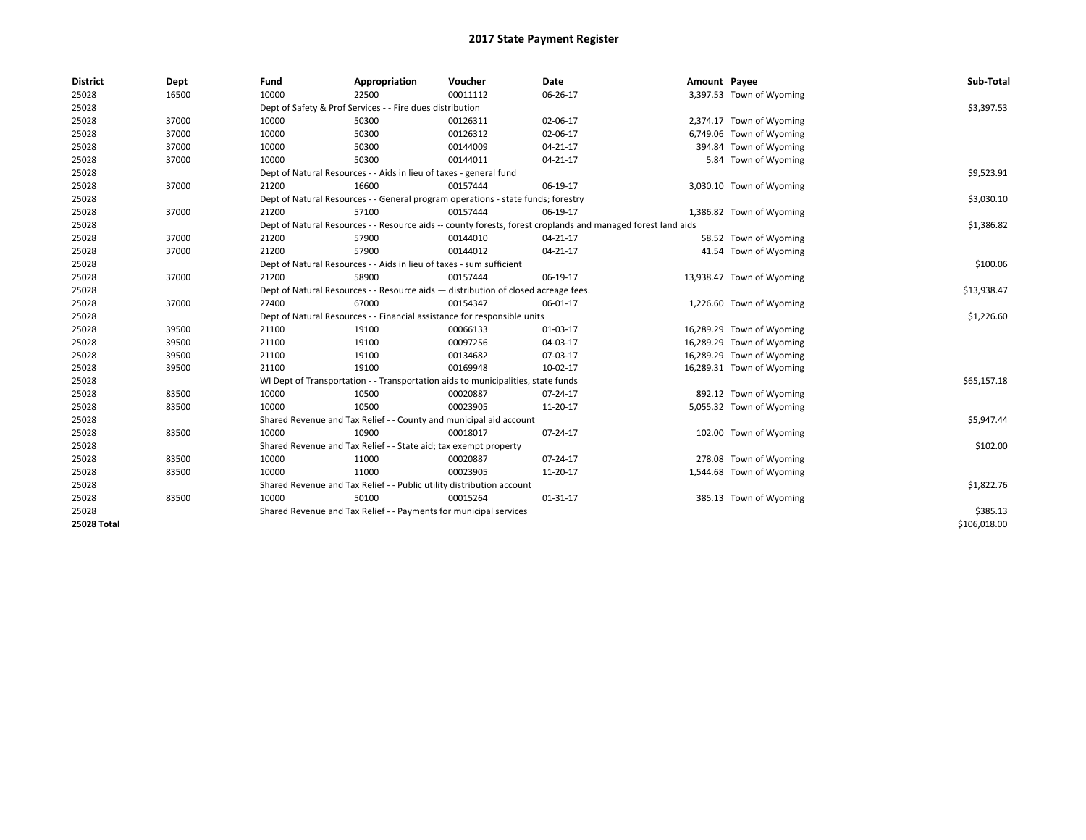| <b>District</b> | Dept  | Fund                                                                                                         | Appropriation                                                                    | Voucher     | Date           | Amount Payee |                           | Sub-Total    |
|-----------------|-------|--------------------------------------------------------------------------------------------------------------|----------------------------------------------------------------------------------|-------------|----------------|--------------|---------------------------|--------------|
| 25028           | 16500 | 10000                                                                                                        | 22500                                                                            | 00011112    | 06-26-17       |              | 3,397.53 Town of Wyoming  |              |
| 25028           |       |                                                                                                              | Dept of Safety & Prof Services - - Fire dues distribution                        |             |                |              |                           | \$3,397.53   |
| 25028           | 37000 | 10000                                                                                                        | 50300                                                                            | 00126311    | 02-06-17       |              | 2,374.17 Town of Wyoming  |              |
| 25028           | 37000 | 10000                                                                                                        | 50300                                                                            | 00126312    | 02-06-17       |              | 6,749.06 Town of Wyoming  |              |
| 25028           | 37000 | 10000                                                                                                        | 50300                                                                            | 00144009    | $04 - 21 - 17$ |              | 394.84 Town of Wyoming    |              |
| 25028           | 37000 | 10000                                                                                                        | 50300                                                                            | 00144011    | 04-21-17       |              | 5.84 Town of Wyoming      |              |
| 25028           |       |                                                                                                              | Dept of Natural Resources - - Aids in lieu of taxes - general fund               |             |                |              |                           | \$9,523.91   |
| 25028           | 37000 | 21200                                                                                                        | 16600                                                                            | 00157444    | 06-19-17       |              | 3,030.10 Town of Wyoming  |              |
| 25028           |       |                                                                                                              | Dept of Natural Resources - - General program operations - state funds; forestry |             |                |              |                           | \$3,030.10   |
| 25028           | 37000 | 21200                                                                                                        | 57100                                                                            | 00157444    | 06-19-17       |              | 1,386.82 Town of Wyoming  |              |
| 25028           |       | Dept of Natural Resources - - Resource aids -- county forests, forest croplands and managed forest land aids |                                                                                  | \$1,386.82  |                |              |                           |              |
| 25028           | 37000 | 21200                                                                                                        | 57900                                                                            | 00144010    | 04-21-17       |              | 58.52 Town of Wyoming     |              |
| 25028           | 37000 | 21200                                                                                                        | 57900                                                                            | 00144012    | 04-21-17       |              | 41.54 Town of Wyoming     |              |
| 25028           |       |                                                                                                              | Dept of Natural Resources - - Aids in lieu of taxes - sum sufficient             |             |                |              |                           | \$100.06     |
| 25028           | 37000 | 21200                                                                                                        | 58900                                                                            | 00157444    | 06-19-17       |              | 13,938.47 Town of Wyoming |              |
| 25028           |       | Dept of Natural Resources - - Resource aids - distribution of closed acreage fees.                           |                                                                                  | \$13,938.47 |                |              |                           |              |
| 25028           | 37000 | 27400                                                                                                        | 67000                                                                            | 00154347    | 06-01-17       |              | 1,226.60 Town of Wyoming  |              |
| 25028           |       |                                                                                                              | Dept of Natural Resources - - Financial assistance for responsible units         |             |                |              |                           | \$1,226.60   |
| 25028           | 39500 | 21100                                                                                                        | 19100                                                                            | 00066133    | 01-03-17       |              | 16,289.29 Town of Wyoming |              |
| 25028           | 39500 | 21100                                                                                                        | 19100                                                                            | 00097256    | 04-03-17       |              | 16,289.29 Town of Wyoming |              |
| 25028           | 39500 | 21100                                                                                                        | 19100                                                                            | 00134682    | 07-03-17       |              | 16,289.29 Town of Wyoming |              |
| 25028           | 39500 | 21100                                                                                                        | 19100                                                                            | 00169948    | 10-02-17       |              | 16,289.31 Town of Wyoming |              |
| 25028           |       |                                                                                                              | WI Dept of Transportation - - Transportation aids to municipalities, state funds |             |                |              |                           | \$65,157.18  |
| 25028           | 83500 | 10000                                                                                                        | 10500                                                                            | 00020887    | 07-24-17       |              | 892.12 Town of Wyoming    |              |
| 25028           | 83500 | 10000                                                                                                        | 10500                                                                            | 00023905    | 11-20-17       |              | 5,055.32 Town of Wyoming  |              |
| 25028           |       |                                                                                                              | Shared Revenue and Tax Relief - - County and municipal aid account               |             |                |              |                           | \$5,947.44   |
| 25028           | 83500 | 10000                                                                                                        | 10900                                                                            | 00018017    | 07-24-17       |              | 102.00 Town of Wyoming    |              |
| 25028           |       |                                                                                                              | Shared Revenue and Tax Relief - - State aid; tax exempt property                 |             |                |              |                           | \$102.00     |
| 25028           | 83500 | 10000                                                                                                        | 11000                                                                            | 00020887    | 07-24-17       |              | 278.08 Town of Wyoming    |              |
| 25028           | 83500 | 10000                                                                                                        | 11000                                                                            | 00023905    | 11-20-17       |              | 1,544.68 Town of Wyoming  |              |
| 25028           |       |                                                                                                              | Shared Revenue and Tax Relief - - Public utility distribution account            |             |                |              |                           | \$1,822.76   |
| 25028           | 83500 | 10000                                                                                                        | 50100                                                                            | 00015264    | $01 - 31 - 17$ |              | 385.13 Town of Wyoming    |              |
| 25028           |       |                                                                                                              | Shared Revenue and Tax Relief - - Payments for municipal services                |             |                |              |                           | \$385.13     |
| 25028 Total     |       |                                                                                                              |                                                                                  |             |                |              |                           | \$106,018.00 |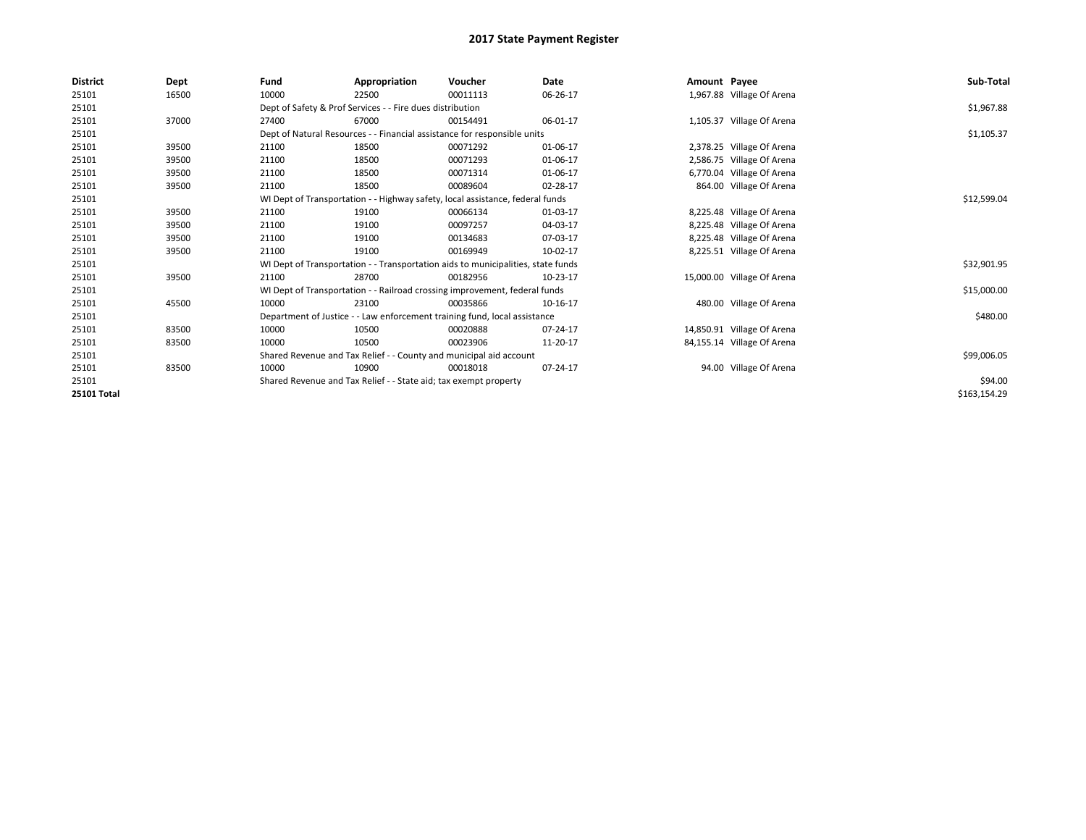| <b>District</b>    | Dept  | Fund  | Appropriation                                                                    | Voucher  | Date     | Amount Payee |                            | Sub-Total    |
|--------------------|-------|-------|----------------------------------------------------------------------------------|----------|----------|--------------|----------------------------|--------------|
| 25101              | 16500 | 10000 | 22500                                                                            | 00011113 | 06-26-17 |              | 1,967.88 Village Of Arena  |              |
| 25101              |       |       | Dept of Safety & Prof Services - - Fire dues distribution                        |          |          |              |                            | \$1,967.88   |
| 25101              | 37000 | 27400 | 67000                                                                            | 00154491 | 06-01-17 |              | 1,105.37 Village Of Arena  |              |
| 25101              |       |       | Dept of Natural Resources - - Financial assistance for responsible units         |          |          |              |                            | \$1,105.37   |
| 25101              | 39500 | 21100 | 18500                                                                            | 00071292 | 01-06-17 |              | 2,378.25 Village Of Arena  |              |
| 25101              | 39500 | 21100 | 18500                                                                            | 00071293 | 01-06-17 |              | 2,586.75 Village Of Arena  |              |
| 25101              | 39500 | 21100 | 18500                                                                            | 00071314 | 01-06-17 |              | 6,770.04 Village Of Arena  |              |
| 25101              | 39500 | 21100 | 18500                                                                            | 00089604 | 02-28-17 |              | 864.00 Village Of Arena    |              |
| 25101              |       |       | WI Dept of Transportation - - Highway safety, local assistance, federal funds    |          |          |              |                            | \$12,599.04  |
| 25101              | 39500 | 21100 | 19100                                                                            | 00066134 | 01-03-17 |              | 8,225.48 Village Of Arena  |              |
| 25101              | 39500 | 21100 | 19100                                                                            | 00097257 | 04-03-17 |              | 8,225.48 Village Of Arena  |              |
| 25101              | 39500 | 21100 | 19100                                                                            | 00134683 | 07-03-17 |              | 8,225.48 Village Of Arena  |              |
| 25101              | 39500 | 21100 | 19100                                                                            | 00169949 | 10-02-17 |              | 8,225.51 Village Of Arena  |              |
| 25101              |       |       | WI Dept of Transportation - - Transportation aids to municipalities, state funds |          |          |              |                            | \$32,901.95  |
| 25101              | 39500 | 21100 | 28700                                                                            | 00182956 | 10-23-17 |              | 15,000.00 Village Of Arena |              |
| 25101              |       |       | WI Dept of Transportation - - Railroad crossing improvement, federal funds       |          |          |              |                            | \$15,000.00  |
| 25101              | 45500 | 10000 | 23100                                                                            | 00035866 | 10-16-17 |              | 480.00 Village Of Arena    |              |
| 25101              |       |       | Department of Justice - - Law enforcement training fund, local assistance        |          |          |              |                            | \$480.00     |
| 25101              | 83500 | 10000 | 10500                                                                            | 00020888 | 07-24-17 |              | 14,850.91 Village Of Arena |              |
| 25101              | 83500 | 10000 | 10500                                                                            | 00023906 | 11-20-17 |              | 84,155.14 Village Of Arena |              |
| 25101              |       |       | Shared Revenue and Tax Relief - - County and municipal aid account               |          |          |              |                            | \$99,006.05  |
| 25101              | 83500 | 10000 | 10900                                                                            | 00018018 | 07-24-17 |              | 94.00 Village Of Arena     |              |
| 25101              |       |       | Shared Revenue and Tax Relief - - State aid; tax exempt property                 |          |          |              |                            | \$94.00      |
| <b>25101 Total</b> |       |       |                                                                                  |          |          |              |                            | \$163,154.29 |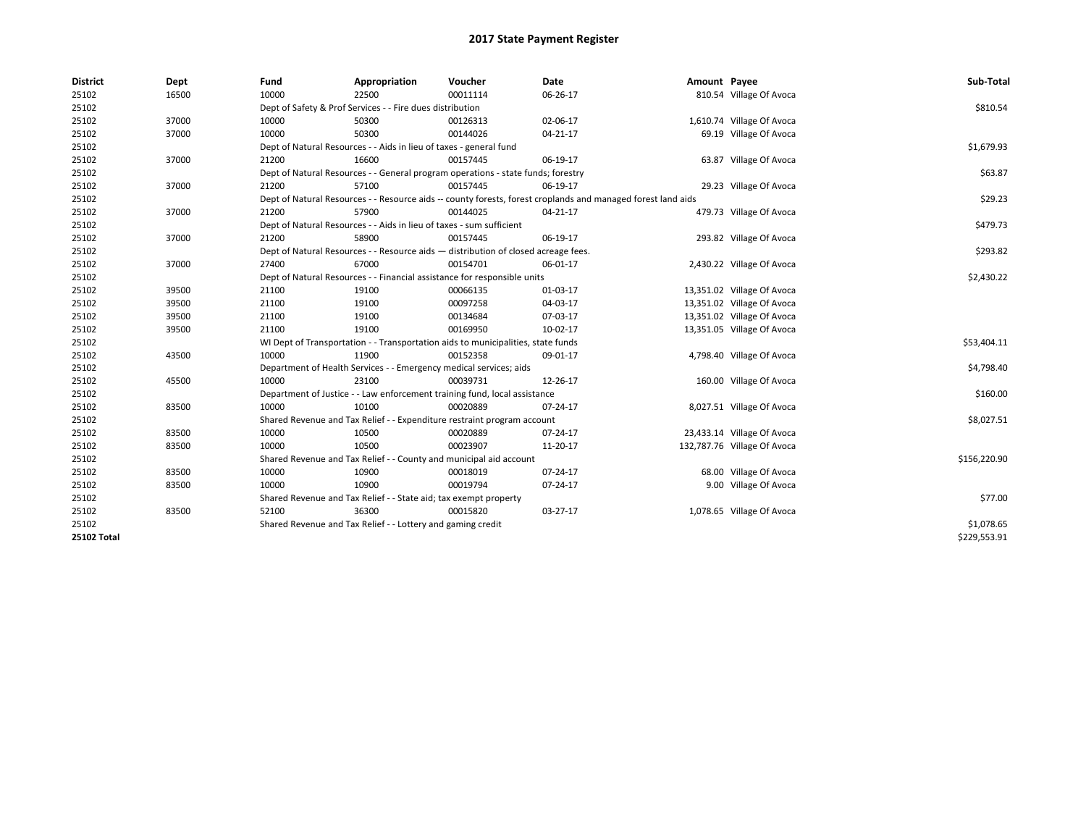| <b>District</b>    | Dept  | Fund  | Appropriation                                                                      | Voucher  | Date                                                                                                         | Amount Payee |                             | Sub-Total    |
|--------------------|-------|-------|------------------------------------------------------------------------------------|----------|--------------------------------------------------------------------------------------------------------------|--------------|-----------------------------|--------------|
| 25102              | 16500 | 10000 | 22500                                                                              | 00011114 | 06-26-17                                                                                                     |              | 810.54 Village Of Avoca     |              |
| 25102              |       |       | Dept of Safety & Prof Services - - Fire dues distribution                          |          |                                                                                                              |              |                             | \$810.54     |
| 25102              | 37000 | 10000 | 50300                                                                              | 00126313 | 02-06-17                                                                                                     |              | 1,610.74 Village Of Avoca   |              |
| 25102              | 37000 | 10000 | 50300                                                                              | 00144026 | 04-21-17                                                                                                     |              | 69.19 Village Of Avoca      |              |
| 25102              |       |       | Dept of Natural Resources - - Aids in lieu of taxes - general fund                 |          |                                                                                                              |              |                             | \$1,679.93   |
| 25102              | 37000 | 21200 | 16600                                                                              | 00157445 | 06-19-17                                                                                                     |              | 63.87 Village Of Avoca      |              |
| 25102              |       |       | Dept of Natural Resources - - General program operations - state funds; forestry   |          |                                                                                                              |              |                             | \$63.87      |
| 25102              | 37000 | 21200 | 57100                                                                              | 00157445 | 06-19-17                                                                                                     |              | 29.23 Village Of Avoca      |              |
| 25102              |       |       |                                                                                    |          | Dept of Natural Resources - - Resource aids -- county forests, forest croplands and managed forest land aids |              |                             | \$29.23      |
| 25102              | 37000 | 21200 | 57900                                                                              | 00144025 | 04-21-17                                                                                                     |              | 479.73 Village Of Avoca     |              |
| 25102              |       |       | Dept of Natural Resources - - Aids in lieu of taxes - sum sufficient               |          |                                                                                                              |              |                             | \$479.73     |
| 25102              | 37000 | 21200 | 58900                                                                              | 00157445 | 06-19-17                                                                                                     |              | 293.82 Village Of Avoca     |              |
| 25102              |       |       | Dept of Natural Resources - - Resource aids - distribution of closed acreage fees. |          |                                                                                                              |              |                             | \$293.82     |
| 25102              | 37000 | 27400 | 67000                                                                              | 00154701 | 06-01-17                                                                                                     |              | 2,430.22 Village Of Avoca   |              |
| 25102              |       |       | Dept of Natural Resources - - Financial assistance for responsible units           |          |                                                                                                              |              |                             | \$2,430.22   |
| 25102              | 39500 | 21100 | 19100                                                                              | 00066135 | 01-03-17                                                                                                     |              | 13,351.02 Village Of Avoca  |              |
| 25102              | 39500 | 21100 | 19100                                                                              | 00097258 | 04-03-17                                                                                                     |              | 13,351.02 Village Of Avoca  |              |
| 25102              | 39500 | 21100 | 19100                                                                              | 00134684 | 07-03-17                                                                                                     |              | 13,351.02 Village Of Avoca  |              |
| 25102              | 39500 | 21100 | 19100                                                                              | 00169950 | 10-02-17                                                                                                     |              | 13,351.05 Village Of Avoca  |              |
| 25102              |       |       | WI Dept of Transportation - - Transportation aids to municipalities, state funds   |          |                                                                                                              |              |                             | \$53,404.11  |
| 25102              | 43500 | 10000 | 11900                                                                              | 00152358 | 09-01-17                                                                                                     |              | 4,798.40 Village Of Avoca   |              |
| 25102              |       |       | Department of Health Services - - Emergency medical services; aids                 |          |                                                                                                              |              |                             | \$4,798.40   |
| 25102              | 45500 | 10000 | 23100                                                                              | 00039731 | 12-26-17                                                                                                     |              | 160.00 Village Of Avoca     |              |
| 25102              |       |       | Department of Justice - - Law enforcement training fund, local assistance          |          |                                                                                                              |              |                             | \$160.00     |
| 25102              | 83500 | 10000 | 10100                                                                              | 00020889 | 07-24-17                                                                                                     |              | 8,027.51 Village Of Avoca   |              |
| 25102              |       |       | Shared Revenue and Tax Relief - - Expenditure restraint program account            |          |                                                                                                              |              |                             | \$8,027.51   |
| 25102              | 83500 | 10000 | 10500                                                                              | 00020889 | 07-24-17                                                                                                     |              | 23,433.14 Village Of Avoca  |              |
| 25102              | 83500 | 10000 | 10500                                                                              | 00023907 | 11-20-17                                                                                                     |              | 132,787.76 Village Of Avoca |              |
| 25102              |       |       | Shared Revenue and Tax Relief - - County and municipal aid account                 |          |                                                                                                              |              |                             | \$156,220.90 |
| 25102              | 83500 | 10000 | 10900                                                                              | 00018019 | 07-24-17                                                                                                     |              | 68.00 Village Of Avoca      |              |
| 25102              | 83500 | 10000 | 10900                                                                              | 00019794 | 07-24-17                                                                                                     |              | 9.00 Village Of Avoca       |              |
| 25102              |       |       | Shared Revenue and Tax Relief - - State aid; tax exempt property                   |          |                                                                                                              |              |                             | \$77.00      |
| 25102              | 83500 | 52100 | 36300                                                                              | 00015820 | 03-27-17                                                                                                     |              | 1,078.65 Village Of Avoca   |              |
| 25102              |       |       | Shared Revenue and Tax Relief - - Lottery and gaming credit                        |          |                                                                                                              |              |                             | \$1,078.65   |
| <b>25102 Total</b> |       |       |                                                                                    |          |                                                                                                              |              |                             | \$229,553.91 |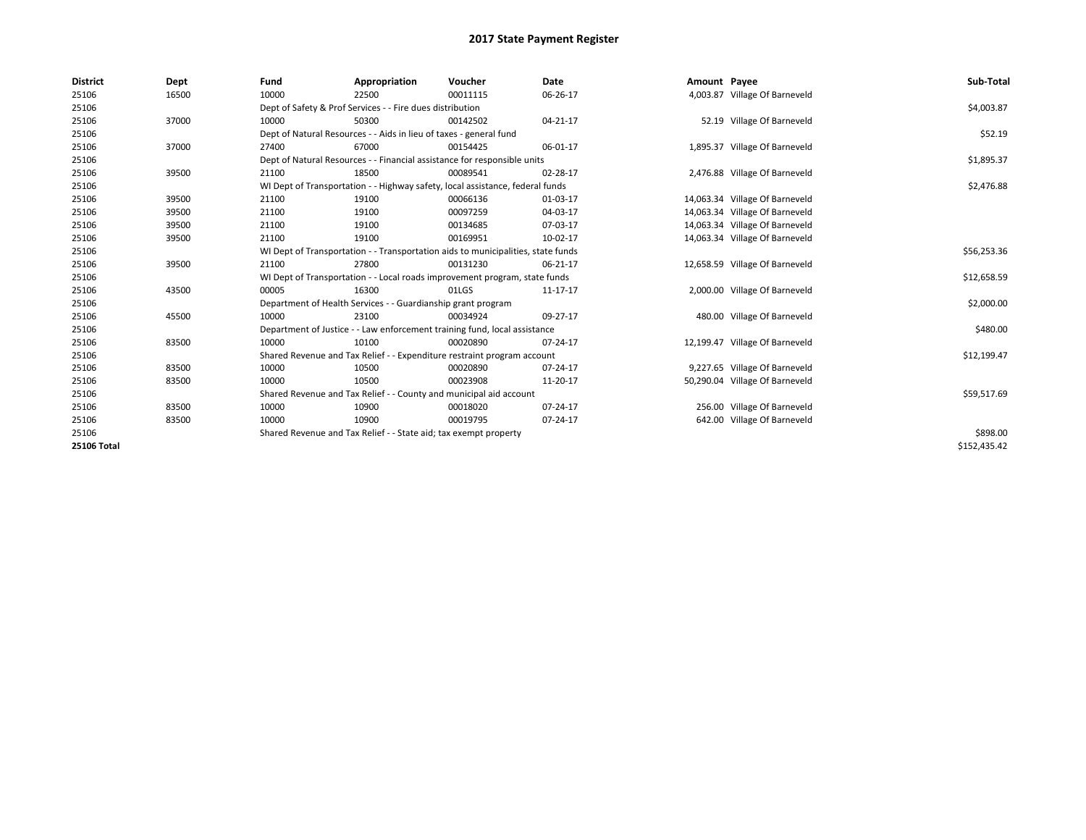| <b>District</b>    | Dept  | Fund  | Appropriation                                                                    | Voucher  | <b>Date</b> | Amount Payee |                                | Sub-Total    |  |  |  |
|--------------------|-------|-------|----------------------------------------------------------------------------------|----------|-------------|--------------|--------------------------------|--------------|--|--|--|
| 25106              | 16500 | 10000 | 22500                                                                            | 00011115 | 06-26-17    |              | 4,003.87 Village Of Barneveld  |              |  |  |  |
| 25106              |       |       | Dept of Safety & Prof Services - - Fire dues distribution                        |          |             |              |                                | \$4,003.87   |  |  |  |
| 25106              | 37000 | 10000 | 50300                                                                            | 00142502 | 04-21-17    |              | 52.19 Village Of Barneveld     |              |  |  |  |
| 25106              |       |       | Dept of Natural Resources - - Aids in lieu of taxes - general fund               |          |             |              |                                |              |  |  |  |
| 25106              | 37000 | 27400 | 67000                                                                            | 00154425 | 06-01-17    |              | 1,895.37 Village Of Barneveld  |              |  |  |  |
| 25106              |       |       | Dept of Natural Resources - - Financial assistance for responsible units         |          |             |              |                                | \$1,895.37   |  |  |  |
| 25106              | 39500 | 21100 | 18500                                                                            | 00089541 | 02-28-17    |              | 2,476.88 Village Of Barneveld  |              |  |  |  |
| 25106              |       |       | WI Dept of Transportation - - Highway safety, local assistance, federal funds    |          |             |              |                                | \$2,476.88   |  |  |  |
| 25106              | 39500 | 21100 | 19100                                                                            | 00066136 | 01-03-17    |              | 14,063.34 Village Of Barneveld |              |  |  |  |
| 25106              | 39500 | 21100 | 19100                                                                            | 00097259 | 04-03-17    |              | 14,063.34 Village Of Barneveld |              |  |  |  |
| 25106              | 39500 | 21100 | 19100                                                                            | 00134685 | 07-03-17    |              | 14,063.34 Village Of Barneveld |              |  |  |  |
| 25106              | 39500 | 21100 | 19100                                                                            | 00169951 | 10-02-17    |              | 14,063.34 Village Of Barneveld |              |  |  |  |
| 25106              |       |       | WI Dept of Transportation - - Transportation aids to municipalities, state funds |          |             |              |                                |              |  |  |  |
| 25106              | 39500 | 21100 | 27800                                                                            | 00131230 | 06-21-17    |              | 12,658.59 Village Of Barneveld |              |  |  |  |
| 25106              |       |       | WI Dept of Transportation - - Local roads improvement program, state funds       |          |             |              |                                | \$12,658.59  |  |  |  |
| 25106              | 43500 | 00005 | 16300                                                                            | 01LGS    | 11-17-17    |              | 2,000.00 Village Of Barneveld  |              |  |  |  |
| 25106              |       |       | Department of Health Services - - Guardianship grant program                     |          |             |              |                                | \$2,000.00   |  |  |  |
| 25106              | 45500 | 10000 | 23100                                                                            | 00034924 | 09-27-17    |              | 480.00 Village Of Barneveld    |              |  |  |  |
| 25106              |       |       | Department of Justice - - Law enforcement training fund, local assistance        |          |             |              |                                | \$480.00     |  |  |  |
| 25106              | 83500 | 10000 | 10100                                                                            | 00020890 | 07-24-17    |              | 12,199.47 Village Of Barneveld |              |  |  |  |
| 25106              |       |       | Shared Revenue and Tax Relief - - Expenditure restraint program account          |          |             |              |                                | \$12,199.47  |  |  |  |
| 25106              | 83500 | 10000 | 10500                                                                            | 00020890 | 07-24-17    |              | 9,227.65 Village Of Barneveld  |              |  |  |  |
| 25106              | 83500 | 10000 | 10500                                                                            | 00023908 | 11-20-17    |              | 50,290.04 Village Of Barneveld |              |  |  |  |
| 25106              |       |       | Shared Revenue and Tax Relief - - County and municipal aid account               |          |             |              |                                | \$59,517.69  |  |  |  |
| 25106              | 83500 | 10000 | 10900                                                                            | 00018020 | 07-24-17    |              | 256.00 Village Of Barneveld    |              |  |  |  |
| 25106              | 83500 | 10000 | 10900                                                                            | 00019795 | 07-24-17    |              | 642.00 Village Of Barneveld    |              |  |  |  |
| 25106              |       |       | Shared Revenue and Tax Relief - - State aid; tax exempt property                 |          |             |              |                                |              |  |  |  |
| <b>25106 Total</b> |       |       |                                                                                  |          |             |              |                                | \$152.435.42 |  |  |  |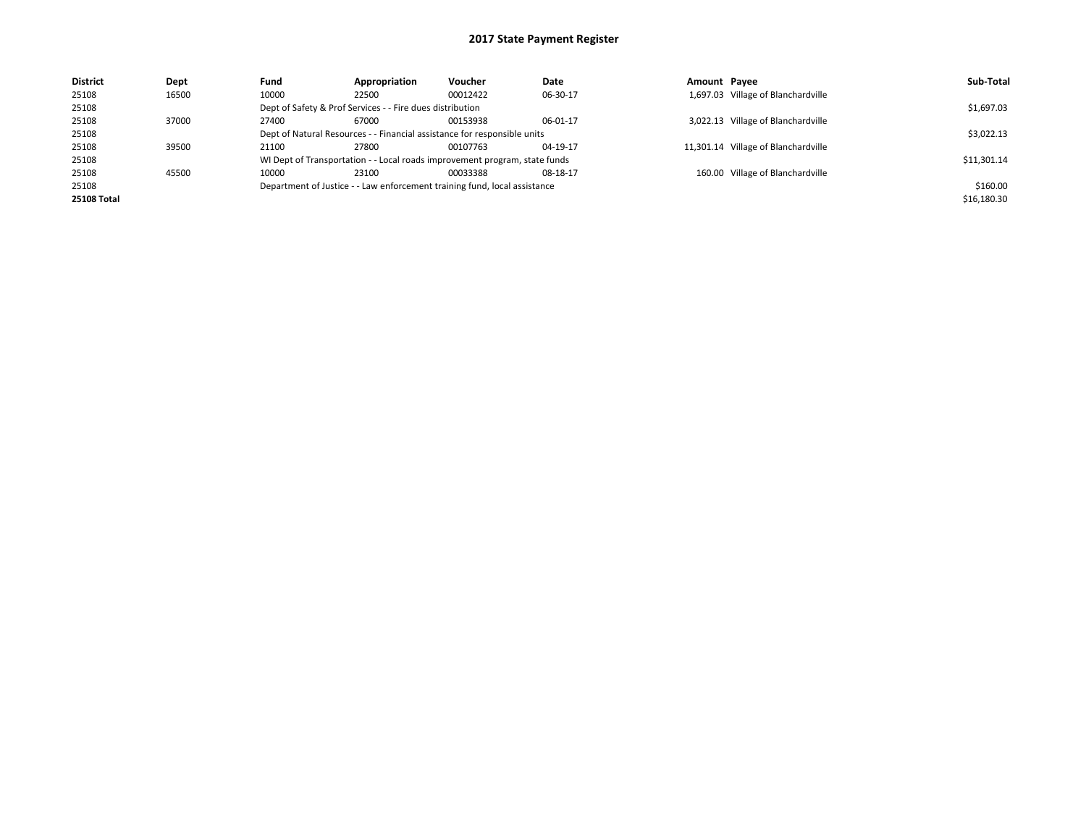| <b>District</b>    | Dept  | Fund                                                                      | Appropriation                                                            | Voucher                                                                    | Date     | Amount Pavee |                                     | Sub-Total   |  |  |
|--------------------|-------|---------------------------------------------------------------------------|--------------------------------------------------------------------------|----------------------------------------------------------------------------|----------|--------------|-------------------------------------|-------------|--|--|
| 25108              | 16500 | 10000                                                                     | 22500                                                                    | 00012422                                                                   | 06-30-17 |              | 1,697.03 Village of Blanchardville  |             |  |  |
| 25108              |       |                                                                           | Dept of Safety & Prof Services - - Fire dues distribution                |                                                                            |          |              |                                     | \$1,697.03  |  |  |
| 25108              | 37000 | 27400                                                                     | 67000                                                                    | 00153938                                                                   | 06-01-17 |              | 3,022.13 Village of Blanchardville  |             |  |  |
| 25108              |       |                                                                           | Dept of Natural Resources - - Financial assistance for responsible units |                                                                            |          |              |                                     |             |  |  |
| 25108              | 39500 | 21100                                                                     | 27800                                                                    | 00107763                                                                   | 04-19-17 |              | 11,301.14 Village of Blanchardville |             |  |  |
| 25108              |       |                                                                           |                                                                          | WI Dept of Transportation - - Local roads improvement program, state funds |          |              |                                     | \$11,301.14 |  |  |
| 25108              | 45500 | 10000                                                                     | 23100                                                                    | 00033388                                                                   | 08-18-17 |              | 160.00 Village of Blanchardville    |             |  |  |
| 25108              |       | Department of Justice - - Law enforcement training fund, local assistance |                                                                          | \$160.00                                                                   |          |              |                                     |             |  |  |
| <b>25108 Total</b> |       |                                                                           |                                                                          |                                                                            |          |              |                                     | \$16,180.30 |  |  |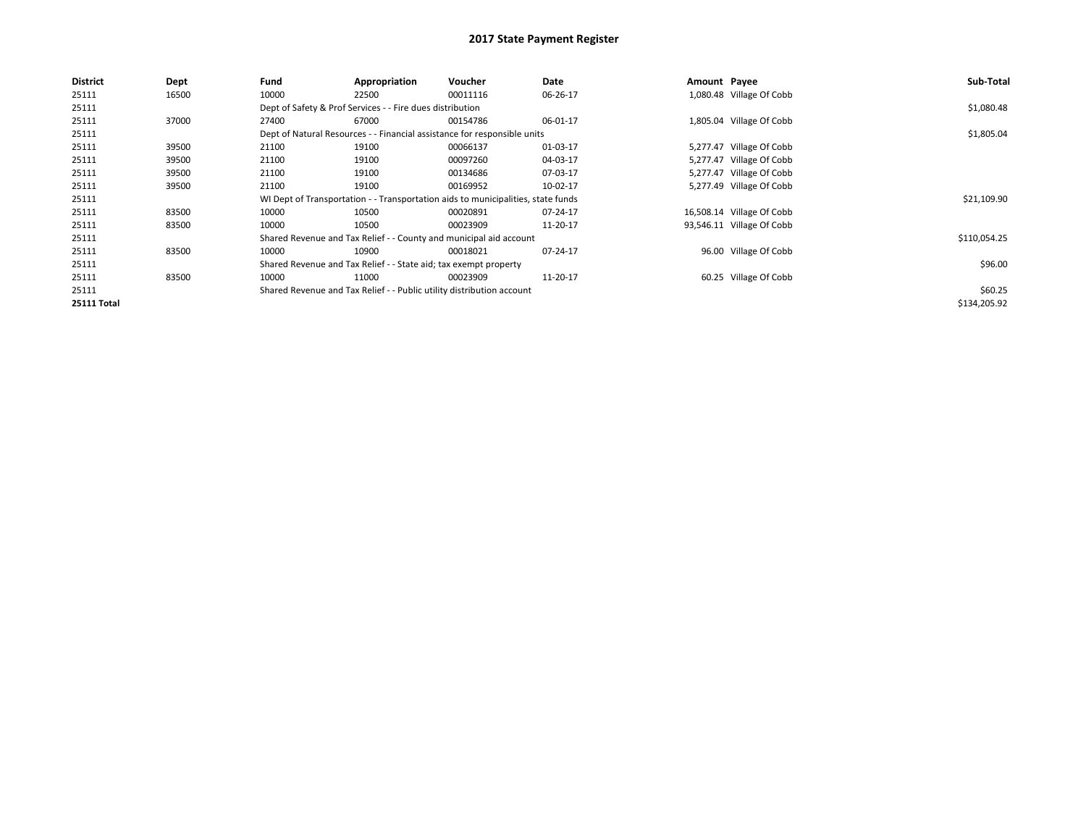| <b>District</b>    | <b>Dept</b> | Fund  | Appropriation                                                         | Voucher                                                                          | Date     | Amount Payee |                           | Sub-Total    |
|--------------------|-------------|-------|-----------------------------------------------------------------------|----------------------------------------------------------------------------------|----------|--------------|---------------------------|--------------|
| 25111              | 16500       | 10000 | 22500                                                                 | 00011116                                                                         | 06-26-17 |              | 1,080.48 Village Of Cobb  |              |
| 25111              |             |       | Dept of Safety & Prof Services - - Fire dues distribution             |                                                                                  |          |              |                           | \$1,080.48   |
| 25111              | 37000       | 27400 | 67000                                                                 | 00154786                                                                         | 06-01-17 |              | 1,805.04 Village Of Cobb  |              |
| 25111              |             |       |                                                                       | Dept of Natural Resources - - Financial assistance for responsible units         |          |              |                           | \$1,805.04   |
| 25111              | 39500       | 21100 | 19100                                                                 | 00066137                                                                         | 01-03-17 |              | 5,277.47 Village Of Cobb  |              |
| 25111              | 39500       | 21100 | 19100                                                                 | 00097260                                                                         | 04-03-17 |              | 5,277.47 Village Of Cobb  |              |
| 25111              | 39500       | 21100 | 19100                                                                 | 00134686                                                                         | 07-03-17 |              | 5,277.47 Village Of Cobb  |              |
| 25111              | 39500       | 21100 | 19100                                                                 | 00169952                                                                         | 10-02-17 |              | 5,277.49 Village Of Cobb  |              |
| 25111              |             |       |                                                                       | WI Dept of Transportation - - Transportation aids to municipalities, state funds |          |              |                           | \$21,109.90  |
| 25111              | 83500       | 10000 | 10500                                                                 | 00020891                                                                         | 07-24-17 |              | 16,508.14 Village Of Cobb |              |
| 25111              | 83500       | 10000 | 10500                                                                 | 00023909                                                                         | 11-20-17 |              | 93,546.11 Village Of Cobb |              |
| 25111              |             |       |                                                                       | Shared Revenue and Tax Relief - - County and municipal aid account               |          |              |                           | \$110,054.25 |
| 25111              | 83500       | 10000 | 10900                                                                 | 00018021                                                                         | 07-24-17 |              | 96.00 Village Of Cobb     |              |
| 25111              |             |       | Shared Revenue and Tax Relief - - State aid; tax exempt property      |                                                                                  |          |              |                           | \$96.00      |
| 25111              | 83500       | 10000 | 11000                                                                 | 00023909                                                                         | 11-20-17 |              | 60.25 Village Of Cobb     |              |
| 25111              |             |       | Shared Revenue and Tax Relief - - Public utility distribution account |                                                                                  |          |              |                           | \$60.25      |
| <b>25111 Total</b> |             |       |                                                                       |                                                                                  |          |              |                           | \$134,205.92 |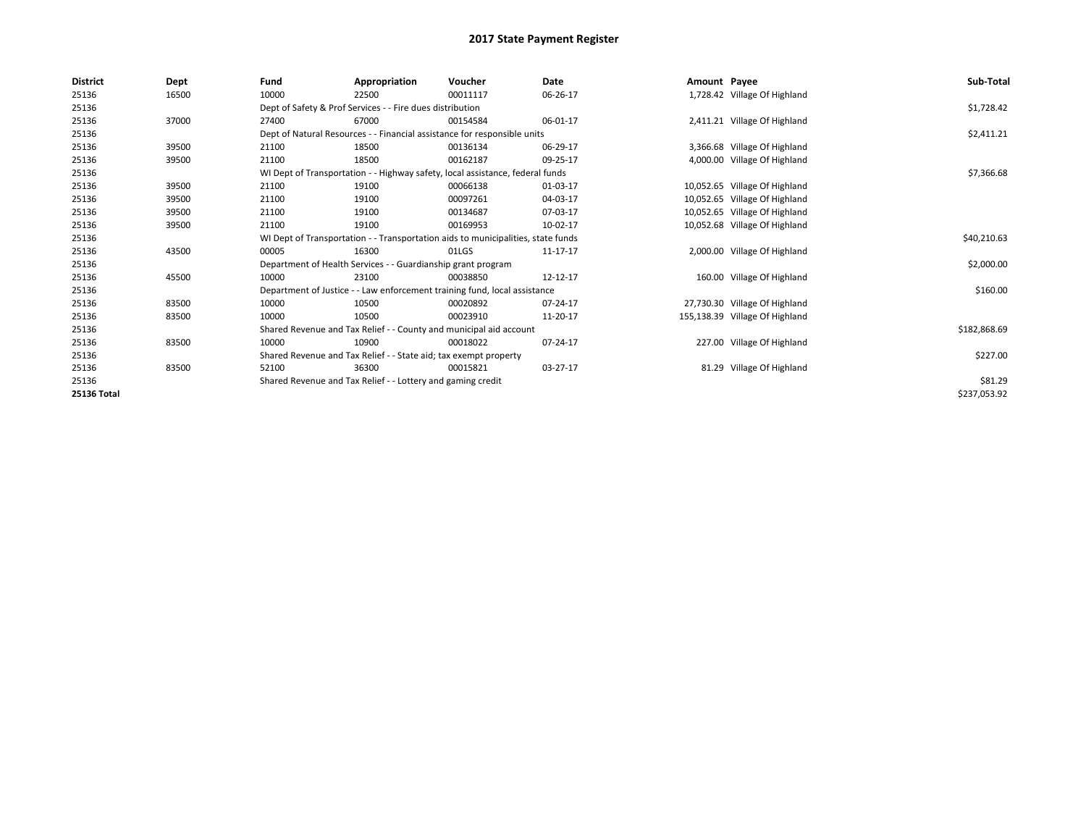| <b>District</b> | Dept  | Fund                                                                          | Appropriation                                                                    | Voucher    | Date     | Amount Payee |                                | Sub-Total    |
|-----------------|-------|-------------------------------------------------------------------------------|----------------------------------------------------------------------------------|------------|----------|--------------|--------------------------------|--------------|
| 25136           | 16500 | 10000                                                                         | 22500                                                                            | 00011117   | 06-26-17 |              | 1,728.42 Village Of Highland   |              |
| 25136           |       |                                                                               | Dept of Safety & Prof Services - - Fire dues distribution                        |            |          |              |                                | \$1,728.42   |
| 25136           | 37000 | 27400                                                                         | 67000                                                                            | 00154584   | 06-01-17 |              | 2,411.21 Village Of Highland   |              |
| 25136           |       |                                                                               | Dept of Natural Resources - - Financial assistance for responsible units         |            |          |              |                                | \$2,411.21   |
| 25136           | 39500 | 21100                                                                         | 18500                                                                            | 00136134   | 06-29-17 |              | 3,366.68 Village Of Highland   |              |
| 25136           | 39500 | 21100                                                                         | 18500                                                                            | 00162187   | 09-25-17 |              | 4,000.00 Village Of Highland   |              |
| 25136           |       | WI Dept of Transportation - - Highway safety, local assistance, federal funds |                                                                                  | \$7,366.68 |          |              |                                |              |
| 25136           | 39500 | 21100                                                                         | 19100                                                                            | 00066138   | 01-03-17 |              | 10,052.65 Village Of Highland  |              |
| 25136           | 39500 | 21100                                                                         | 19100                                                                            | 00097261   | 04-03-17 |              | 10,052.65 Village Of Highland  |              |
| 25136           | 39500 | 21100                                                                         | 19100                                                                            | 00134687   | 07-03-17 |              | 10,052.65 Village Of Highland  |              |
| 25136           | 39500 | 21100                                                                         | 19100                                                                            | 00169953   | 10-02-17 |              | 10,052.68 Village Of Highland  |              |
| 25136           |       |                                                                               | WI Dept of Transportation - - Transportation aids to municipalities, state funds |            |          |              |                                | \$40,210.63  |
| 25136           | 43500 | 00005                                                                         | 16300                                                                            | 01LGS      | 11-17-17 |              | 2,000.00 Village Of Highland   |              |
| 25136           |       |                                                                               | Department of Health Services - - Guardianship grant program                     |            |          |              |                                | \$2,000.00   |
| 25136           | 45500 | 10000                                                                         | 23100                                                                            | 00038850   | 12-12-17 |              | 160.00 Village Of Highland     |              |
| 25136           |       |                                                                               | Department of Justice - - Law enforcement training fund, local assistance        |            |          |              |                                | \$160.00     |
| 25136           | 83500 | 10000                                                                         | 10500                                                                            | 00020892   | 07-24-17 |              | 27,730.30 Village Of Highland  |              |
| 25136           | 83500 | 10000                                                                         | 10500                                                                            | 00023910   | 11-20-17 |              | 155,138.39 Village Of Highland |              |
| 25136           |       |                                                                               | Shared Revenue and Tax Relief - - County and municipal aid account               |            |          |              |                                | \$182,868.69 |
| 25136           | 83500 | 10000                                                                         | 10900                                                                            | 00018022   | 07-24-17 |              | 227.00 Village Of Highland     |              |
| 25136           |       |                                                                               | Shared Revenue and Tax Relief - - State aid; tax exempt property                 |            |          |              |                                | \$227.00     |
| 25136           | 83500 | 52100                                                                         | 36300                                                                            | 00015821   | 03-27-17 |              | 81.29 Village Of Highland      |              |
| 25136           |       |                                                                               | Shared Revenue and Tax Relief - - Lottery and gaming credit                      |            |          |              |                                | \$81.29      |
| 25136 Total     |       |                                                                               |                                                                                  |            |          |              |                                | \$237,053.92 |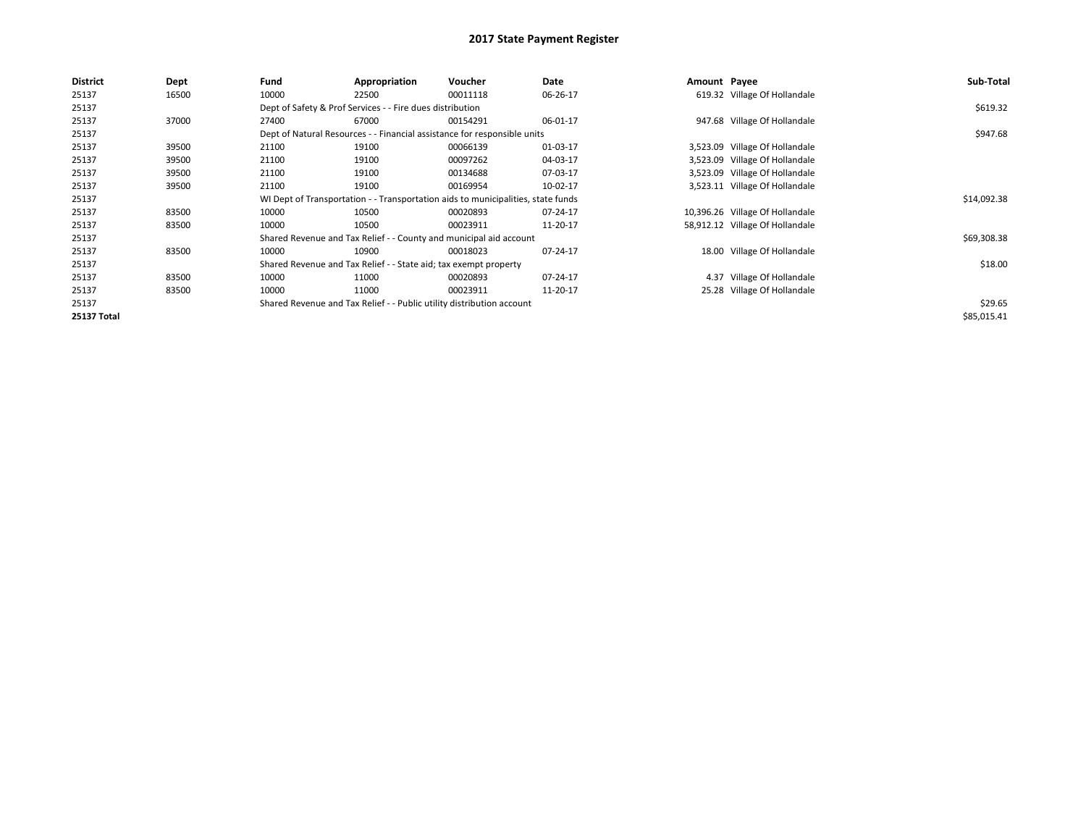| <b>District</b>    | Dept  | Fund  | Appropriation                                                                    | Voucher  | Date     | Amount Payee |                                 | Sub-Total   |
|--------------------|-------|-------|----------------------------------------------------------------------------------|----------|----------|--------------|---------------------------------|-------------|
| 25137              | 16500 | 10000 | 22500                                                                            | 00011118 | 06-26-17 |              | 619.32 Village Of Hollandale    |             |
| 25137              |       |       | Dept of Safety & Prof Services - - Fire dues distribution                        |          |          |              |                                 | \$619.32    |
| 25137              | 37000 | 27400 | 67000                                                                            | 00154291 | 06-01-17 |              | 947.68 Village Of Hollandale    |             |
| 25137              |       |       | Dept of Natural Resources - - Financial assistance for responsible units         |          |          |              |                                 | \$947.68    |
| 25137              | 39500 | 21100 | 19100                                                                            | 00066139 | 01-03-17 |              | 3,523.09 Village Of Hollandale  |             |
| 25137              | 39500 | 21100 | 19100                                                                            | 00097262 | 04-03-17 |              | 3,523.09 Village Of Hollandale  |             |
| 25137              | 39500 | 21100 | 19100                                                                            | 00134688 | 07-03-17 |              | 3,523.09 Village Of Hollandale  |             |
| 25137              | 39500 | 21100 | 19100                                                                            | 00169954 | 10-02-17 |              | 3,523.11 Village Of Hollandale  |             |
| 25137              |       |       | WI Dept of Transportation - - Transportation aids to municipalities, state funds |          |          |              |                                 | \$14,092.38 |
| 25137              | 83500 | 10000 | 10500                                                                            | 00020893 | 07-24-17 |              | 10,396.26 Village Of Hollandale |             |
| 25137              | 83500 | 10000 | 10500                                                                            | 00023911 | 11-20-17 |              | 58,912.12 Village Of Hollandale |             |
| 25137              |       |       | Shared Revenue and Tax Relief - - County and municipal aid account               |          |          |              |                                 | \$69,308.38 |
| 25137              | 83500 | 10000 | 10900                                                                            | 00018023 | 07-24-17 |              | 18.00 Village Of Hollandale     |             |
| 25137              |       |       | Shared Revenue and Tax Relief - - State aid; tax exempt property                 |          |          |              |                                 | \$18.00     |
| 25137              | 83500 | 10000 | 11000                                                                            | 00020893 | 07-24-17 |              | 4.37 Village Of Hollandale      |             |
| 25137              | 83500 | 10000 | 11000                                                                            | 00023911 | 11-20-17 |              | 25.28 Village Of Hollandale     |             |
| 25137              |       |       | Shared Revenue and Tax Relief - - Public utility distribution account            |          |          |              |                                 | \$29.65     |
| <b>25137 Total</b> |       |       |                                                                                  |          |          |              |                                 | \$85,015.41 |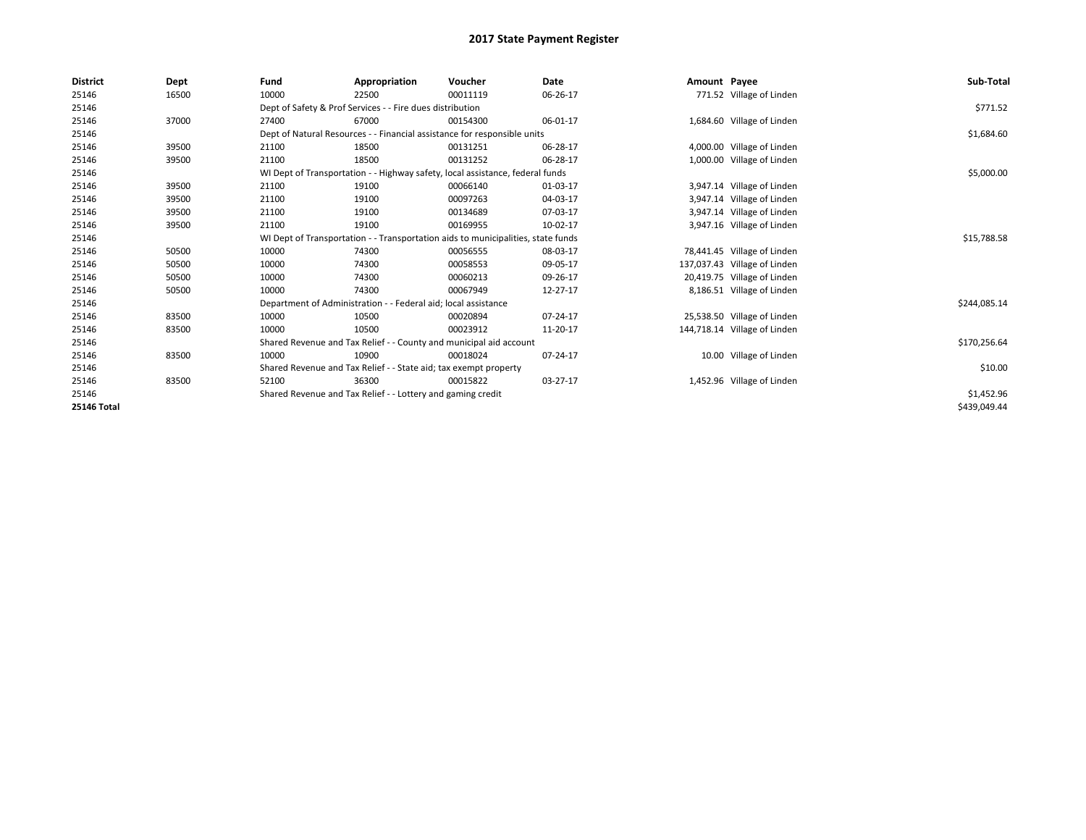| <b>District</b>    | Dept  | Fund  | Appropriation                                                    | Voucher                                                                          | Date     | Amount Payee |                              | Sub-Total    |
|--------------------|-------|-------|------------------------------------------------------------------|----------------------------------------------------------------------------------|----------|--------------|------------------------------|--------------|
| 25146              | 16500 | 10000 | 22500                                                            | 00011119                                                                         | 06-26-17 |              | 771.52 Village of Linden     |              |
| 25146              |       |       | Dept of Safety & Prof Services - - Fire dues distribution        |                                                                                  |          |              |                              | \$771.52     |
| 25146              | 37000 | 27400 | 67000                                                            | 00154300                                                                         | 06-01-17 |              | 1,684.60 Village of Linden   |              |
| 25146              |       |       |                                                                  | Dept of Natural Resources - - Financial assistance for responsible units         |          |              |                              | \$1,684.60   |
| 25146              | 39500 | 21100 | 18500                                                            | 00131251                                                                         | 06-28-17 |              | 4,000.00 Village of Linden   |              |
| 25146              | 39500 | 21100 | 18500                                                            | 00131252                                                                         | 06-28-17 |              | 1,000.00 Village of Linden   |              |
| 25146              |       |       |                                                                  | WI Dept of Transportation - - Highway safety, local assistance, federal funds    |          |              |                              | \$5,000.00   |
| 25146              | 39500 | 21100 | 19100                                                            | 00066140                                                                         | 01-03-17 |              | 3,947.14 Village of Linden   |              |
| 25146              | 39500 | 21100 | 19100                                                            | 00097263                                                                         | 04-03-17 |              | 3,947.14 Village of Linden   |              |
| 25146              | 39500 | 21100 | 19100                                                            | 00134689                                                                         | 07-03-17 |              | 3,947.14 Village of Linden   |              |
| 25146              | 39500 | 21100 | 19100                                                            | 00169955                                                                         | 10-02-17 |              | 3,947.16 Village of Linden   |              |
| 25146              |       |       |                                                                  | WI Dept of Transportation - - Transportation aids to municipalities, state funds |          |              |                              | \$15,788.58  |
| 25146              | 50500 | 10000 | 74300                                                            | 00056555                                                                         | 08-03-17 |              | 78,441.45 Village of Linden  |              |
| 25146              | 50500 | 10000 | 74300                                                            | 00058553                                                                         | 09-05-17 |              | 137,037.43 Village of Linden |              |
| 25146              | 50500 | 10000 | 74300                                                            | 00060213                                                                         | 09-26-17 |              | 20,419.75 Village of Linden  |              |
| 25146              | 50500 | 10000 | 74300                                                            | 00067949                                                                         | 12-27-17 |              | 8,186.51 Village of Linden   |              |
| 25146              |       |       | Department of Administration - - Federal aid; local assistance   |                                                                                  |          |              |                              | \$244,085.14 |
| 25146              | 83500 | 10000 | 10500                                                            | 00020894                                                                         | 07-24-17 |              | 25,538.50 Village of Linden  |              |
| 25146              | 83500 | 10000 | 10500                                                            | 00023912                                                                         | 11-20-17 |              | 144,718.14 Village of Linden |              |
| 25146              |       |       |                                                                  | Shared Revenue and Tax Relief - - County and municipal aid account               |          |              |                              | \$170,256.64 |
| 25146              | 83500 | 10000 | 10900                                                            | 00018024                                                                         | 07-24-17 |              | 10.00 Village of Linden      |              |
| 25146              |       |       | Shared Revenue and Tax Relief - - State aid; tax exempt property |                                                                                  |          |              |                              | \$10.00      |
| 25146              | 83500 | 52100 | 36300                                                            | 00015822                                                                         | 03-27-17 |              | 1,452.96 Village of Linden   |              |
| 25146              |       |       | Shared Revenue and Tax Relief - - Lottery and gaming credit      |                                                                                  |          |              |                              | \$1,452.96   |
| <b>25146 Total</b> |       |       |                                                                  |                                                                                  |          |              |                              | \$439,049.44 |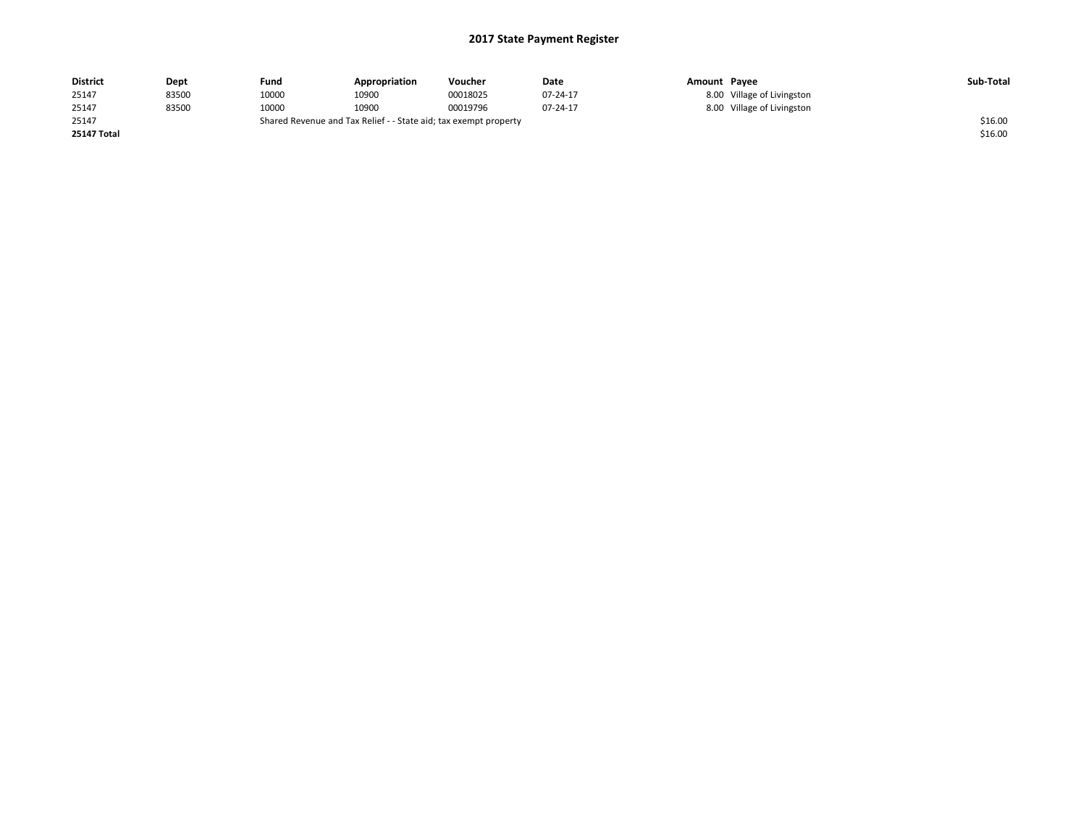| <b>District</b>    | Dept  | Fund                                                             | Appropriation | Voucher  | Date     | Amount Payee |                            | Sub-Total |
|--------------------|-------|------------------------------------------------------------------|---------------|----------|----------|--------------|----------------------------|-----------|
| 25147              | 83500 | 10000                                                            | 10900         | 00018025 | 07-24-17 |              | 8.00 Village of Livingston |           |
| 25147              | 83500 | 10000                                                            | 10900         | 00019796 | 07-24-17 |              | 8.00 Village of Livingston |           |
| 25147              |       | Shared Revenue and Tax Relief - - State aid; tax exempt property |               |          |          |              |                            |           |
| <b>25147 Total</b> |       |                                                                  |               |          |          |              |                            | \$16.00   |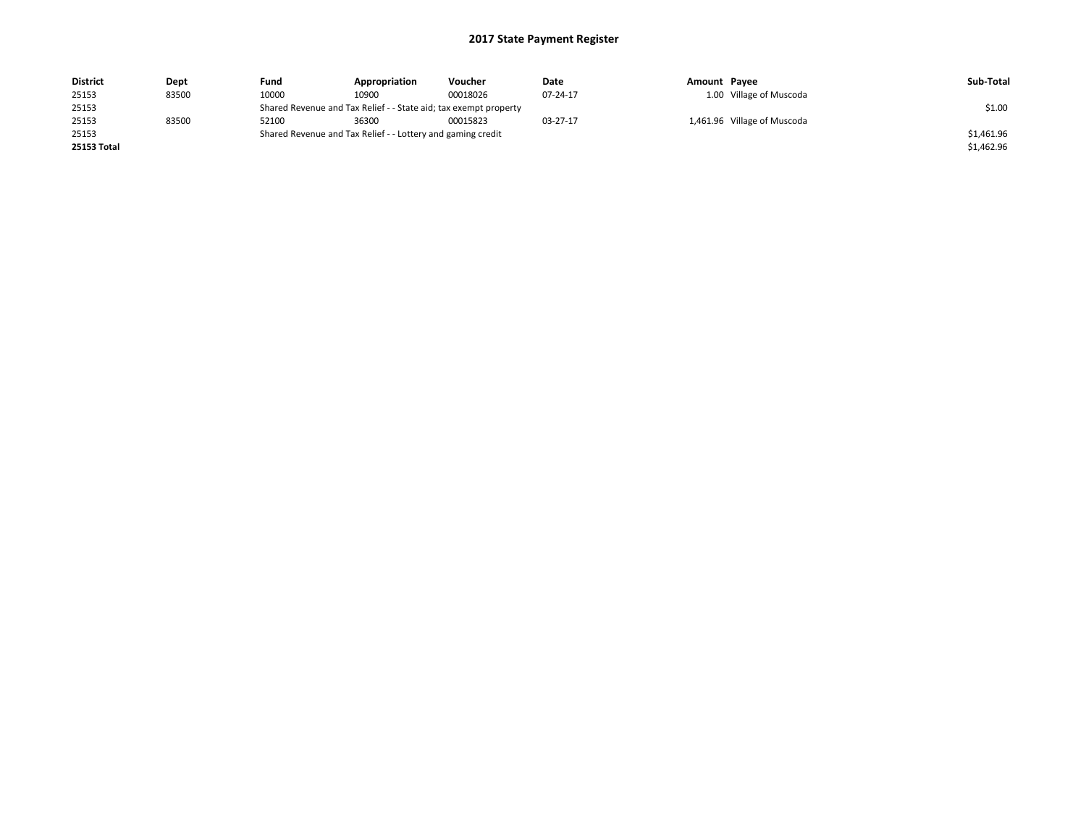| <b>District</b>    | Dept  | Fund                                                        | Appropriation                                                    | Voucher  | Date     | Amount Pavee |                             | Sub-Total  |  |
|--------------------|-------|-------------------------------------------------------------|------------------------------------------------------------------|----------|----------|--------------|-----------------------------|------------|--|
| 25153              | 83500 | 10000                                                       | 10900                                                            | 00018026 | 07-24-17 |              | 1.00 Village of Muscoda     |            |  |
| 25153              |       |                                                             | Shared Revenue and Tax Relief - - State aid; tax exempt property |          |          |              |                             |            |  |
| 25153              | 83500 | 52100                                                       | 36300                                                            | 00015823 | 03-27-17 |              | 1,461.96 Village of Muscoda |            |  |
| 25153              |       | Shared Revenue and Tax Relief - - Lottery and gaming credit |                                                                  |          |          |              |                             | \$1,461.96 |  |
| <b>25153 Total</b> |       |                                                             |                                                                  |          |          |              |                             | \$1,462.96 |  |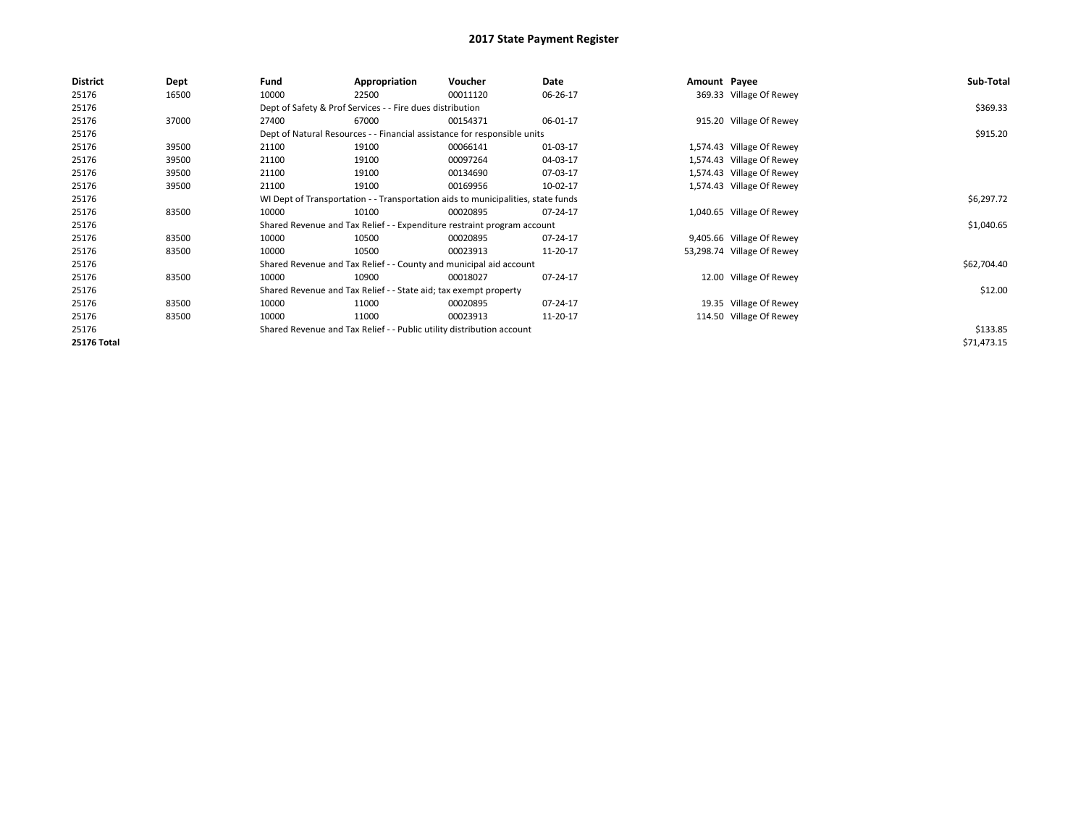| <b>District</b>    | Dept  | Fund  | Appropriation                                                                    | Voucher  | Date     | Amount Payee |                            | Sub-Total   |
|--------------------|-------|-------|----------------------------------------------------------------------------------|----------|----------|--------------|----------------------------|-------------|
| 25176              | 16500 | 10000 | 22500                                                                            | 00011120 | 06-26-17 |              | 369.33 Village Of Rewey    |             |
| 25176              |       |       | Dept of Safety & Prof Services - - Fire dues distribution                        |          |          |              |                            | \$369.33    |
| 25176              | 37000 | 27400 | 67000                                                                            | 00154371 | 06-01-17 |              | 915.20 Village Of Rewey    |             |
| 25176              |       |       | Dept of Natural Resources - - Financial assistance for responsible units         |          |          |              |                            | \$915.20    |
| 25176              | 39500 | 21100 | 19100                                                                            | 00066141 | 01-03-17 |              | 1,574.43 Village Of Rewey  |             |
| 25176              | 39500 | 21100 | 19100                                                                            | 00097264 | 04-03-17 |              | 1,574.43 Village Of Rewey  |             |
| 25176              | 39500 | 21100 | 19100                                                                            | 00134690 | 07-03-17 |              | 1,574.43 Village Of Rewey  |             |
| 25176              | 39500 | 21100 | 19100                                                                            | 00169956 | 10-02-17 |              | 1,574.43 Village Of Rewey  |             |
| 25176              |       |       | WI Dept of Transportation - - Transportation aids to municipalities, state funds |          |          |              |                            | \$6,297.72  |
| 25176              | 83500 | 10000 | 10100                                                                            | 00020895 | 07-24-17 |              | 1,040.65 Village Of Rewey  |             |
| 25176              |       |       | Shared Revenue and Tax Relief - - Expenditure restraint program account          |          |          |              |                            | \$1,040.65  |
| 25176              | 83500 | 10000 | 10500                                                                            | 00020895 | 07-24-17 |              | 9,405.66 Village Of Rewey  |             |
| 25176              | 83500 | 10000 | 10500                                                                            | 00023913 | 11-20-17 |              | 53,298.74 Village Of Rewey |             |
| 25176              |       |       | Shared Revenue and Tax Relief - - County and municipal aid account               |          |          |              |                            | \$62,704.40 |
| 25176              | 83500 | 10000 | 10900                                                                            | 00018027 | 07-24-17 |              | 12.00 Village Of Rewey     |             |
| 25176              |       |       | Shared Revenue and Tax Relief - - State aid; tax exempt property                 |          |          |              |                            | \$12.00     |
| 25176              | 83500 | 10000 | 11000                                                                            | 00020895 | 07-24-17 |              | 19.35 Village Of Rewey     |             |
| 25176              | 83500 | 10000 | 11000                                                                            | 00023913 | 11-20-17 |              | 114.50 Village Of Rewey    |             |
| 25176              |       |       | Shared Revenue and Tax Relief - - Public utility distribution account            |          |          |              |                            | \$133.85    |
| <b>25176 Total</b> |       |       |                                                                                  |          |          |              |                            | \$71,473.15 |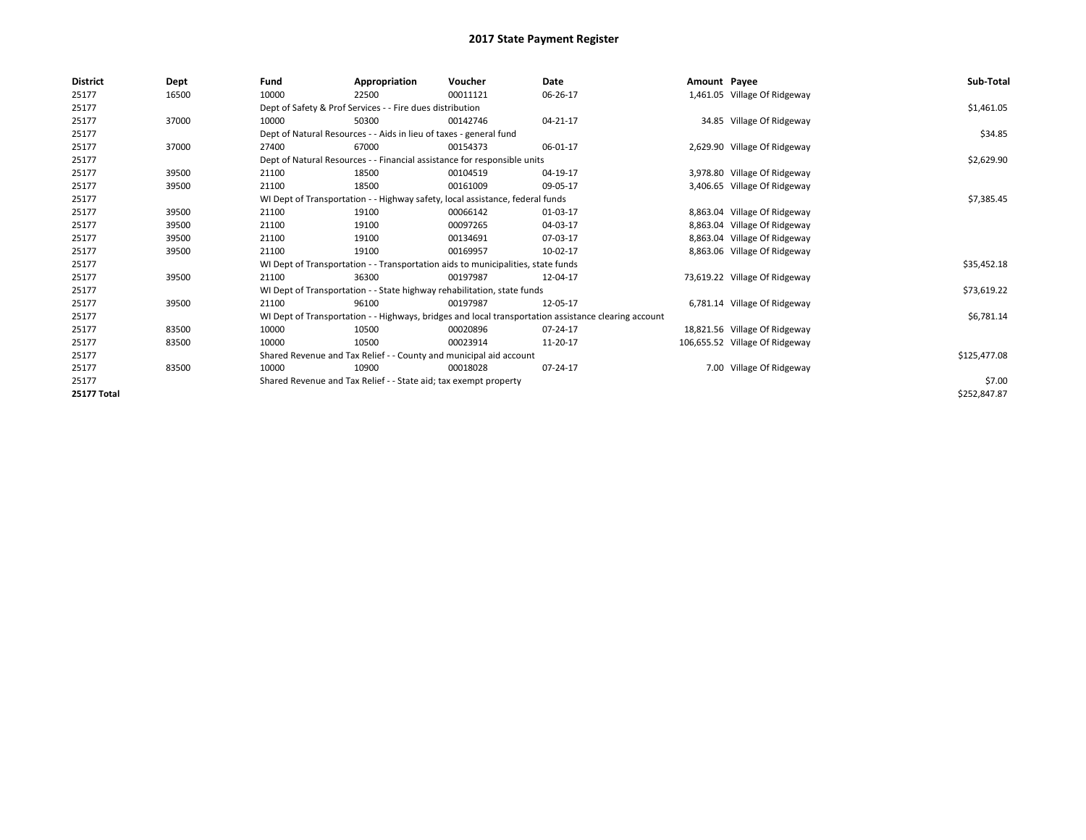| <b>District</b>    | Dept  | Fund  | Appropriation                                                      | Voucher                                                                          | Date                                                                                                 | Amount Payee |                                | Sub-Total    |
|--------------------|-------|-------|--------------------------------------------------------------------|----------------------------------------------------------------------------------|------------------------------------------------------------------------------------------------------|--------------|--------------------------------|--------------|
| 25177              | 16500 | 10000 | 22500                                                              | 00011121                                                                         | 06-26-17                                                                                             |              | 1,461.05 Village Of Ridgeway   |              |
| 25177              |       |       | Dept of Safety & Prof Services - - Fire dues distribution          |                                                                                  |                                                                                                      |              |                                | \$1,461.05   |
| 25177              | 37000 | 10000 | 50300                                                              | 00142746                                                                         | 04-21-17                                                                                             |              | 34.85 Village Of Ridgeway      |              |
| 25177              |       |       | Dept of Natural Resources - - Aids in lieu of taxes - general fund |                                                                                  |                                                                                                      |              |                                | \$34.85      |
| 25177              | 37000 | 27400 | 67000                                                              | 00154373                                                                         | 06-01-17                                                                                             |              | 2,629.90 Village Of Ridgeway   |              |
| 25177              |       |       |                                                                    | Dept of Natural Resources - - Financial assistance for responsible units         |                                                                                                      |              |                                | \$2,629.90   |
| 25177              | 39500 | 21100 | 18500                                                              | 00104519                                                                         | 04-19-17                                                                                             |              | 3,978.80 Village Of Ridgeway   |              |
| 25177              | 39500 | 21100 | 18500                                                              | 00161009                                                                         | 09-05-17                                                                                             |              | 3,406.65 Village Of Ridgeway   |              |
| 25177              |       |       |                                                                    | WI Dept of Transportation - - Highway safety, local assistance, federal funds    |                                                                                                      |              |                                | \$7,385.45   |
| 25177              | 39500 | 21100 | 19100                                                              | 00066142                                                                         | 01-03-17                                                                                             |              | 8,863.04 Village Of Ridgeway   |              |
| 25177              | 39500 | 21100 | 19100                                                              | 00097265                                                                         | 04-03-17                                                                                             |              | 8,863.04 Village Of Ridgeway   |              |
| 25177              | 39500 | 21100 | 19100                                                              | 00134691                                                                         | 07-03-17                                                                                             |              | 8,863.04 Village Of Ridgeway   |              |
| 25177              | 39500 | 21100 | 19100                                                              | 00169957                                                                         | 10-02-17                                                                                             |              | 8,863.06 Village Of Ridgeway   |              |
| 25177              |       |       |                                                                    | WI Dept of Transportation - - Transportation aids to municipalities, state funds |                                                                                                      |              |                                | \$35,452.18  |
| 25177              | 39500 | 21100 | 36300                                                              | 00197987                                                                         | 12-04-17                                                                                             |              | 73,619.22 Village Of Ridgeway  |              |
| 25177              |       |       |                                                                    | WI Dept of Transportation - - State highway rehabilitation, state funds          |                                                                                                      |              |                                | \$73,619.22  |
| 25177              | 39500 | 21100 | 96100                                                              | 00197987                                                                         | 12-05-17                                                                                             |              | 6,781.14 Village Of Ridgeway   |              |
| 25177              |       |       |                                                                    |                                                                                  | WI Dept of Transportation - - Highways, bridges and local transportation assistance clearing account |              |                                | \$6,781.14   |
| 25177              | 83500 | 10000 | 10500                                                              | 00020896                                                                         | 07-24-17                                                                                             |              | 18,821.56 Village Of Ridgeway  |              |
| 25177              | 83500 | 10000 | 10500                                                              | 00023914                                                                         | 11-20-17                                                                                             |              | 106,655.52 Village Of Ridgeway |              |
| 25177              |       |       |                                                                    | Shared Revenue and Tax Relief - - County and municipal aid account               |                                                                                                      |              |                                | \$125,477.08 |
| 25177              | 83500 | 10000 | 10900                                                              | 00018028                                                                         | 07-24-17                                                                                             |              | 7.00 Village Of Ridgeway       |              |
| 25177              |       |       | Shared Revenue and Tax Relief - - State aid; tax exempt property   |                                                                                  |                                                                                                      |              |                                | \$7.00       |
| <b>25177 Total</b> |       |       |                                                                    |                                                                                  |                                                                                                      |              |                                | \$252,847.87 |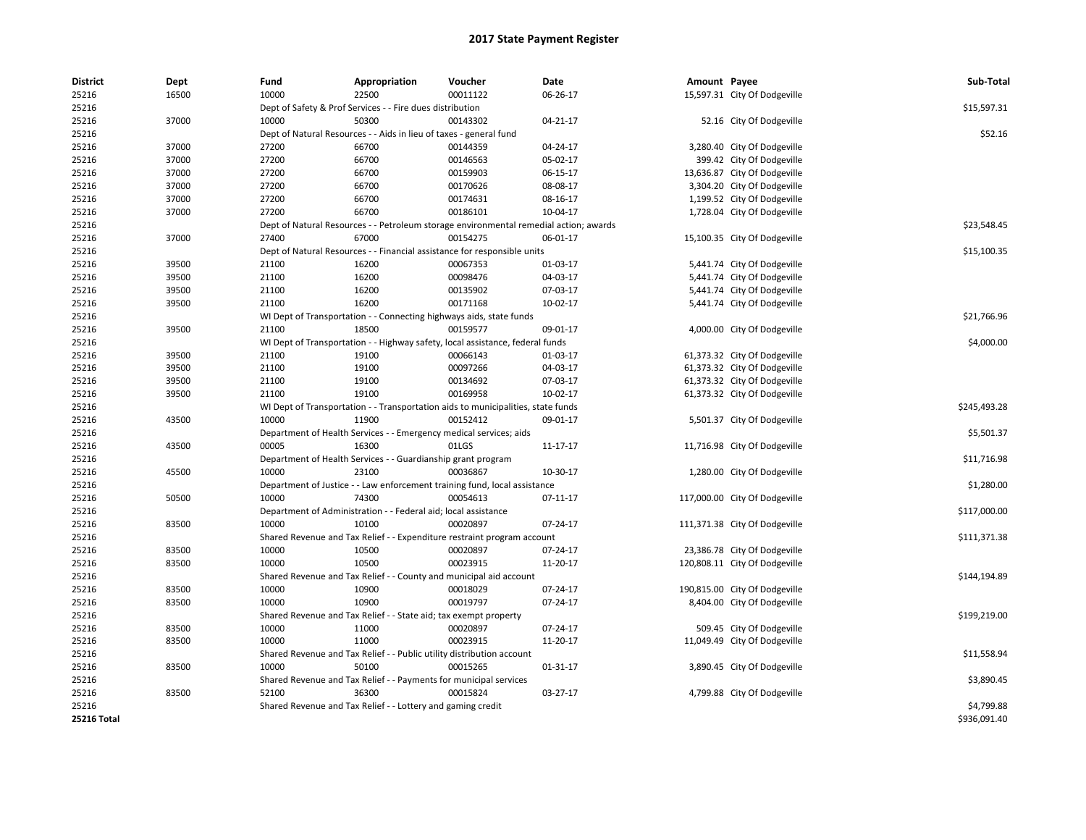| <b>District</b> | Dept  | Fund  | Appropriation                                                                         | Voucher  | Date           | Amount Payee |                               | Sub-Total    |
|-----------------|-------|-------|---------------------------------------------------------------------------------------|----------|----------------|--------------|-------------------------------|--------------|
| 25216           | 16500 | 10000 | 22500                                                                                 | 00011122 | 06-26-17       |              | 15,597.31 City Of Dodgeville  |              |
| 25216           |       |       | Dept of Safety & Prof Services - - Fire dues distribution                             |          |                |              |                               | \$15,597.31  |
| 25216           | 37000 | 10000 | 50300                                                                                 | 00143302 | $04 - 21 - 17$ |              | 52.16 City Of Dodgeville      |              |
| 25216           |       |       | Dept of Natural Resources - - Aids in lieu of taxes - general fund                    |          |                |              |                               | \$52.16      |
| 25216           | 37000 | 27200 | 66700                                                                                 | 00144359 | 04-24-17       |              | 3,280.40 City Of Dodgeville   |              |
| 25216           | 37000 | 27200 | 66700                                                                                 | 00146563 | 05-02-17       |              | 399.42 City Of Dodgeville     |              |
| 25216           | 37000 | 27200 | 66700                                                                                 | 00159903 | 06-15-17       |              | 13,636.87 City Of Dodgeville  |              |
| 25216           | 37000 | 27200 | 66700                                                                                 | 00170626 | 08-08-17       |              | 3,304.20 City Of Dodgeville   |              |
| 25216           | 37000 | 27200 | 66700                                                                                 | 00174631 | 08-16-17       |              | 1,199.52 City Of Dodgeville   |              |
| 25216           | 37000 | 27200 | 66700                                                                                 | 00186101 | 10-04-17       |              | 1,728.04 City Of Dodgeville   |              |
| 25216           |       |       | Dept of Natural Resources - - Petroleum storage environmental remedial action; awards |          |                |              |                               | \$23,548.45  |
| 25216           | 37000 | 27400 | 67000                                                                                 | 00154275 | 06-01-17       |              | 15,100.35 City Of Dodgeville  |              |
| 25216           |       |       | Dept of Natural Resources - - Financial assistance for responsible units              |          |                |              |                               | \$15,100.35  |
| 25216           | 39500 | 21100 | 16200                                                                                 | 00067353 | 01-03-17       |              | 5,441.74 City Of Dodgeville   |              |
| 25216           | 39500 | 21100 | 16200                                                                                 | 00098476 | 04-03-17       |              | 5,441.74 City Of Dodgeville   |              |
| 25216           | 39500 | 21100 | 16200                                                                                 | 00135902 | 07-03-17       |              | 5,441.74 City Of Dodgeville   |              |
| 25216           | 39500 | 21100 | 16200                                                                                 | 00171168 | 10-02-17       |              | 5,441.74 City Of Dodgeville   |              |
| 25216           |       |       | WI Dept of Transportation - - Connecting highways aids, state funds                   |          |                |              |                               | \$21,766.96  |
| 25216           | 39500 | 21100 | 18500                                                                                 | 00159577 | 09-01-17       |              | 4,000.00 City Of Dodgeville   |              |
| 25216           |       |       | WI Dept of Transportation - - Highway safety, local assistance, federal funds         |          |                |              |                               | \$4,000.00   |
| 25216           | 39500 | 21100 | 19100                                                                                 | 00066143 | 01-03-17       |              | 61,373.32 City Of Dodgeville  |              |
| 25216           | 39500 | 21100 | 19100                                                                                 | 00097266 | 04-03-17       |              | 61,373.32 City Of Dodgeville  |              |
| 25216           | 39500 | 21100 | 19100                                                                                 | 00134692 | 07-03-17       |              | 61,373.32 City Of Dodgeville  |              |
| 25216           | 39500 | 21100 | 19100                                                                                 | 00169958 | 10-02-17       |              | 61,373.32 City Of Dodgeville  |              |
| 25216           |       |       | WI Dept of Transportation - - Transportation aids to municipalities, state funds      |          |                |              |                               | \$245,493.28 |
| 25216           | 43500 | 10000 | 11900                                                                                 | 00152412 | 09-01-17       |              | 5,501.37 City Of Dodgeville   |              |
| 25216           |       |       | Department of Health Services - - Emergency medical services; aids                    |          |                |              |                               | \$5,501.37   |
| 25216           | 43500 | 00005 | 16300                                                                                 | 01LGS    | $11 - 17 - 17$ |              | 11,716.98 City Of Dodgeville  |              |
| 25216           |       |       | Department of Health Services - - Guardianship grant program                          |          |                |              |                               | \$11,716.98  |
| 25216           | 45500 | 10000 | 23100                                                                                 | 00036867 | 10-30-17       |              | 1,280.00 City Of Dodgeville   |              |
| 25216           |       |       | Department of Justice - - Law enforcement training fund, local assistance             |          |                |              |                               | \$1,280.00   |
| 25216           | 50500 | 10000 | 74300                                                                                 | 00054613 | 07-11-17       |              | 117,000.00 City Of Dodgeville |              |
| 25216           |       |       | Department of Administration - - Federal aid; local assistance                        |          |                |              |                               | \$117,000.00 |
| 25216           | 83500 | 10000 | 10100                                                                                 | 00020897 | 07-24-17       |              | 111,371.38 City Of Dodgeville |              |
| 25216           |       |       | Shared Revenue and Tax Relief - - Expenditure restraint program account               |          |                |              |                               | \$111,371.38 |
| 25216           | 83500 | 10000 | 10500                                                                                 | 00020897 | 07-24-17       |              | 23,386.78 City Of Dodgeville  |              |
| 25216           | 83500 | 10000 | 10500                                                                                 | 00023915 | 11-20-17       |              | 120,808.11 City Of Dodgeville |              |
| 25216           |       |       | Shared Revenue and Tax Relief - - County and municipal aid account                    |          |                |              |                               | \$144,194.89 |
| 25216           | 83500 | 10000 | 10900                                                                                 | 00018029 | 07-24-17       |              | 190,815.00 City Of Dodgeville |              |
| 25216           | 83500 | 10000 | 10900                                                                                 | 00019797 | 07-24-17       |              | 8,404.00 City Of Dodgeville   |              |
| 25216           |       |       | Shared Revenue and Tax Relief - - State aid; tax exempt property                      |          |                |              |                               | \$199,219.00 |
| 25216           | 83500 | 10000 | 11000                                                                                 | 00020897 | 07-24-17       |              | 509.45 City Of Dodgeville     |              |
| 25216           | 83500 | 10000 | 11000                                                                                 | 00023915 | 11-20-17       |              | 11,049.49 City Of Dodgeville  |              |
| 25216           |       |       | Shared Revenue and Tax Relief - - Public utility distribution account                 |          |                |              |                               | \$11,558.94  |
| 25216           | 83500 | 10000 | 50100                                                                                 | 00015265 | $01 - 31 - 17$ |              | 3,890.45 City Of Dodgeville   |              |
| 25216           |       |       | Shared Revenue and Tax Relief - - Payments for municipal services                     |          |                |              |                               | \$3,890.45   |
| 25216           | 83500 | 52100 | 36300                                                                                 | 00015824 | 03-27-17       |              | 4,799.88 City Of Dodgeville   |              |
| 25216           |       |       | Shared Revenue and Tax Relief - - Lottery and gaming credit                           |          |                |              |                               | \$4,799.88   |
| 25216 Total     |       |       |                                                                                       |          |                |              |                               | \$936,091.40 |